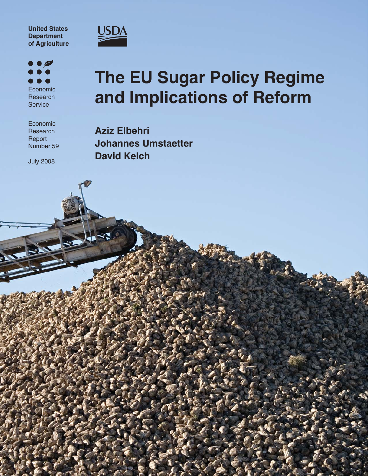**United States Department of Agriculture**



 $\overline{\phantom{a}}$  $\bullet$ O Economic Research **Service** 

Economic **Research** Report Number 59

July 2008

# **The EU Sugar Policy Regime and Implications of Reform**

**Aziz Elbehri Johannes Umstaetter David Kelch**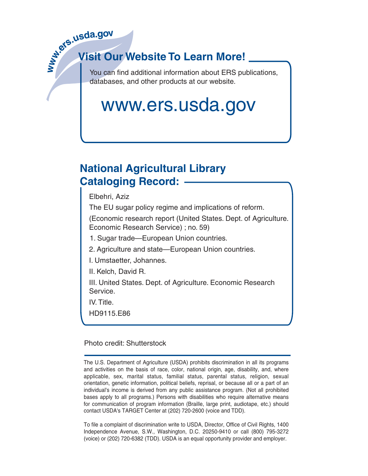

## **Visit Our Website To Learn More!**

You can find additional information about ERS publications, databases, and other products at our website.

# www.ers.usda.gov

## **National Agricultural Library Cataloging Record:**

Elbehri, Aziz

The EU sugar policy regime and implications of reform.

(Economic research report (United States. Dept. of Agriculture. Economic Research Service) ; no. 59)

1. Sugar trade—European Union countries.

2. Agriculture and state—European Union countries.

I. Umstaetter, Johannes.

II. Kelch, David R.

III. United States. Dept. of Agriculture. Economic Research Service.

IV. Title.

HD9115.E86

Photo credit: Shutterstock

The U.S. Department of Agriculture (USDA) prohibits discrimination in all its programs and activities on the basis of race, color, national origin, age, disability, and, where applicable, sex, marital status, familial status, parental status, religion, sexual orientation, genetic information, political beliefs, reprisal, or because all or a part of an individual's income is derived from any public assistance program. (Not all prohibited bases apply to all programs.) Persons with disabilities who require alternative means for communication of program information (Braille, large print, audiotape, etc.) should contact USDA's TARGET Center at (202) 720-2600 (voice and TDD).

To file a complaint of discrimination write to USDA, Director, Office of Civil Rights, 1400 Independence Avenue, S.W., Washington, D.C. 20250-9410 or call (800) 795-3272 (voice) or (202) 720-6382 (TDD). USDA is an equal opportunity provider and employer.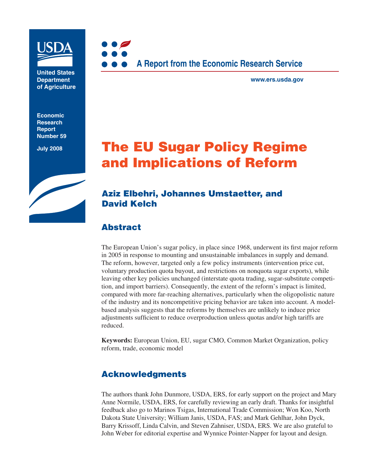

**United States Department of Agriculture**

**Economic Research Report Number 59**

**July 2008**



**www.ers.usda.gov**

## **The EU Sugar Policy Regime and Implications of Reform**

## **Aziz Elbehri, Johannes Umstaetter, and David Kelch**

## **Abstract**

The European Union's sugar policy, in place since 1968, underwent its first major reform in 2005 in response to mounting and unsustainable imbalances in supply and demand. The reform, however, targeted only a few policy instruments (intervention price cut, voluntary production quota buyout, and restrictions on nonquota sugar exports), while leaving other key policies unchanged (interstate quota trading, sugar-substitute competition, and import barriers). Consequently, the extent of the reform's impact is limited, compared with more far-reaching alternatives, particularly when the oligopolistic nature of the industry and its noncompetitive pricing behavior are taken into account. A modelbased analysis suggests that the reforms by themselves are unlikely to induce price adjustments sufficient to reduce overproduction unless quotas and/or high tariffs are reduced.

**Keywords:** European Union, EU, sugar CMO, Common Market Organization, policy reform, trade, economic model

## **Acknowledgments**

The authors thank John Dunmore, USDA, ERS, for early support on the project and Mary Anne Normile, USDA, ERS, for carefully reviewing an early draft. Thanks for insightful feedback also go to Marinos Tsigas, International Trade Commission; Won Koo, North Dakota State University; William Janis, USDA, FAS; and Mark Gehlhar, John Dyck, Barry Krissoff, Linda Calvin, and Steven Zahniser, USDA, ERS. We are also grateful to John Weber for editorial expertise and Wynnice Pointer-Napper for layout and design.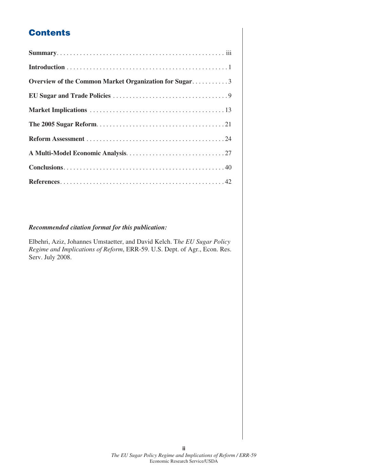## **Contents**

| Overview of the Common Market Organization for Sugar3 |
|-------------------------------------------------------|
|                                                       |
|                                                       |
|                                                       |
|                                                       |
|                                                       |
|                                                       |
|                                                       |

#### *Recommended citation format for this publication:*

Elbehri, Aziz, Johannes Umstaetter, and David Kelch. T*he EU Sugar Policy Regime and Implications of Reform*, ERR-59. U.S. Dept. of Agr., Econ. Res. Serv. July 2008.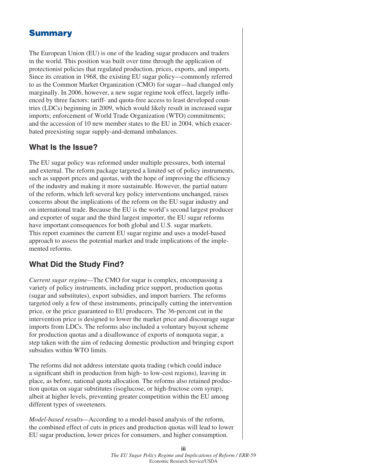## **Summary**

The European Union (EU) is one of the leading sugar producers and traders in the world. This position was built over time through the application of protectionist policies that regulated production, prices, exports, and imports. Since its creation in 1968, the existing EU sugar policy—commonly referred to as the Common Market Organization (CMO) for sugar—had changed only marginally. In 2006, however, a new sugar regime took effect, largely influenced by three factors: tariff- and quota-free access to least developed countries (LDCs) beginning in 2009, which would likely result in increased sugar imports; enforcement of World Trade Organization (WTO) commitments; and the accession of 10 new member states to the EU in 2004, which exacerbated preexisting sugar supply-and-demand imbalances.

### **What Is the Issue?**

The EU sugar policy was reformed under multiple pressures, both internal and external. The reform package targeted a limited set of policy instruments, such as support prices and quotas, with the hope of improving the efficiency of the industry and making it more sustainable. However, the partial nature of the reform, which left several key policy interventions unchanged, raises concerns about the implications of the reform on the EU sugar industry and on international trade. Because the EU is the world's second largest producer and exporter of sugar and the third largest importer, the EU sugar reforms have important consequences for both global and U.S. sugar markets. This report examines the current EU sugar regime and uses a model-based approach to assess the potential market and trade implications of the implemented reforms.

## **What Did the Study Find?**

*Current sugar regime—*The CMO for sugar is complex, encompassing a variety of policy instruments, including price support, production quotas (sugar and substitutes), export subsidies, and import barriers. The reforms targeted only a few of these instruments, principally cutting the intervention price, or the price guaranteed to EU producers. The 36-percent cut in the intervention price is designed to lower the market price and discourage sugar imports from LDCs. The reforms also included a voluntary buyout scheme for production quotas and a disallowance of exports of nonquota sugar, a step taken with the aim of reducing domestic production and bringing export subsidies within WTO limits.

The reforms did not address interstate quota trading (which could induce a significant shift in production from high- to low-cost regions), leaving in place, as before, national quota allocation. The reforms also retained production quotas on sugar substitutes (isoglucose, or high-fructose corn syrup), albeit at higher levels, preventing greater competition within the EU among different types of sweeteners.

*Model-based results—*According to a model-based analysis of the reform, the combined effect of cuts in prices and production quotas will lead to lower EU sugar production, lower prices for consumers, and higher consumption.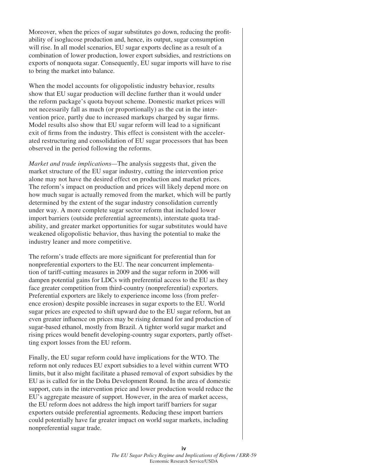Moreover, when the prices of sugar substitutes go down, reducing the profitability of isoglucose production and, hence, its output, sugar consumption will rise. In all model scenarios, EU sugar exports decline as a result of a combination of lower production, lower export subsidies, and restrictions on exports of nonquota sugar. Consequently, EU sugar imports will have to rise to bring the market into balance.

When the model accounts for oligopolistic industry behavior, results show that EU sugar production will decline further than it would under the reform package's quota buyout scheme. Domestic market prices will not necessarily fall as much (or proportionally) as the cut in the intervention price, partly due to increased markups charged by sugar firms. Model results also show that EU sugar reform will lead to a significant exit of firms from the industry. This effect is consistent with the accelerated restructuring and consolidation of EU sugar processors that has been observed in the period following the reforms.

*Market and trade implications—*The analysis suggests that, given the market structure of the EU sugar industry, cutting the intervention price alone may not have the desired effect on production and market prices. The reform's impact on production and prices will likely depend more on how much sugar is actually removed from the market, which will be partly determined by the extent of the sugar industry consolidation currently under way. A more complete sugar sector reform that included lower import barriers (outside preferential agreements), interstate quota tradability, and greater market opportunities for sugar substitutes would have weakened oligopolistic behavior, thus having the potential to make the industry leaner and more competitive.

The reform's trade effects are more significant for preferential than for nonpreferential exporters to the EU. The near concurrent implementation of tariff-cutting measures in 2009 and the sugar reform in 2006 will dampen potential gains for LDCs with preferential access to the EU as they face greater competition from third-country (nonpreferential) exporters. Preferential exporters are likely to experience income loss (from preference erosion) despite possible increases in sugar exports to the EU. World sugar prices are expected to shift upward due to the EU sugar reform, but an even greater influence on prices may be rising demand for and production of sugar-based ethanol, mostly from Brazil. A tighter world sugar market and rising prices would benefit developing-country sugar exporters, partly offsetting export losses from the EU reform.

Finally, the EU sugar reform could have implications for the WTO. The reform not only reduces EU export subsidies to a level within current WTO limits, but it also might facilitate a phased removal of export subsidies by the EU as is called for in the Doha Development Round. In the area of domestic support, cuts in the intervention price and lower production would reduce the EU's aggregate measure of support. However, in the area of market access, the EU reform does not address the high import tariff barriers for sugar exporters outside preferential agreements. Reducing these import barriers could potentially have far greater impact on world sugar markets, including nonpreferential sugar trade.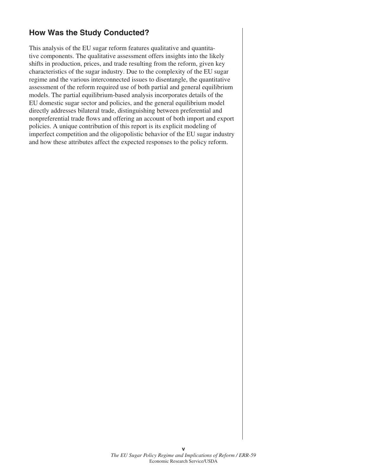## **How Was the Study Conducted?**

This analysis of the EU sugar reform features qualitative and quantitative components. The qualitative assessment offers insights into the likely shifts in production, prices, and trade resulting from the reform, given key characteristics of the sugar industry. Due to the complexity of the EU sugar regime and the various interconnected issues to disentangle, the quantitative assessment of the reform required use of both partial and general equilibrium models. The partial equilibrium-based analysis incorporates details of the EU domestic sugar sector and policies, and the general equilibrium model directly addresses bilateral trade, distinguishing between preferential and nonpreferential trade flows and offering an account of both import and export policies. A unique contribution of this report is its explicit modeling of imperfect competition and the oligopolistic behavior of the EU sugar industry and how these attributes affect the expected responses to the policy reform.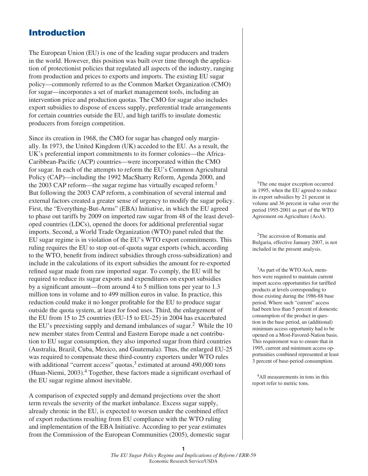## **Introduction**

The European Union (EU) is one of the leading sugar producers and traders in the world. However, this position was built over time through the application of protectionist policies that regulated all aspects of the industry, ranging from production and prices to exports and imports. The existing EU sugar policy—commonly referred to as the Common Market Organization (CMO) for sugar—incorporates a set of market management tools, including an intervention price and production quotas. The CMO for sugar also includes export subsidies to dispose of excess supply, preferential trade arrangements for certain countries outside the EU, and high tariffs to insulate domestic producers from foreign competition.

Since its creation in 1968, the CMO for sugar has changed only marginally. In 1973, the United Kingdom (UK) acceded to the EU. As a result, the UK's preferential import commitments to its former colonies—the Africa-Caribbean-Pacific (ACP) countries—were incorporated within the CMO for sugar. In each of the attempts to reform the EU's Common Agricultural Policy (CAP)—including the 1992 MacSharry Reform, Agenda 2000, and the 2003 CAP reform—the sugar regime has virtually escaped reform.<sup>1</sup> But following the 2003 CAP reform, a combination of several internal and external factors created a greater sense of urgency to modify the sugar policy. First, the "Everything-But-Arms" (EBA) Initiative, in which the EU agreed to phase out tariffs by 2009 on imported raw sugar from 48 of the least developed countries (LDCs), opened the doors for additional preferential sugar imports. Second, a World Trade Organization (WTO) panel ruled that the EU sugar regime is in violation of the EU's WTO export commitments. This ruling requires the EU to stop out-of-quota sugar exports (which, according to the WTO, benefit from indirect subsidies through cross-subsidization) and include in the calculations of its export subsidies the amount for re-exported refined sugar made from raw imported sugar. To comply, the EU will be required to reduce its sugar exports and expenditures on export subsidies by a significant amount—from around 4 to 5 million tons per year to  $1.3$ million tons in volume and to 499 million euros in value. In practice, this reduction could make it no longer profitable for the EU to produce sugar outside the quota system, at least for food uses. Third, the enlargement of the EU from 15 to 25 countries (EU-15 to EU-25) in 2004 has exacerbated the EU's preexisting supply and demand imbalances of sugar.<sup>2</sup> While the 10 new member states from Central and Eastern Europe made a net contribution to EU sugar consumption, they also imported sugar from third countries (Australia, Brazil, Cuba, Mexico, and Guatemala). Thus, the enlarged EU-25 was required to compensate these third-country exporters under WTO rules with additional "current access" quotas,<sup>3</sup> estimated at around 490,000 tons (Huan-Niemi,  $2003$ ).<sup>4</sup> Together, these factors made a significant overhaul of the EU sugar regime almost inevitable.

A comparison of expected supply and demand projections over the short term reveals the severity of the market imbalance. Excess sugar supply, already chronic in the EU, is expected to worsen under the combined effect of export reductions resulting from EU compliance with the WTO ruling and implementation of the EBA Initiative. According to per year estimates from the Commission of the European Communities (2005), domestic sugar

<sup>1</sup>The one major exception occurred in 1995, when the EU agreed to reduce its export subsidies by 21 percent in volume and 36 percent in value over the period 1995-2001 as part of the WTO Agreement on Agriculture (AoA).

 2The accession of Romania and Bulgaria, effective January 2007, is not included in the present analysis.

<sup>3</sup>As part of the WTO AoA, members were required to maintain current import access opportunities for tariffied products at levels corresponding to those existing during the 1986-88 base period. Where such "current" access had been less than 5 percent of domestic consumption of the product in question in the base period, an (additional) minimum access opportunity had to be opened on a Most-Favored-Nation basis. This requirement was to ensure that in 1995, current and minimum access opportunities combined represented at least 3 percent of base-period consumption.

 4All measurements in tons in this report refer to metric tons.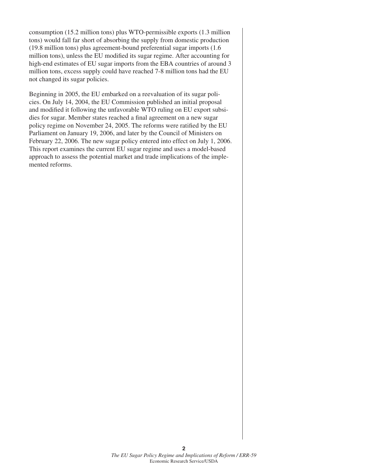consumption (15.2 million tons) plus WTO-permissible exports (1.3 million tons) would fall far short of absorbing the supply from domestic production (19.8 million tons) plus agreement-bound preferential sugar imports (1.6 million tons), unless the EU modified its sugar regime. After accounting for high-end estimates of EU sugar imports from the EBA countries of around 3 million tons, excess supply could have reached 7-8 million tons had the EU not changed its sugar policies.

Beginning in 2005, the EU embarked on a reevaluation of its sugar policies. On July 14, 2004, the EU Commission published an initial proposal and modified it following the unfavorable WTO ruling on EU export subsidies for sugar. Member states reached a final agreement on a new sugar policy regime on November 24, 2005. The reforms were ratified by the EU Parliament on January 19, 2006, and later by the Council of Ministers on February 22, 2006. The new sugar policy entered into effect on July 1, 2006. This report examines the current EU sugar regime and uses a model-based approach to assess the potential market and trade implications of the implemented reforms.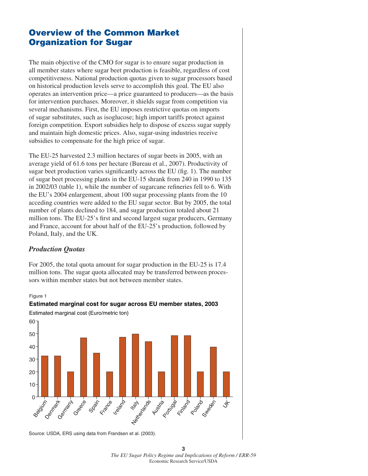## **Overview of the Common Market Organization for Sugar**

The main objective of the CMO for sugar is to ensure sugar production in all member states where sugar beet production is feasible, regardless of cost competitiveness. National production quotas given to sugar processors based on historical production levels serve to accomplish this goal. The EU also operates an intervention price—a price guaranteed to producers—as the basis for intervention purchases. Moreover, it shields sugar from competition via several mechanisms. First, the EU imposes restrictive quotas on imports of sugar substitutes, such as isoglucose; high import tariffs protect against foreign competition. Export subsidies help to dispose of excess sugar supply and maintain high domestic prices. Also, sugar-using industries receive subsidies to compensate for the high price of sugar.

The EU-25 harvested 2.3 million hectares of sugar beets in 2005, with an average yield of 61.6 tons per hectare (Bureau et al., 2007). Productivity of sugar beet production varies significantly across the EU (fig. 1). The number of sugar beet processing plants in the EU-15 shrank from 240 in 1990 to 135 in  $2002/03$  (table 1), while the number of sugarcane refineries fell to 6. With the EU's 2004 enlargement, about 100 sugar processing plants from the 10 acceding countries were added to the EU sugar sector. But by 2005, the total number of plants declined to 184, and sugar production totaled about 21 million tons. The EU-25's first and second largest sugar producers, Germany and France, account for about half of the EU-25's production, followed by Poland, Italy, and the UK.

#### *Production Quotas*

For 2005, the total quota amount for sugar production in the EU-25 is 17.4 million tons. The sugar quota allocated may be transferred between processors within member states but not between member states.

#### Figure 1





**3** *The EU Sugar Policy Regime and Implications of Reform / ERR-59*  Economic Research Service/USDA

Source: USDA, ERS using data from Frandsen et al. (2003).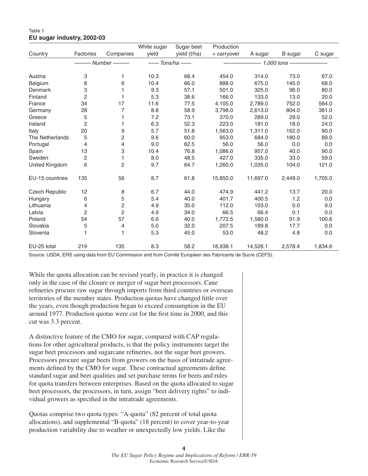#### Table 1 **EU sugar industry, 2002-03**

|                       |                |           | White sugar | Sugar beet   | Production  |          |                |         |
|-----------------------|----------------|-----------|-------------|--------------|-------------|----------|----------------|---------|
| Country               | Factories      | Companies | vield       | yield (t/ha) | + carryover | A sugar  | <b>B</b> sugar | C sugar |
|                       |                | Number-   |             | Tons/ha —    |             |          | 1,000 tons -   |         |
|                       |                |           |             |              |             |          |                |         |
| Austria               | 3              | 1         | 10.3        | 68.4         | 454.0       | 314.0    | 73.0           | 67.0    |
| Belgium               | 8              | 6         | 10.4        | 66.0         | 888.0       | 675.0    | 145.0          | 68.0    |
| Denmark               | 3              | 1         | 9.3         | 57.1         | 501.0       | 325.0    | 96.0           | 80.0    |
| Finland               | $\overline{c}$ | 1         | 5.3         | 38.6         | 166.0       | 133.0    | 13.0           | 20.0    |
| France                | 34             | 17        | 11.6        | 77.5         | 4,105.0     | 2,789.0  | 752.0          | 564.0   |
| Germany               | 28             | 7         | 8.8         | 58.9         | 3,798.0     | 2,613.0  | 804.0          | 381.0   |
| Greece                | 5              |           | 7.2         | 73.1         | 370.0       | 289.0    | 29.0           | 52.0    |
| Ireland               | $\overline{c}$ |           | 6.3         | 52.3         | 223.0       | 181.0    | 18.0           | 24.0    |
| Italy                 | 20             | 9         | 5.7         | 51.8         | 1,563.0     | 1.311.0  | 162.0          | 90.0    |
| The Netherlands       | 5              | 2         | 9.6         | 60.0         | 953.0       | 684.0    | 180.0          | 89.0    |
| Portugal              | 4              | 4         | 9.0         | 62.5         | 56.0        | 56.0     | 0.0            | 0.0     |
| Spain                 | 13             | 3         | 10.4        | 76.8         | 1,086.0     | 957.0    | 40.0           | 90.0    |
| Sweden                | $\overline{c}$ | 1         | 8.0         | 48.5         | 427.0       | 335.0    | 33.0           | 59.0    |
| United Kingdom        | 6              | 2         | 9.7         | 64.7         | 1,260.0     | 1,035.0  | 104.0          | 121.0   |
| EU-15 countries       | 135            | 56        | 8.7         | 61.8         | 15,850.0    | 11,697.0 | 2,449.0        | 1,705.0 |
| <b>Czech Republic</b> | 12             | 8         | 6.7         | 44.0         | 474.9       | 441.2    | 13.7           | 20.0    |
| Hungary               | 6              | 5         | 5.4         | 40.0         | 401.7       | 400.5    | 1.2            | 0.0     |
| Lithuania             | 4              | 2         | 4.9         | 35.0         | 112.0       | 103.0    | 0.0            | 9.0     |
| Latvia                | $\overline{c}$ | 2         | 4.9         | 34.0         | 66.5        | 66.4     | 0.1            | 0.0     |
| Poland                | 54             | 57        | 6.6         | 40.0         | 1,772.5     | 1,580.0  | 91.9           | 100.6   |
| Slovakia              | 5              | 4         | 5.0         | 32.0         | 207.5       | 189.8    | 17.7           | 0.0     |
| Slovenia              |                | 1         | 5.3         | 45.0         | 53.0        | 48.2     | 4.8            | 0.0     |
| EU-25 total           | 219            | 135       | 8.3         | 58.2         | 18,938.1    | 14,526.1 | 2,578.4        | 1,834.6 |

Source: USDA, ERS using data from EU Commission and from Comité Européen des Fabricants de Sucre (CEFS).

While the quota allocation can be revised yearly, in practice it is changed only in the case of the closure or merger of sugar beet processors. Cane refineries procure raw sugar through imports from third countries or overseas territories of the member states. Production quotas have changed little over the years, even though production began to exceed consumption in the EU around 1977. Production quotas were cut for the first time in 2000, and this cut was 3.3 percent.

A distinctive feature of the CMO for sugar, compared with CAP regulations for other agricultural products, is that the policy instruments target the sugar beet processors and sugarcane refineries, not the sugar beet growers. Processors procure sugar beets from growers on the basis of intratrade agreements defined by the CMO for sugar. These contractual agreements define standard sugar and beet qualities and set purchase terms for beets and rules for quota transfers between enterprises. Based on the quota allocated to sugar beet processors, the processors, in turn, assign "beet delivery rights" to individual growers as specified in the intratrade agreements.

Quotas comprise two quota types: "A-quota" (82 percent of total quota allocations), and supplemental "B-quota" (18 percent) to cover year-to-year production variability due to weather or unexpectedly low yields. Like the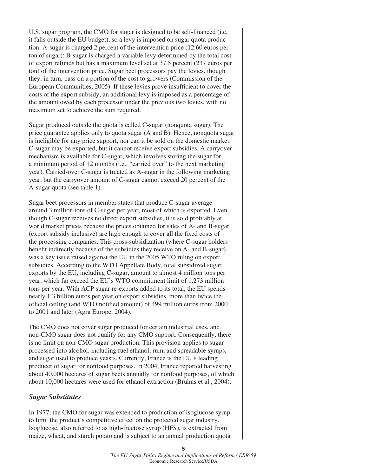U.S. sugar program, the CMO for sugar is designed to be self-financed (i.e, it falls outside the EU budget), so a levy is imposed on sugar quota production. A-sugar is charged 2 percent of the intervention price (12.60 euros per ton of sugar); B-sugar is charged a variable levy determined by the total cost of export refunds but has a maximum level set at 37.5 percent (237 euros per ton) of the intervention price. Sugar beet processors pay the levies, though they, in turn, pass on a portion of the cost to growers (Commission of the European Communities, 2005). If these levies prove insufficient to cover the costs of the export subsidy, an additional levy is imposed as a percentage of the amount owed by each processor under the previous two levies, with no maximum set to achieve the sum required.

Sugar produced outside the quota is called C-sugar (nonquota sugar). The price guarantee applies only to quota sugar (A and B). Hence, nonquota sugar is ineligible for any price support, nor can it be sold on the domestic market. C-sugar may be exported, but it cannot receive export subsidies. A carryover mechanism is available for C-sugar, which involves storing the sugar for a minimum period of 12 months (i.e., "carried over" to the next marketing year). Carried-over C-sugar is treated as A-sugar in the following marketing year, but the carryover amount of C-sugar cannot exceed 20 percent of the A-sugar quota (see table 1).

Sugar beet processors in member states that produce C-sugar average around 3 million tons of C-sugar per year, most of which is exported. Even though C-sugar receives no direct export subsidies, it is sold profitably at world market prices because the prices obtained for sales of A- and B-sugar (export subsidy inclusive) are high enough to cover all the fixed costs of the processing companies. This cross-subsidization (where C-sugar holders benefit indirectly because of the subsidies they receive on A- and B-sugar) was a key issue raised against the EU in the 2005 WTO ruling on export subsidies. According to the WTO Appellate Body, total subsidized sugar exports by the EU, including C-sugar, amount to almost 4 million tons per year, which far exceed the EU's WTO commitment limit of 1.273 million tons per year. With ACP sugar re-exports added to its total, the EU spends nearly 1.3 billion euros per year on export subsidies, more than twice the official ceiling (and WTO notified amount) of 499 million euros from 2000 to 2001 and later (Agra Europe, 2004).

The CMO does not cover sugar produced for certain industrial uses, and non-CMO sugar does not qualify for any CMO support. Consequently, there is no limit on non-CMO sugar production. This provision applies to sugar processed into alcohol, including fuel ethanol, rum, and spreadable syrups, and sugar used to produce yeasts. Currently, France is the EU's leading producer of sugar for nonfood purposes. In 2004, France reported harvesting about 40,000 hectares of sugar beets annually for nonfood purposes, of which about 10,000 hectares were used for ethanol extraction (Bruhns et al., 2004).

#### *Sugar Substitutes*

In 1977, the CMO for sugar was extended to production of isoglucose syrup to limit the product's competitive effect on the protected sugar industry. Isoglucose, also referred to as high-fructose syrup (HFS), is extracted from maize, wheat, and starch potato and is subject to an annual production quota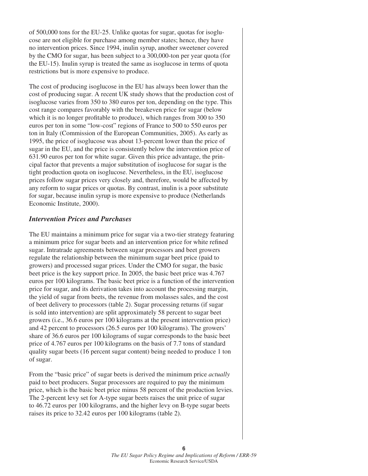of 500,000 tons for the EU-25. Unlike quotas for sugar, quotas for isoglucose are not eligible for purchase among member states; hence, they have no intervention prices. Since 1994, inulin syrup, another sweetener covered by the CMO for sugar, has been subject to a 300,000-ton per year quota (for the EU-15). Inulin syrup is treated the same as isoglucose in terms of quota restrictions but is more expensive to produce.

The cost of producing isoglucose in the EU has always been lower than the cost of producing sugar. A recent UK study shows that the production cost of isoglucose varies from 350 to 380 euros per ton, depending on the type. This cost range compares favorably with the breakeven price for sugar (below which it is no longer profitable to produce), which ranges from 300 to 350 euros per ton in some "low-cost" regions of France to 500 to 550 euros per ton in Italy (Commission of the European Communities, 2005). As early as 1995, the price of isoglucose was about 13-percent lower than the price of sugar in the EU, and the price is consistently below the intervention price of 631.90 euros per ton for white sugar. Given this price advantage, the principal factor that prevents a major substitution of isoglucose for sugar is the tight production quota on isoglucose. Nevertheless, in the EU, isoglucose prices follow sugar prices very closely and, therefore, would be affected by any reform to sugar prices or quotas. By contrast, inulin is a poor substitute for sugar, because inulin syrup is more expensive to produce (Netherlands Economic Institute, 2000).

#### *Intervention Prices and Purchases*

The EU maintains a minimum price for sugar via a two-tier strategy featuring a minimum price for sugar beets and an intervention price for white refined sugar. Intratrade agreements between sugar processors and beet growers regulate the relationship between the minimum sugar beet price (paid to growers) and processed sugar prices. Under the CMO for sugar, the basic beet price is the key support price. In 2005, the basic beet price was 4.767 euros per 100 kilograms. The basic beet price is a function of the intervention price for sugar, and its derivation takes into account the processing margin, the yield of sugar from beets, the revenue from molasses sales, and the cost of beet delivery to processors (table 2). Sugar processing returns (if sugar is sold into intervention) are split approximately 58 percent to sugar beet growers (i.e., 36.6 euros per 100 kilograms at the present intervention price) and 42 percent to processors (26.5 euros per 100 kilograms). The growers' share of 36.6 euros per 100 kilograms of sugar corresponds to the basic beet price of 4.767 euros per 100 kilograms on the basis of 7.7 tons of standard quality sugar beets (16 percent sugar content) being needed to produce 1 ton of sugar.

From the "basic price" of sugar beets is derived the minimum price *actually* paid to beet producers. Sugar processors are required to pay the minimum price, which is the basic beet price minus 58 percent of the production levies. The 2-percent levy set for A-type sugar beets raises the unit price of sugar to 46.72 euros per 100 kilograms, and the higher levy on B-type sugar beets raises its price to 32.42 euros per 100 kilograms (table 2).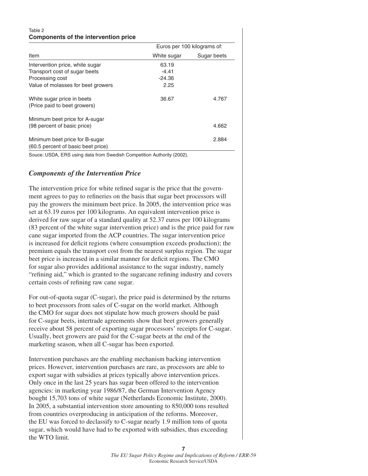#### Table 2 **Components of the intervention price**

|                                                                      | Euros per 100 kilograms of: |             |  |
|----------------------------------------------------------------------|-----------------------------|-------------|--|
| Item                                                                 | White sugar                 | Sugar beets |  |
| Intervention price, white sugar                                      | 63.19                       |             |  |
| Transport cost of sugar beets                                        | $-4.41$                     |             |  |
| Processing cost                                                      | $-24.36$                    |             |  |
| Value of molasses for beet growers                                   | 2.25                        |             |  |
| White sugar price in beets<br>(Price paid to beet growers)           | 36.67                       | 4.767       |  |
| Minimum beet price for A-sugar<br>(98 percent of basic price)        |                             | 4.662       |  |
| Minimum beet price for B-sugar<br>(60.5 percent of basic beet price) |                             | 2.884       |  |

Souce: USDA, ERS using data from Swedish Competition Authority (2002).

#### *Components of the Intervention Price*

The intervention price for white refined sugar is the price that the government agrees to pay to refineries on the basis that sugar beet processors will pay the growers the minimum beet price. In 2005, the intervention price was set at 63.19 euros per 100 kilograms. An equivalent intervention price is derived for raw sugar of a standard quality at 52.37 euros per 100 kilograms (83 percent of the white sugar intervention price) and is the price paid for raw cane sugar imported from the ACP countries. The sugar intervention price is increased for deficit regions (where consumption exceeds production); the premium equals the transport cost from the nearest surplus region. The sugar beet price is increased in a similar manner for deficit regions. The CMO for sugar also provides additional assistance to the sugar industry, namely "refining aid," which is granted to the sugarcane refining industry and covers certain costs of refining raw cane sugar.

For out-of-quota sugar (C-sugar), the price paid is determined by the returns to beet processors from sales of C-sugar on the world market. Although the CMO for sugar does not stipulate how much growers should be paid for C-sugar beets, intertrade agreements show that beet growers generally receive about 58 percent of exporting sugar processors' receipts for C-sugar. Usually, beet growers are paid for the C-sugar beets at the end of the marketing season, when all C-sugar has been exported.

Intervention purchases are the enabling mechanism backing intervention prices. However, intervention purchases are rare, as processors are able to export sugar with subsidies at prices typically above intervention prices. Only once in the last 25 years has sugar been offered to the intervention agencies: in marketing year 1986/87, the German Intervention Agency bought 15,703 tons of white sugar (Netherlands Economic Institute, 2000). In 2005, a substantial intervention store amounting to 850,000 tons resulted from countries overproducing in anticipation of the reforms. Moreover, the EU was forced to declassify to C-sugar nearly 1.9 million tons of quota sugar, which would have had to be exported with subsidies, thus exceeding the WTO limit.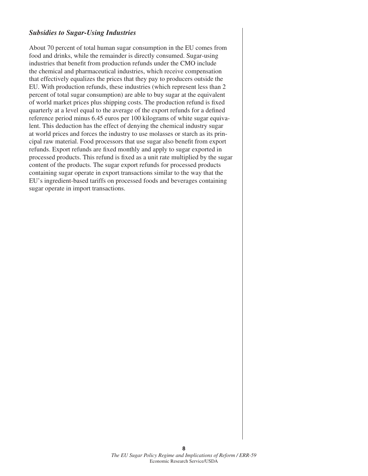#### *Subsidies to Sugar-Using Industries*

About 70 percent of total human sugar consumption in the EU comes from food and drinks, while the remainder is directly consumed. Sugar-using industries that benefit from production refunds under the CMO include the chemical and pharmaceutical industries, which receive compensation that effectively equalizes the prices that they pay to producers outside the EU. With production refunds, these industries (which represent less than 2 percent of total sugar consumption) are able to buy sugar at the equivalent of world market prices plus shipping costs. The production refund is fixed quarterly at a level equal to the average of the export refunds for a defined reference period minus 6.45 euros per 100 kilograms of white sugar equivalent. This deduction has the effect of denying the chemical industry sugar at world prices and forces the industry to use molasses or starch as its principal raw material. Food processors that use sugar also benefit from export refunds. Export refunds are fixed monthly and apply to sugar exported in processed products. This refund is fixed as a unit rate multiplied by the sugar content of the products. The sugar export refunds for processed products containing sugar operate in export transactions similar to the way that the EU's ingredient-based tariffs on processed foods and beverages containing sugar operate in import transactions.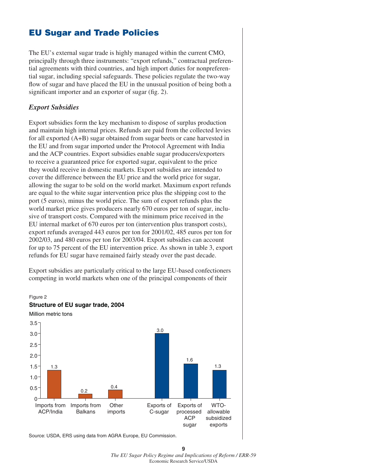## **EU Sugar and Trade Policies**

The EU's external sugar trade is highly managed within the current CMO, principally through three instruments: "export refunds," contractual preferential agreements with third countries, and high import duties for nonpreferential sugar, including special safeguards. These policies regulate the two-way flow of sugar and have placed the EU in the unusual position of being both a significant importer and an exporter of sugar (fig. 2).

#### *Export Subsidies*

Export subsidies form the key mechanism to dispose of surplus production and maintain high internal prices. Refunds are paid from the collected levies for all exported (A+B) sugar obtained from sugar beets or cane harvested in the EU and from sugar imported under the Protocol Agreement with India and the ACP countries. Export subsidies enable sugar producers/exporters to receive a guaranteed price for exported sugar, equivalent to the price they would receive in domestic markets. Export subsidies are intended to cover the difference between the EU price and the world price for sugar, allowing the sugar to be sold on the world market. Maximum export refunds are equal to the white sugar intervention price plus the shipping cost to the port (5 euros), minus the world price. The sum of export refunds plus the world market price gives producers nearly 670 euros per ton of sugar, inclusive of transport costs. Compared with the minimum price received in the EU internal market of 670 euros per ton (intervention plus transport costs), export refunds averaged 443 euros per ton for 2001/02, 485 euros per ton for 2002/03, and 480 euros per ton for 2003/04. Export subsidies can account for up to 75 percent of the EU intervention price. As shown in table 3, export refunds for EU sugar have remained fairly steady over the past decade.

Export subsidies are particularly critical to the large EU-based confectioners competing in world markets when one of the principal components of their



Source: USDA, ERS using data from AGRA Europe, EU Commission.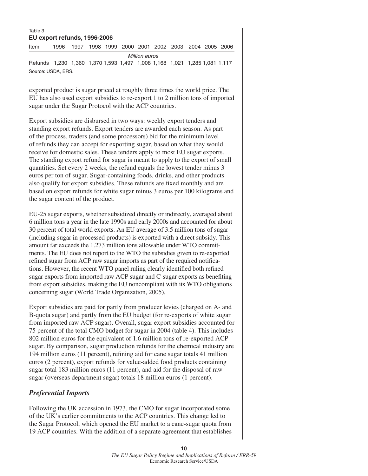#### Table 3 **EU export refunds, 1996-2006**

| Item                                                                      | 1996 | 1997 |  |  |  |  |  | 1998 1999 2000 2001 2002 2003 2004 2005 2006 |  |  |
|---------------------------------------------------------------------------|------|------|--|--|--|--|--|----------------------------------------------|--|--|
| Million euros                                                             |      |      |  |  |  |  |  |                                              |  |  |
| Refunds 1,230 1,360 1,370 1,593 1,497 1,008 1,168 1,021 1,285 1,081 1,117 |      |      |  |  |  |  |  |                                              |  |  |
| Source: USDA, ERS.                                                        |      |      |  |  |  |  |  |                                              |  |  |

exported product is sugar priced at roughly three times the world price. The EU has also used export subsidies to re-export 1 to 2 million tons of imported sugar under the Sugar Protocol with the ACP countries.

Export subsidies are disbursed in two ways: weekly export tenders and standing export refunds. Export tenders are awarded each season. As part of the process, traders (and some processors) bid for the minimum level of refunds they can accept for exporting sugar, based on what they would receive for domestic sales. These tenders apply to most EU sugar exports. The standing export refund for sugar is meant to apply to the export of small quantities. Set every 2 weeks, the refund equals the lowest tender minus 3 euros per ton of sugar. Sugar-containing foods, drinks, and other products also qualify for export subsidies. These refunds are fixed monthly and are based on export refunds for white sugar minus 3 euros per 100 kilograms and the sugar content of the product.

EU-25 sugar exports, whether subsidized directly or indirectly, averaged about 6 million tons a year in the late 1990s and early 2000s and accounted for about 30 percent of total world exports. An EU average of 3.5 million tons of sugar (including sugar in processed products) is exported with a direct subsidy. This amount far exceeds the 1.273 million tons allowable under WTO commitments. The EU does not report to the WTO the subsidies given to re-exported refined sugar from ACP raw sugar imports as part of the required notifications. However, the recent WTO panel ruling clearly identified both refined sugar exports from imported raw ACP sugar and C-sugar exports as benefiting from export subsidies, making the EU noncompliant with its WTO obligations concerning sugar (World Trade Organization, 2005).

Export subsidies are paid for partly from producer levies (charged on A- and B-quota sugar) and partly from the EU budget (for re-exports of white sugar from imported raw ACP sugar). Overall, sugar export subsidies accounted for 75 percent of the total CMO budget for sugar in 2004 (table 4). This includes 802 million euros for the equivalent of 1.6 million tons of re-exported ACP sugar. By comparison, sugar production refunds for the chemical industry are 194 million euros (11 percent), refining aid for cane sugar totals 41 million euros (2 percent), export refunds for value-added food products containing sugar total 183 million euros (11 percent), and aid for the disposal of raw sugar (overseas department sugar) totals 18 million euros (1 percent).

### *Preferential Imports*

Following the UK accession in 1973, the CMO for sugar incorporated some of the UK's earlier commitments to the ACP countries. This change led to the Sugar Protocol, which opened the EU market to a cane-sugar quota from 19 ACP countries. With the addition of a separate agreement that establishes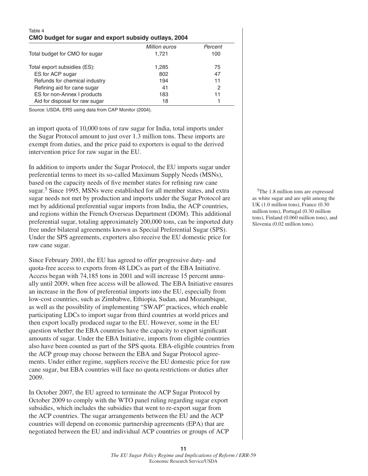| Table 4                                               |               |         |  |  |  |  |
|-------------------------------------------------------|---------------|---------|--|--|--|--|
| CMO budget for sugar and export subsidy outlays, 2004 |               |         |  |  |  |  |
|                                                       | Million euros | Percent |  |  |  |  |
| Total budget for CMO for sugar                        | 1.721         | 100     |  |  |  |  |
| Total export subsidies (ES):                          | 1,285         | 75      |  |  |  |  |
| ES for ACP sugar                                      | 802           | 47      |  |  |  |  |
| Refunds for chemical industry                         | 194           | 11      |  |  |  |  |
| Refining aid for cane sugar                           | 41            | 2       |  |  |  |  |
| ES for non-Annex I products                           | 183           | 11      |  |  |  |  |
| Aid for disposal for raw sugar                        | 18            |         |  |  |  |  |

Source: USDA, ERS using data from CAP Monitor (2004).

an import quota of 10,000 tons of raw sugar for India, total imports under the Sugar Protocol amount to just over 1.3 million tons. These imports are exempt from duties, and the price paid to exporters is equal to the derived intervention price for raw sugar in the EU.

In addition to imports under the Sugar Protocol, the EU imports sugar under preferential terms to meet its so-called Maximum Supply Needs (MSNs), based on the capacity needs of five member states for refining raw cane sugar.<sup>5</sup> Since 1995, MSNs were established for all member states, and extra sugar needs not met by production and imports under the Sugar Protocol are met by additional preferential sugar imports from India, the ACP countries, and regions within the French Overseas Department (DOM). This additional preferential sugar, totaling approximately 200,000 tons, can be imported duty free under bilateral agreements known as Special Preferential Sugar (SPS). Under the SPS agreements, exporters also receive the EU domestic price for raw cane sugar.

Since February 2001, the EU has agreed to offer progressive duty- and quota-free access to exports from 48 LDCs as part of the EBA Initiative. Access began with 74,185 tons in 2001 and will increase 15 percent annually until 2009, when free access will be allowed. The EBA Initiative ensures an increase in the flow of preferential imports into the EU, especially from low-cost countries, such as Zimbabwe, Ethiopia, Sudan, and Mozambique, as well as the possibility of implementing "SWAP" practices, which enable participating LDCs to import sugar from third countries at world prices and then export locally produced sugar to the EU. However, some in the EU question whether the EBA countries have the capacity to export significant amounts of sugar. Under the EBA Initiative, imports from eligible countries also have been counted as part of the SPS quota. EBA-eligible countries from the ACP group may choose between the EBA and Sugar Protocol agreements. Under either regime, suppliers receive the EU domestic price for raw cane sugar, but EBA countries will face no quota restrictions or duties after 2009.

In October 2007, the EU agreed to terminate the ACP Sugar Protocol by October 2009 to comply with the WTO panel ruling regarding sugar export subsidies, which includes the subsidies that went to re-export sugar from the ACP countries. The sugar arrangements between the EU and the ACP countries will depend on economic partnership agreements (EPA) that are negotiated between the EU and individual ACP countries or groups of ACP

 5The 1.8 million tons are expressed as white sugar and are split among the UK (1.0 million tons), France (0.30 million tons), Portugal (0.30 million tons), Finland (0.060 million tons), and Slovenia (0.02 million tons).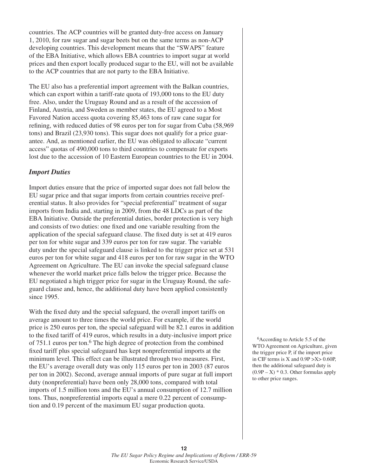countries. The ACP countries will be granted duty-free access on January 1, 2010, for raw sugar and sugar beets but on the same terms as non-ACP developing countries. This development means that the "SWAPS" feature of the EBA Initiative, which allows EBA countries to import sugar at world prices and then export locally produced sugar to the EU, will not be available to the ACP countries that are not party to the EBA Initiative.

The EU also has a preferential import agreement with the Balkan countries, which can export within a tariff-rate quota of 193,000 tons to the EU duty free. Also, under the Uruguay Round and as a result of the accession of Finland, Austria, and Sweden as member states, the EU agreed to a Most Favored Nation access quota covering 85,463 tons of raw cane sugar for refining, with reduced duties of 98 euros per ton for sugar from Cuba (58,969) tons) and Brazil (23,930 tons). This sugar does not qualify for a price guarantee. And, as mentioned earlier, the EU was obligated to allocate "current access" quotas of 490,000 tons to third countries to compensate for exports lost due to the accession of 10 Eastern European countries to the EU in 2004.

#### *Import Duties*

Import duties ensure that the price of imported sugar does not fall below the EU sugar price and that sugar imports from certain countries receive preferential status. It also provides for "special preferential" treatment of sugar imports from India and, starting in 2009, from the 48 LDCs as part of the EBA Initiative. Outside the preferential duties, border protection is very high and consists of two duties: one fixed and one variable resulting from the application of the special safeguard clause. The fixed duty is set at 419 euros per ton for white sugar and 339 euros per ton for raw sugar. The variable duty under the special safeguard clause is linked to the trigger price set at 531 euros per ton for white sugar and 418 euros per ton for raw sugar in the WTO Agreement on Agriculture. The EU can invoke the special safeguard clause whenever the world market price falls below the trigger price. Because the EU negotiated a high trigger price for sugar in the Uruguay Round, the safeguard clause and, hence, the additional duty have been applied consistently since 1995.

With the fixed duty and the special safeguard, the overall import tariffs on average amount to three times the world price. For example, if the world price is 250 euros per ton, the special safeguard will be 82.1 euros in addition to the fixed tariff of 419 euros, which results in a duty-inclusive import price of 751.1 euros per ton.<sup>6</sup> The high degree of protection from the combined fi xed tariff plus special safeguard has kept nonpreferential imports at the minimum level. This effect can be illustrated through two measures. First, the EU's average overall duty was only 115 euros per ton in 2003 (87 euros per ton in 2002). Second, average annual imports of pure sugar at full import duty (nonpreferential) have been only 28,000 tons, compared with total imports of 1.5 million tons and the EU's annual consumption of 12.7 million tons. Thus, nonpreferential imports equal a mere 0.22 percent of consumption and 0.19 percent of the maximum EU sugar production quota.

 6According to Article 5.5 of the WTO Agreement on Agriculture, given the trigger price P, if the import price in CIF terms is X and  $0.9P > X > 0.60P$ , then the additional safeguard duty is  $(0.9P - X) * 0.3$ . Other formulas apply to other price ranges.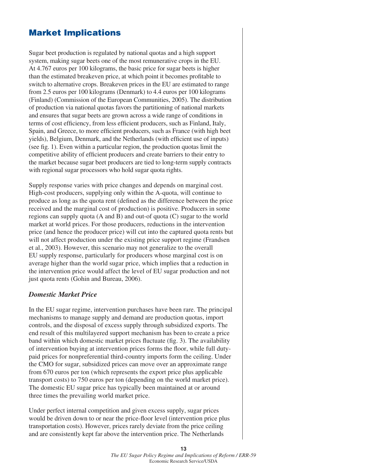## **Market Implications**

Sugar beet production is regulated by national quotas and a high support system, making sugar beets one of the most remunerative crops in the EU. At 4.767 euros per 100 kilograms, the basic price for sugar beets is higher than the estimated breakeven price, at which point it becomes profitable to switch to alternative crops. Breakeven prices in the EU are estimated to range from 2.5 euros per 100 kilograms (Denmark) to 4.4 euros per 100 kilograms (Finland) (Commission of the European Communities, 2005). The distribution of production via national quotas favors the partitioning of national markets and ensures that sugar beets are grown across a wide range of conditions in terms of cost efficiency, from less efficient producers, such as Finland, Italy, Spain, and Greece, to more efficient producers, such as France (with high beet yields), Belgium, Denmark, and the Netherlands (with efficient use of inputs) (see fig. 1). Even within a particular region, the production quotas limit the competitive ability of efficient producers and create barriers to their entry to the market because sugar beet producers are tied to long-term supply contracts with regional sugar processors who hold sugar quota rights.

Supply response varies with price changes and depends on marginal cost. High-cost producers, supplying only within the A-quota, will continue to produce as long as the quota rent (defined as the difference between the price received and the marginal cost of production) is positive. Producers in some regions can supply quota (A and B) and out-of quota (C) sugar to the world market at world prices. For those producers, reductions in the intervention price (and hence the producer price) will cut into the captured quota rents but will not affect production under the existing price support regime (Frandsen et al., 2003). However, this scenario may not generalize to the overall EU supply response, particularly for producers whose marginal cost is on average higher than the world sugar price, which implies that a reduction in the intervention price would affect the level of EU sugar production and not just quota rents (Gohin and Bureau, 2006).

#### *Domestic Market Price*

In the EU sugar regime, intervention purchases have been rare. The principal mechanisms to manage supply and demand are production quotas, import controls, and the disposal of excess supply through subsidized exports. The end result of this multilayered support mechanism has been to create a price band within which domestic market prices fluctuate (fig. 3). The availability of intervention buying at intervention prices forms the floor, while full dutypaid prices for nonpreferential third-country imports form the ceiling. Under the CMO for sugar, subsidized prices can move over an approximate range from 670 euros per ton (which represents the export price plus applicable transport costs) to 750 euros per ton (depending on the world market price). The domestic EU sugar price has typically been maintained at or around three times the prevailing world market price.

Under perfect internal competition and given excess supply, sugar prices would be driven down to or near the price-floor level (intervention price plus transportation costs). However, prices rarely deviate from the price ceiling and are consistently kept far above the intervention price. The Netherlands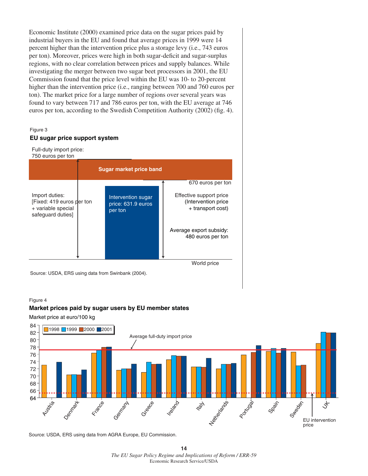Economic Institute (2000) examined price data on the sugar prices paid by industrial buyers in the EU and found that average prices in 1999 were 14 percent higher than the intervention price plus a storage levy (i.e., 743 euros per ton). Moreover, prices were high in both sugar-deficit and sugar-surplus regions, with no clear correlation between prices and supply balances. While investigating the merger between two sugar beet processors in 2001, the EU Commission found that the price level within the EU was 10- to 20-percent higher than the intervention price (i.e., ranging between 700 and 760 euros per ton). The market price for a large number of regions over several years was found to vary between 717 and 786 euros per ton, with the EU average at 746 euros per ton, according to the Swedish Competition Authority (2002) (fig. 4).



Source: USDA, ERS using data from Swinbank (2004).

#### Figure 4

#### **Market prices paid by sugar users by EU member states**

Market price at euro/100 kg



Source: USDA, ERS using data from AGRA Europe, EU Commission.

**<sup>14</sup>** *The EU Sugar Policy Regime and Implications of Reform / ERR-59* Economic Research Service/USDA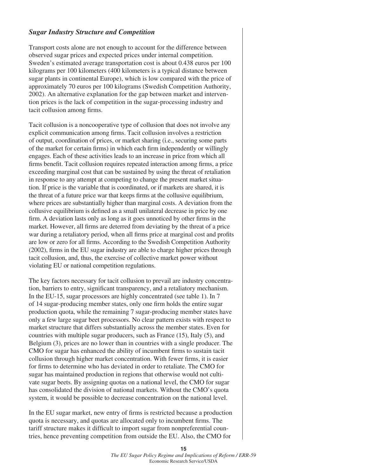#### *Sugar Industry Structure and Competition*

Transport costs alone are not enough to account for the difference between observed sugar prices and expected prices under internal competition. Sweden's estimated average transportation cost is about 0.438 euros per 100 kilograms per 100 kilometers (400 kilometers is a typical distance between sugar plants in continental Europe), which is low compared with the price of approximately 70 euros per 100 kilograms (Swedish Competition Authority, 2002). An alternative explanation for the gap between market and intervention prices is the lack of competition in the sugar-processing industry and tacit collusion among firms.

Tacit collusion is a noncooperative type of collusion that does not involve any explicit communication among firms. Tacit collusion involves a restriction of output, coordination of prices, or market sharing (i.e., securing some parts of the market for certain firms) in which each firm independently or willingly engages. Each of these activities leads to an increase in price from which all firms benefit. Tacit collusion requires repeated interaction among firms, a price exceeding marginal cost that can be sustained by using the threat of retaliation in response to any attempt at competing to change the present market situation. If price is the variable that is coordinated, or if markets are shared, it is the threat of a future price war that keeps firms at the collusive equilibrium, where prices are substantially higher than marginal costs. A deviation from the collusive equilibrium is defined as a small unilateral decrease in price by one firm. A deviation lasts only as long as it goes unnoticed by other firms in the market. However, all firms are deterred from deviating by the threat of a price war during a retaliatory period, when all firms price at marginal cost and profits are low or zero for all firms. According to the Swedish Competition Authority  $(2002)$ , firms in the EU sugar industry are able to charge higher prices through tacit collusion, and, thus, the exercise of collective market power without violating EU or national competition regulations.

The key factors necessary for tacit collusion to prevail are industry concentration, barriers to entry, significant transparency, and a retaliatory mechanism. In the EU-15, sugar processors are highly concentrated (see table 1). In 7 of 14 sugar-producing member states, only one firm holds the entire sugar production quota, while the remaining 7 sugar-producing member states have only a few large sugar beet processors. No clear pattern exists with respect to market structure that differs substantially across the member states. Even for countries with multiple sugar producers, such as France (15), Italy (5), and Belgium (3), prices are no lower than in countries with a single producer. The CMO for sugar has enhanced the ability of incumbent firms to sustain tacit collusion through higher market concentration. With fewer firms, it is easier for firms to determine who has deviated in order to retaliate. The CMO for sugar has maintained production in regions that otherwise would not cultivate sugar beets. By assigning quotas on a national level, the CMO for sugar has consolidated the division of national markets. Without the CMO's quota system, it would be possible to decrease concentration on the national level.

In the EU sugar market, new entry of firms is restricted because a production quota is necessary, and quotas are allocated only to incumbent firms. The tariff structure makes it difficult to import sugar from nonpreferential countries, hence preventing competition from outside the EU. Also, the CMO for

> *The EU Sugar Policy Regime and Implications of Reform / ERR-59*  Economic Research Service/USDA

**15**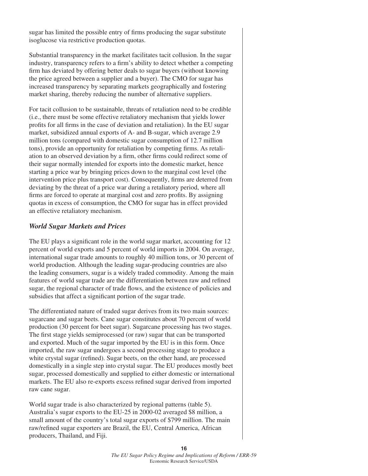sugar has limited the possible entry of firms producing the sugar substitute isoglucose via restrictive production quotas.

Substantial transparency in the market facilitates tacit collusion. In the sugar industry, transparency refers to a firm's ability to detect whether a competing firm has deviated by offering better deals to sugar buyers (without knowing the price agreed between a supplier and a buyer). The CMO for sugar has increased transparency by separating markets geographically and fostering market sharing, thereby reducing the number of alternative suppliers.

For tacit collusion to be sustainable, threats of retaliation need to be credible (i.e., there must be some effective retaliatory mechanism that yields lower profits for all firms in the case of deviation and retaliation). In the EU sugar market, subsidized annual exports of A- and B-sugar, which average 2.9 million tons (compared with domestic sugar consumption of 12.7 million tons), provide an opportunity for retaliation by competing firms. As retaliation to an observed deviation by a firm, other firms could redirect some of their sugar normally intended for exports into the domestic market, hence starting a price war by bringing prices down to the marginal cost level (the intervention price plus transport cost). Consequently, firms are deterred from deviating by the threat of a price war during a retaliatory period, where all firms are forced to operate at marginal cost and zero profits. By assigning quotas in excess of consumption, the CMO for sugar has in effect provided an effective retaliatory mechanism.

#### *World Sugar Markets and Prices*

The EU plays a significant role in the world sugar market, accounting for 12 percent of world exports and 5 percent of world imports in 2004. On average, international sugar trade amounts to roughly 40 million tons, or 30 percent of world production. Although the leading sugar-producing countries are also the leading consumers, sugar is a widely traded commodity. Among the main features of world sugar trade are the differentiation between raw and refined sugar, the regional character of trade flows, and the existence of policies and subsidies that affect a significant portion of the sugar trade.

The differentiated nature of traded sugar derives from its two main sources: sugarcane and sugar beets. Cane sugar constitutes about 70 percent of world production (30 percent for beet sugar). Sugarcane processing has two stages. The first stage yields semiprocessed (or raw) sugar that can be transported and exported. Much of the sugar imported by the EU is in this form. Once imported, the raw sugar undergoes a second processing stage to produce a white crystal sugar (refined). Sugar beets, on the other hand, are processed domestically in a single step into crystal sugar. The EU produces mostly beet sugar, processed domestically and supplied to either domestic or international markets. The EU also re-exports excess refined sugar derived from imported raw cane sugar.

World sugar trade is also characterized by regional patterns (table 5). Australia's sugar exports to the EU-25 in 2000-02 averaged \$8 million, a small amount of the country's total sugar exports of \$799 million. The main raw/refined sugar exporters are Brazil, the EU, Central America, African producers, Thailand, and Fiji.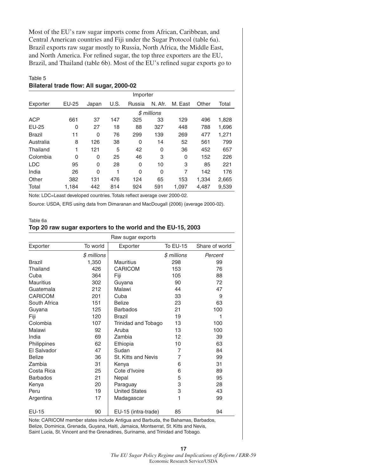Most of the EU's raw sugar imports come from African, Caribbean, and Central American countries and Fiji under the Sugar Protocol (table 6a). Brazil exports raw sugar mostly to Russia, North Africa, the Middle East, and North America. For refined sugar, the top three exporters are the EU, Brazil, and Thailand (table 6b). Most of the EU's refined sugar exports go to

#### Table 5

#### **Bilateral trade flow: All sugar, 2000-02**

|            | Importer |          |      |        |             |         |       |       |
|------------|----------|----------|------|--------|-------------|---------|-------|-------|
| Exporter   | EU-25    | Japan    | U.S. | Russia | N. Afr.     | M. East | Other | Total |
|            |          |          |      |        | \$ millions |         |       |       |
| <b>ACP</b> | 661      | 37       | 147  | 325    | 33          | 129     | 496   | 1,828 |
| EU-25      | 0        | 27       | 18   | 88     | 327         | 448     | 788   | 1,696 |
| Brazil     | 11       | $\Omega$ | 76   | 299    | 139         | 269     | 477   | 1,271 |
| Australia  | 8        | 126      | 38   | 0      | 14          | 52      | 561   | 799   |
| Thailand   | 1        | 121      | 5    | 42     | 0           | 36      | 452   | 657   |
| Colombia   | 0        | 0        | 25   | 46     | 3           | 0       | 152   | 226   |
| <b>LDC</b> | 95       | 0        | 28   | 0      | 10          | 3       | 85    | 221   |
| India      | 26       | 0        | 1    | 0      | $\Omega$    | 7       | 142   | 176   |
| Other      | 382      | 131      | 476  | 124    | 65          | 153     | 1,334 | 2,665 |
| Total      | 1.184    | 442      | 814  | 924    | 591         | 1,097   | 4,487 | 9,539 |

Note: LDC=Least developed countries. Totals reflect average over 2000-02.

Source: USDA, ERS using data from Dimaranan and MacDougall (2006) (average 2000-02).

#### Table 6a **Top 20 raw sugar exporters to the world and the EU-15, 2003**

| Raw sugar exports  |             |                      |                 |                |  |
|--------------------|-------------|----------------------|-----------------|----------------|--|
| Exporter           | To world    | Exporter             | <b>To EU-15</b> | Share of world |  |
|                    | \$ millions |                      | \$ millions     | Percent        |  |
| <b>Brazil</b>      | 1,350       | <b>Mauritius</b>     | 298             | 99             |  |
| Thailand           | 426         | <b>CARICOM</b>       | 153             | 76             |  |
| Cuba               | 364         | Fiji                 | 105             | 88             |  |
| <b>Mauritius</b>   | 302         | Guyana               | 90              | 72             |  |
| Guatemala          | 212         | Malawi               | 44              | 47             |  |
| CARICOM            | 201         | Cuba                 | 33              | 9              |  |
| South Africa       | 151         | <b>Belize</b>        | 23              | 63             |  |
| Guyana             | 125         | <b>Barbados</b>      | 21              | 100            |  |
| Fiji               | 120         | <b>Brazil</b>        | 19              | 1              |  |
| Colombia           | 107         | Trinidad and Tobago  | 13              | 100            |  |
| Malawi             | 92          | Aruba                | 13              | 100            |  |
| India              | 69          | Zambia               | 12              | 39             |  |
| <b>Philippines</b> | 62          | Ethiopia             | 10              | 63             |  |
| El Salvador        | 47          | Sudan                | 7               | 84             |  |
| <b>Belize</b>      | 36          | St. Kitts and Nevis  | 7               | 99             |  |
| Zambia             | 31          | Kenya                | 6               | 31             |  |
| Costa Rica         | 25          | Cote d'Ivoire        | 6               | 89             |  |
| <b>Barbados</b>    | 21          | Nepal                | 5               | 95             |  |
| Kenya              | 20          | Paraguay             | 3               | 28             |  |
| Peru               | 19          | <b>United States</b> | 3               | 43             |  |
| Argentina          | 17          | Madagascar           | 1               | 99             |  |
| EU-15              | 90          | EU-15 (intra-trade)  | 85              | 94             |  |

Note: CARICOM member states include Antigua and Barbuda, the Bahamas, Barbados, Belize, Dominica, Grenada, Guyana, Haiti, Jamaica, Montserrat, St. Kitts and Nevis, Saint Lucia, St. Vincent and the Grenadines, Suriname, and Trinidad and Tobago.

> **17** *The EU Sugar Policy Regime and Implications of Reform / ERR-59*  Economic Research Service/USDA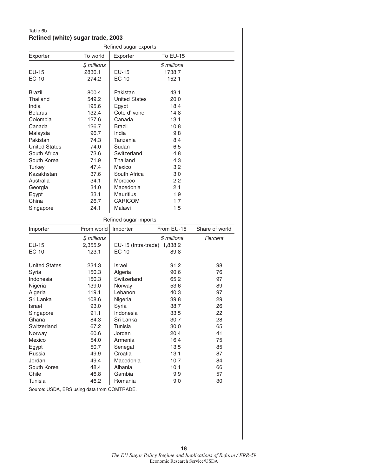#### Table 6b **Refined (white) sugar trade, 2003**

| To world<br><b>To EU-15</b><br>Exporter<br>Exporter<br>\$ millions<br>\$ millions<br>2836.1<br><b>EU-15</b><br>1738.7<br>EC-10<br>274.2<br>152.1<br>800.4<br>Pakistan<br>43.1<br>Thailand<br>20.0<br>549.2<br><b>United States</b><br>195.6<br>Egypt<br>18.4<br>Cote d'Ivoire<br>132.4<br>14.8<br>Colombia<br>127.6<br>Canada<br>13.1<br>Canada<br>126.7<br><b>Brazil</b><br>10.8<br>Malaysia<br>96.7<br>India<br>9.8<br>74.3<br>Tanzania<br>8.4<br><b>United States</b><br>74.0<br>Sudan<br>6.5<br>Switzerland<br>4.8<br>South Africa<br>73.6<br>Thailand<br>4.3<br>71.9<br>Turkey<br>47.4<br>Mexico<br>3.2<br>Kazakhstan<br>37.6<br>South Africa<br>3.0<br>2.2<br>Australia<br>34.1<br>Morocco<br>34.0<br>2.1<br>Macedonia<br>Egypt<br>33.1<br><b>Mauritius</b><br>1.9<br>China<br>26.7<br><b>CARICOM</b><br>1.7<br>24.1<br>Malawi<br>1.5<br>Singapore<br>Refined sugar imports<br>From world<br>From EU-15<br>Share of world<br>Importer<br>$$$ millions<br>\$ millions<br>Percent<br>2,355.9<br>EU-15 (Intra-trade) 1,838.2<br>EC-10<br>123.1<br>89.8<br><b>United States</b><br>234.3<br>91.2<br>98<br>Israel<br>Syria<br>150.3<br>Algeria<br>90.6<br>76<br>Indonesia<br>97<br>150.3<br>Switzerland<br>65.2<br>Nigeria<br>139.0<br>Norway<br>53.6<br>89<br>Algeria<br>Lebanon<br>97<br>119.1<br>40.3<br>Sri Lanka<br>29<br>108.6<br>Nigeria<br>39.8<br>93.0<br>Syria<br>38.7<br>26<br>Israel<br>91.1<br>Indonesia<br>22<br>Singapore<br>33.5<br>84.3<br>Sri Lanka<br>30.7<br>28<br>Ghana<br>Switzerland<br>30.0<br>65<br>67.2<br>Tunisia<br>Jordan<br>41<br>Norway<br>60.6<br>20.4<br>54.0<br>Armenia<br>16.4<br>75<br>Mexico<br>50.7<br>Senegal<br>13.5<br>85<br>Egypt<br>87<br>49.9<br>Croatia<br>Russia<br>13.1<br>Jordan<br>49.4<br>Macedonia<br>84<br>10.7<br>Albania<br>66<br>South Korea<br>48.4<br>10.1<br>Chile<br>Gambia<br>9.9<br>57<br>46.8 |                | Refined sugar exports |         |     |    |  |  |  |
|--------------------------------------------------------------------------------------------------------------------------------------------------------------------------------------------------------------------------------------------------------------------------------------------------------------------------------------------------------------------------------------------------------------------------------------------------------------------------------------------------------------------------------------------------------------------------------------------------------------------------------------------------------------------------------------------------------------------------------------------------------------------------------------------------------------------------------------------------------------------------------------------------------------------------------------------------------------------------------------------------------------------------------------------------------------------------------------------------------------------------------------------------------------------------------------------------------------------------------------------------------------------------------------------------------------------------------------------------------------------------------------------------------------------------------------------------------------------------------------------------------------------------------------------------------------------------------------------------------------------------------------------------------------------------------------------------------------------------------------------------------------------------------------------------------------------------------------------------------------|----------------|-----------------------|---------|-----|----|--|--|--|
|                                                                                                                                                                                                                                                                                                                                                                                                                                                                                                                                                                                                                                                                                                                                                                                                                                                                                                                                                                                                                                                                                                                                                                                                                                                                                                                                                                                                                                                                                                                                                                                                                                                                                                                                                                                                                                                              |                |                       |         |     |    |  |  |  |
|                                                                                                                                                                                                                                                                                                                                                                                                                                                                                                                                                                                                                                                                                                                                                                                                                                                                                                                                                                                                                                                                                                                                                                                                                                                                                                                                                                                                                                                                                                                                                                                                                                                                                                                                                                                                                                                              |                |                       |         |     |    |  |  |  |
|                                                                                                                                                                                                                                                                                                                                                                                                                                                                                                                                                                                                                                                                                                                                                                                                                                                                                                                                                                                                                                                                                                                                                                                                                                                                                                                                                                                                                                                                                                                                                                                                                                                                                                                                                                                                                                                              | <b>EU-15</b>   |                       |         |     |    |  |  |  |
|                                                                                                                                                                                                                                                                                                                                                                                                                                                                                                                                                                                                                                                                                                                                                                                                                                                                                                                                                                                                                                                                                                                                                                                                                                                                                                                                                                                                                                                                                                                                                                                                                                                                                                                                                                                                                                                              | EC-10          |                       |         |     |    |  |  |  |
|                                                                                                                                                                                                                                                                                                                                                                                                                                                                                                                                                                                                                                                                                                                                                                                                                                                                                                                                                                                                                                                                                                                                                                                                                                                                                                                                                                                                                                                                                                                                                                                                                                                                                                                                                                                                                                                              |                |                       |         |     |    |  |  |  |
|                                                                                                                                                                                                                                                                                                                                                                                                                                                                                                                                                                                                                                                                                                                                                                                                                                                                                                                                                                                                                                                                                                                                                                                                                                                                                                                                                                                                                                                                                                                                                                                                                                                                                                                                                                                                                                                              | <b>Brazil</b>  |                       |         |     |    |  |  |  |
|                                                                                                                                                                                                                                                                                                                                                                                                                                                                                                                                                                                                                                                                                                                                                                                                                                                                                                                                                                                                                                                                                                                                                                                                                                                                                                                                                                                                                                                                                                                                                                                                                                                                                                                                                                                                                                                              |                |                       |         |     |    |  |  |  |
|                                                                                                                                                                                                                                                                                                                                                                                                                                                                                                                                                                                                                                                                                                                                                                                                                                                                                                                                                                                                                                                                                                                                                                                                                                                                                                                                                                                                                                                                                                                                                                                                                                                                                                                                                                                                                                                              | India          |                       |         |     |    |  |  |  |
|                                                                                                                                                                                                                                                                                                                                                                                                                                                                                                                                                                                                                                                                                                                                                                                                                                                                                                                                                                                                                                                                                                                                                                                                                                                                                                                                                                                                                                                                                                                                                                                                                                                                                                                                                                                                                                                              | <b>Belarus</b> |                       |         |     |    |  |  |  |
|                                                                                                                                                                                                                                                                                                                                                                                                                                                                                                                                                                                                                                                                                                                                                                                                                                                                                                                                                                                                                                                                                                                                                                                                                                                                                                                                                                                                                                                                                                                                                                                                                                                                                                                                                                                                                                                              |                |                       |         |     |    |  |  |  |
|                                                                                                                                                                                                                                                                                                                                                                                                                                                                                                                                                                                                                                                                                                                                                                                                                                                                                                                                                                                                                                                                                                                                                                                                                                                                                                                                                                                                                                                                                                                                                                                                                                                                                                                                                                                                                                                              |                |                       |         |     |    |  |  |  |
|                                                                                                                                                                                                                                                                                                                                                                                                                                                                                                                                                                                                                                                                                                                                                                                                                                                                                                                                                                                                                                                                                                                                                                                                                                                                                                                                                                                                                                                                                                                                                                                                                                                                                                                                                                                                                                                              |                |                       |         |     |    |  |  |  |
|                                                                                                                                                                                                                                                                                                                                                                                                                                                                                                                                                                                                                                                                                                                                                                                                                                                                                                                                                                                                                                                                                                                                                                                                                                                                                                                                                                                                                                                                                                                                                                                                                                                                                                                                                                                                                                                              | Pakistan       |                       |         |     |    |  |  |  |
|                                                                                                                                                                                                                                                                                                                                                                                                                                                                                                                                                                                                                                                                                                                                                                                                                                                                                                                                                                                                                                                                                                                                                                                                                                                                                                                                                                                                                                                                                                                                                                                                                                                                                                                                                                                                                                                              |                |                       |         |     |    |  |  |  |
|                                                                                                                                                                                                                                                                                                                                                                                                                                                                                                                                                                                                                                                                                                                                                                                                                                                                                                                                                                                                                                                                                                                                                                                                                                                                                                                                                                                                                                                                                                                                                                                                                                                                                                                                                                                                                                                              |                |                       |         |     |    |  |  |  |
|                                                                                                                                                                                                                                                                                                                                                                                                                                                                                                                                                                                                                                                                                                                                                                                                                                                                                                                                                                                                                                                                                                                                                                                                                                                                                                                                                                                                                                                                                                                                                                                                                                                                                                                                                                                                                                                              | South Korea    |                       |         |     |    |  |  |  |
|                                                                                                                                                                                                                                                                                                                                                                                                                                                                                                                                                                                                                                                                                                                                                                                                                                                                                                                                                                                                                                                                                                                                                                                                                                                                                                                                                                                                                                                                                                                                                                                                                                                                                                                                                                                                                                                              |                |                       |         |     |    |  |  |  |
|                                                                                                                                                                                                                                                                                                                                                                                                                                                                                                                                                                                                                                                                                                                                                                                                                                                                                                                                                                                                                                                                                                                                                                                                                                                                                                                                                                                                                                                                                                                                                                                                                                                                                                                                                                                                                                                              |                |                       |         |     |    |  |  |  |
|                                                                                                                                                                                                                                                                                                                                                                                                                                                                                                                                                                                                                                                                                                                                                                                                                                                                                                                                                                                                                                                                                                                                                                                                                                                                                                                                                                                                                                                                                                                                                                                                                                                                                                                                                                                                                                                              |                |                       |         |     |    |  |  |  |
|                                                                                                                                                                                                                                                                                                                                                                                                                                                                                                                                                                                                                                                                                                                                                                                                                                                                                                                                                                                                                                                                                                                                                                                                                                                                                                                                                                                                                                                                                                                                                                                                                                                                                                                                                                                                                                                              | Georgia        |                       |         |     |    |  |  |  |
|                                                                                                                                                                                                                                                                                                                                                                                                                                                                                                                                                                                                                                                                                                                                                                                                                                                                                                                                                                                                                                                                                                                                                                                                                                                                                                                                                                                                                                                                                                                                                                                                                                                                                                                                                                                                                                                              |                |                       |         |     |    |  |  |  |
|                                                                                                                                                                                                                                                                                                                                                                                                                                                                                                                                                                                                                                                                                                                                                                                                                                                                                                                                                                                                                                                                                                                                                                                                                                                                                                                                                                                                                                                                                                                                                                                                                                                                                                                                                                                                                                                              |                |                       |         |     |    |  |  |  |
|                                                                                                                                                                                                                                                                                                                                                                                                                                                                                                                                                                                                                                                                                                                                                                                                                                                                                                                                                                                                                                                                                                                                                                                                                                                                                                                                                                                                                                                                                                                                                                                                                                                                                                                                                                                                                                                              |                |                       |         |     |    |  |  |  |
|                                                                                                                                                                                                                                                                                                                                                                                                                                                                                                                                                                                                                                                                                                                                                                                                                                                                                                                                                                                                                                                                                                                                                                                                                                                                                                                                                                                                                                                                                                                                                                                                                                                                                                                                                                                                                                                              |                |                       |         |     |    |  |  |  |
|                                                                                                                                                                                                                                                                                                                                                                                                                                                                                                                                                                                                                                                                                                                                                                                                                                                                                                                                                                                                                                                                                                                                                                                                                                                                                                                                                                                                                                                                                                                                                                                                                                                                                                                                                                                                                                                              | Importer       |                       |         |     |    |  |  |  |
|                                                                                                                                                                                                                                                                                                                                                                                                                                                                                                                                                                                                                                                                                                                                                                                                                                                                                                                                                                                                                                                                                                                                                                                                                                                                                                                                                                                                                                                                                                                                                                                                                                                                                                                                                                                                                                                              |                |                       |         |     |    |  |  |  |
|                                                                                                                                                                                                                                                                                                                                                                                                                                                                                                                                                                                                                                                                                                                                                                                                                                                                                                                                                                                                                                                                                                                                                                                                                                                                                                                                                                                                                                                                                                                                                                                                                                                                                                                                                                                                                                                              | EU-15          |                       |         |     |    |  |  |  |
|                                                                                                                                                                                                                                                                                                                                                                                                                                                                                                                                                                                                                                                                                                                                                                                                                                                                                                                                                                                                                                                                                                                                                                                                                                                                                                                                                                                                                                                                                                                                                                                                                                                                                                                                                                                                                                                              | EC-10          |                       |         |     |    |  |  |  |
|                                                                                                                                                                                                                                                                                                                                                                                                                                                                                                                                                                                                                                                                                                                                                                                                                                                                                                                                                                                                                                                                                                                                                                                                                                                                                                                                                                                                                                                                                                                                                                                                                                                                                                                                                                                                                                                              |                |                       |         |     |    |  |  |  |
|                                                                                                                                                                                                                                                                                                                                                                                                                                                                                                                                                                                                                                                                                                                                                                                                                                                                                                                                                                                                                                                                                                                                                                                                                                                                                                                                                                                                                                                                                                                                                                                                                                                                                                                                                                                                                                                              |                |                       |         |     |    |  |  |  |
|                                                                                                                                                                                                                                                                                                                                                                                                                                                                                                                                                                                                                                                                                                                                                                                                                                                                                                                                                                                                                                                                                                                                                                                                                                                                                                                                                                                                                                                                                                                                                                                                                                                                                                                                                                                                                                                              |                |                       |         |     |    |  |  |  |
|                                                                                                                                                                                                                                                                                                                                                                                                                                                                                                                                                                                                                                                                                                                                                                                                                                                                                                                                                                                                                                                                                                                                                                                                                                                                                                                                                                                                                                                                                                                                                                                                                                                                                                                                                                                                                                                              |                |                       |         |     |    |  |  |  |
|                                                                                                                                                                                                                                                                                                                                                                                                                                                                                                                                                                                                                                                                                                                                                                                                                                                                                                                                                                                                                                                                                                                                                                                                                                                                                                                                                                                                                                                                                                                                                                                                                                                                                                                                                                                                                                                              |                |                       |         |     |    |  |  |  |
|                                                                                                                                                                                                                                                                                                                                                                                                                                                                                                                                                                                                                                                                                                                                                                                                                                                                                                                                                                                                                                                                                                                                                                                                                                                                                                                                                                                                                                                                                                                                                                                                                                                                                                                                                                                                                                                              |                |                       |         |     |    |  |  |  |
|                                                                                                                                                                                                                                                                                                                                                                                                                                                                                                                                                                                                                                                                                                                                                                                                                                                                                                                                                                                                                                                                                                                                                                                                                                                                                                                                                                                                                                                                                                                                                                                                                                                                                                                                                                                                                                                              |                |                       |         |     |    |  |  |  |
|                                                                                                                                                                                                                                                                                                                                                                                                                                                                                                                                                                                                                                                                                                                                                                                                                                                                                                                                                                                                                                                                                                                                                                                                                                                                                                                                                                                                                                                                                                                                                                                                                                                                                                                                                                                                                                                              |                |                       |         |     |    |  |  |  |
|                                                                                                                                                                                                                                                                                                                                                                                                                                                                                                                                                                                                                                                                                                                                                                                                                                                                                                                                                                                                                                                                                                                                                                                                                                                                                                                                                                                                                                                                                                                                                                                                                                                                                                                                                                                                                                                              |                |                       |         |     |    |  |  |  |
|                                                                                                                                                                                                                                                                                                                                                                                                                                                                                                                                                                                                                                                                                                                                                                                                                                                                                                                                                                                                                                                                                                                                                                                                                                                                                                                                                                                                                                                                                                                                                                                                                                                                                                                                                                                                                                                              |                |                       |         |     |    |  |  |  |
|                                                                                                                                                                                                                                                                                                                                                                                                                                                                                                                                                                                                                                                                                                                                                                                                                                                                                                                                                                                                                                                                                                                                                                                                                                                                                                                                                                                                                                                                                                                                                                                                                                                                                                                                                                                                                                                              |                |                       |         |     |    |  |  |  |
|                                                                                                                                                                                                                                                                                                                                                                                                                                                                                                                                                                                                                                                                                                                                                                                                                                                                                                                                                                                                                                                                                                                                                                                                                                                                                                                                                                                                                                                                                                                                                                                                                                                                                                                                                                                                                                                              |                |                       |         |     |    |  |  |  |
|                                                                                                                                                                                                                                                                                                                                                                                                                                                                                                                                                                                                                                                                                                                                                                                                                                                                                                                                                                                                                                                                                                                                                                                                                                                                                                                                                                                                                                                                                                                                                                                                                                                                                                                                                                                                                                                              |                |                       |         |     |    |  |  |  |
|                                                                                                                                                                                                                                                                                                                                                                                                                                                                                                                                                                                                                                                                                                                                                                                                                                                                                                                                                                                                                                                                                                                                                                                                                                                                                                                                                                                                                                                                                                                                                                                                                                                                                                                                                                                                                                                              |                |                       |         |     |    |  |  |  |
|                                                                                                                                                                                                                                                                                                                                                                                                                                                                                                                                                                                                                                                                                                                                                                                                                                                                                                                                                                                                                                                                                                                                                                                                                                                                                                                                                                                                                                                                                                                                                                                                                                                                                                                                                                                                                                                              |                |                       |         |     |    |  |  |  |
|                                                                                                                                                                                                                                                                                                                                                                                                                                                                                                                                                                                                                                                                                                                                                                                                                                                                                                                                                                                                                                                                                                                                                                                                                                                                                                                                                                                                                                                                                                                                                                                                                                                                                                                                                                                                                                                              |                |                       |         |     |    |  |  |  |
|                                                                                                                                                                                                                                                                                                                                                                                                                                                                                                                                                                                                                                                                                                                                                                                                                                                                                                                                                                                                                                                                                                                                                                                                                                                                                                                                                                                                                                                                                                                                                                                                                                                                                                                                                                                                                                                              |                |                       |         |     |    |  |  |  |
|                                                                                                                                                                                                                                                                                                                                                                                                                                                                                                                                                                                                                                                                                                                                                                                                                                                                                                                                                                                                                                                                                                                                                                                                                                                                                                                                                                                                                                                                                                                                                                                                                                                                                                                                                                                                                                                              | Tunisia        | 46.2                  | Romania | 9.0 | 30 |  |  |  |

Source: USDA, ERS using data from COMTRADE.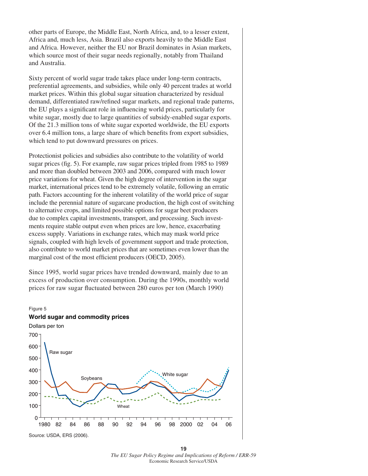other parts of Europe, the Middle East, North Africa, and, to a lesser extent, Africa and, much less, Asia. Brazil also exports heavily to the Middle East and Africa. However, neither the EU nor Brazil dominates in Asian markets, which source most of their sugar needs regionally, notably from Thailand and Australia.

Sixty percent of world sugar trade takes place under long-term contracts, preferential agreements, and subsidies, while only 40 percent trades at world market prices. Within this global sugar situation characterized by residual demand, differentiated raw/refined sugar markets, and regional trade patterns, the EU plays a significant role in influencing world prices, particularly for white sugar, mostly due to large quantities of subsidy-enabled sugar exports. Of the 21.3 million tons of white sugar exported worldwide, the EU exports over 6.4 million tons, a large share of which benefits from export subsidies, which tend to put downward pressures on prices.

Protectionist policies and subsidies also contribute to the volatility of world sugar prices (fig. 5). For example, raw sugar prices tripled from 1985 to 1989 and more than doubled between 2003 and 2006, compared with much lower price variations for wheat. Given the high degree of intervention in the sugar market, international prices tend to be extremely volatile, following an erratic path. Factors accounting for the inherent volatility of the world price of sugar include the perennial nature of sugarcane production, the high cost of switching to alternative crops, and limited possible options for sugar beet producers due to complex capital investments, transport, and processing. Such investments require stable output even when prices are low, hence, exacerbating excess supply. Variations in exchange rates, which may mask world price signals, coupled with high levels of government support and trade protection, also contribute to world market prices that are sometimes even lower than the marginal cost of the most efficient producers (OECD, 2005).

Since 1995, world sugar prices have trended downward, mainly due to an excess of production over consumption. During the 1990s, monthly world prices for raw sugar fluctuated between 280 euros per ton (March 1990)



Source: USDA, ERS (2006).

**19** *The EU Sugar Policy Regime and Implications of Reform / ERR-59*  Economic Research Service/USDA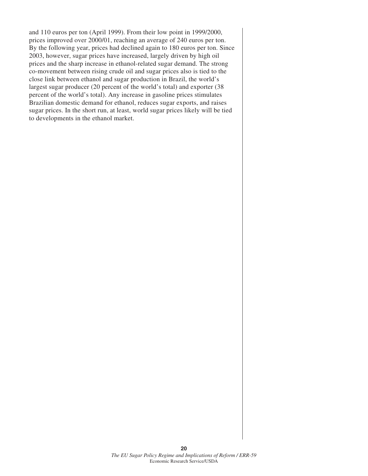and 110 euros per ton (April 1999). From their low point in 1999/2000, prices improved over 2000/01, reaching an average of 240 euros per ton. By the following year, prices had declined again to 180 euros per ton. Since 2003, however, sugar prices have increased, largely driven by high oil prices and the sharp increase in ethanol-related sugar demand. The strong co-movement between rising crude oil and sugar prices also is tied to the close link between ethanol and sugar production in Brazil, the world's largest sugar producer (20 percent of the world's total) and exporter (38 percent of the world's total). Any increase in gasoline prices stimulates Brazilian domestic demand for ethanol, reduces sugar exports, and raises sugar prices. In the short run, at least, world sugar prices likely will be tied to developments in the ethanol market.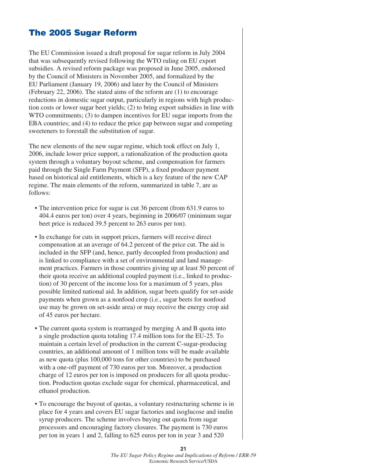## **The 2005 Sugar Reform**

The EU Commission issued a draft proposal for sugar reform in July 2004 that was subsequently revised following the WTO ruling on EU export subsidies. A revised reform package was proposed in June 2005, endorsed by the Council of Ministers in November 2005, and formalized by the EU Parliament (January 19, 2006) and later by the Council of Ministers (February 22, 2006). The stated aims of the reform are (1) to encourage reductions in domestic sugar output, particularly in regions with high production costs or lower sugar beet yields; (2) to bring export subsidies in line with WTO commitments; (3) to dampen incentives for EU sugar imports from the EBA countries; and (4) to reduce the price gap between sugar and competing sweeteners to forestall the substitution of sugar.

The new elements of the new sugar regime, which took effect on July 1, 2006, include lower price support, a rationalization of the production quota system through a voluntary buyout scheme, and compensation for farmers paid through the Single Farm Payment (SFP), a fixed producer payment based on historical aid entitlements, which is a key feature of the new CAP regime. The main elements of the reform, summarized in table 7, are as follows:

- The intervention price for sugar is cut 36 percent (from 631.9 euros to 404.4 euros per ton) over 4 years, beginning in 2006/07 (minimum sugar beet price is reduced 39.5 percent to 263 euros per ton).
- In exchange for cuts in support prices, farmers will receive direct compensation at an average of 64.2 percent of the price cut. The aid is included in the SFP (and, hence, partly decoupled from production) and is linked to compliance with a set of environmental and land management practices. Farmers in those countries giving up at least 50 percent of their quota receive an additional coupled payment (i.e., linked to production) of 30 percent of the income loss for a maximum of 5 years, plus possible limited national aid. In addition, sugar beets qualify for set-aside payments when grown as a nonfood crop (i.e., sugar beets for nonfood use may be grown on set-aside area) or may receive the energy crop aid of 45 euros per hectare.
- The current quota system is rearranged by merging A and B quota into a single production quota totaling 17.4 million tons for the EU-25. To maintain a certain level of production in the current C-sugar-producing countries, an additional amount of 1 million tons will be made available as new quota (plus 100,000 tons for other countries) to be purchased with a one-off payment of 730 euros per ton. Moreover, a production charge of 12 euros per ton is imposed on producers for all quota production. Production quotas exclude sugar for chemical, pharmaceutical, and ethanol production.
- To encourage the buyout of quotas, a voluntary restructuring scheme is in place for 4 years and covers EU sugar factories and isoglucose and inulin syrup producers. The scheme involves buying out quota from sugar processors and encouraging factory closures. The payment is 730 euros per ton in years 1 and 2, falling to 625 euros per ton in year 3 and 520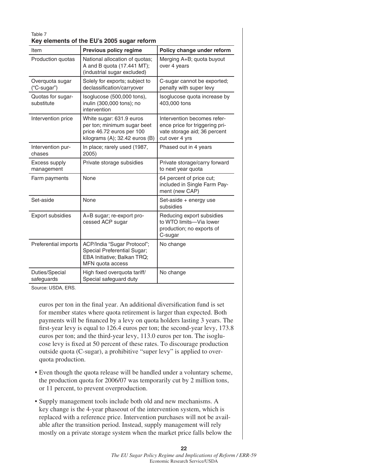| Table 7<br>Key elements of the EU's 2005 sugar reform |                                                                                                                        |                                                                                                                 |  |  |  |  |  |
|-------------------------------------------------------|------------------------------------------------------------------------------------------------------------------------|-----------------------------------------------------------------------------------------------------------------|--|--|--|--|--|
| Item                                                  | Previous policy regime                                                                                                 | Policy change under reform                                                                                      |  |  |  |  |  |
| Production quotas                                     | National allocation of quotas;<br>A and B quota (17.441 MT);<br>(industrial sugar excluded)                            | Merging A+B; quota buyout<br>over 4 years                                                                       |  |  |  |  |  |
| Overquota sugar<br>("C-sugar")                        | Solely for exports; subject to<br>declassification/carryover                                                           | C-sugar cannot be exported;<br>penalty with super levy                                                          |  |  |  |  |  |
| Quotas for sugar-<br>substitute                       | Isoglucose (500,000 tons),<br>inulin (300,000 tons); no<br>intervention                                                | Isoglucose quota increase by<br>403,000 tons                                                                    |  |  |  |  |  |
| Intervention price                                    | White sugar: 631.9 euros<br>per ton; minimum sugar beet<br>price 46.72 euros per 100<br>kilograms (A); 32.42 euros (B) | Intervention becomes refer-<br>ence price for triggering pri-<br>vate storage aid; 36 percent<br>cut over 4 yrs |  |  |  |  |  |
| Intervention pur-<br>chases                           | In place; rarely used (1987,<br>2005)                                                                                  | Phased out in 4 years                                                                                           |  |  |  |  |  |
| Excess supply<br>management                           | Private storage subsidies                                                                                              | Private storage/carry forward<br>to next year quota                                                             |  |  |  |  |  |
| Farm payments                                         | None                                                                                                                   | 64 percent of price cut;<br>included in Single Farm Pay-<br>ment (new CAP)                                      |  |  |  |  |  |
| Set-aside                                             | None                                                                                                                   | Set-aside + energy use<br>subsidies                                                                             |  |  |  |  |  |
| Export subsidies                                      | A+B sugar; re-export pro-<br>cessed ACP sugar                                                                          | Reducing export subsidies<br>to WTO limits-Via lower<br>production; no exports of<br>C-sugar                    |  |  |  |  |  |
| Preferential imports                                  | ACP/India "Sugar Protocol";<br>Special Preferential Sugar;<br>EBA Initiative; Balkan TRQ;<br>MFN quota access          | No change                                                                                                       |  |  |  |  |  |
| Duties/Special<br>safeguards                          | High fixed overquota tariff/<br>Special safeguard duty                                                                 | No change                                                                                                       |  |  |  |  |  |

Source: USDA, ERS.

euros per ton in the final year. An additional diversification fund is set for member states where quota retirement is larger than expected. Both payments will be financed by a levy on quota holders lasting 3 years. The first-year levy is equal to 126.4 euros per ton; the second-year levy, 173.8 euros per ton; and the third-year levy, 113.0 euros per ton. The isoglucose levy is fixed at 50 percent of these rates. To discourage production outside quota (C-sugar), a prohibitive "super levy" is applied to overquota production.

- Even though the quota release will be handled under a voluntary scheme, the production quota for 2006/07 was temporarily cut by 2 million tons, or 11 percent, to prevent overproduction.
- Supply management tools include both old and new mechanisms. A key change is the 4-year phaseout of the intervention system, which is replaced with a reference price. Intervention purchases will not be available after the transition period. Instead, supply management will rely mostly on a private storage system when the market price falls below the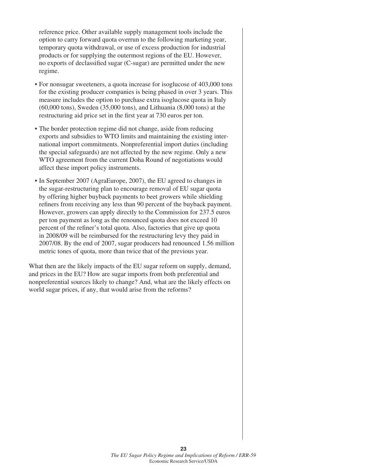reference price. Other available supply management tools include the option to carry forward quota overrun to the following marketing year, temporary quota withdrawal, or use of excess production for industrial products or for supplying the outermost regions of the EU. However, no exports of declassified sugar (C-sugar) are permitted under the new regime.

- For nonsugar sweeteners, a quota increase for isoglucose of 403,000 tons for the existing producer companies is being phased in over 3 years. This measure includes the option to purchase extra isoglucose quota in Italy (60,000 tons), Sweden (35,000 tons), and Lithuania (8,000 tons) at the restructuring aid price set in the first year at 730 euros per ton.
- The border protection regime did not change, aside from reducing exports and subsidies to WTO limits and maintaining the existing international import commitments. Nonpreferential import duties (including the special safeguards) are not affected by the new regime. Only a new WTO agreement from the current Doha Round of negotiations would affect these import policy instruments.
- In September 2007 (AgraEurope, 2007), the EU agreed to changes in the sugar-restructuring plan to encourage removal of EU sugar quota by offering higher buyback payments to beet growers while shielding refiners from receiving any less than 90 percent of the buyback payment. However, growers can apply directly to the Commission for 237.5 euros per ton payment as long as the renounced quota does not exceed 10 percent of the refiner's total quota. Also, factories that give up quota in 2008/09 will be reimbursed for the restructuring levy they paid in 2007/08. By the end of 2007, sugar producers had renounced 1.56 million metric tones of quota, more than twice that of the previous year.

What then are the likely impacts of the EU sugar reform on supply, demand, and prices in the EU? How are sugar imports from both preferential and nonpreferential sources likely to change? And, what are the likely effects on world sugar prices, if any, that would arise from the reforms?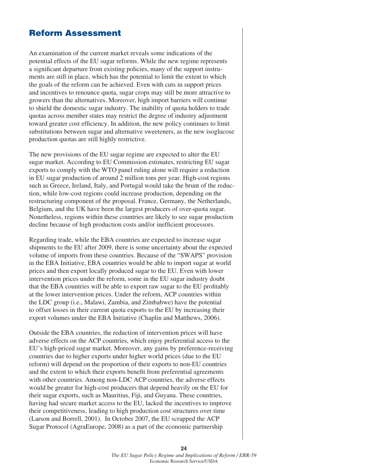## **Reform Assessment**

An examination of the current market reveals some indications of the potential effects of the EU sugar reforms. While the new regime represents a significant departure from existing policies, many of the support instruments are still in place, which has the potential to limit the extent to which the goals of the reform can be achieved. Even with cuts in support prices and incentives to renounce quota, sugar crops may still be more attractive to growers than the alternatives. Moreover, high import barriers will continue to shield the domestic sugar industry. The inability of quota holders to trade quotas across member states may restrict the degree of industry adjustment toward greater cost efficiency. In addition, the new policy continues to limit substitutions between sugar and alternative sweeteners, as the new isoglucose production quotas are still highly restrictive.

The new provisions of the EU sugar regime are expected to alter the EU sugar market. According to EU Commission estimates, restricting EU sugar exports to comply with the WTO panel ruling alone will require a reduction in EU sugar production of around 2 million tons per year. High-cost regions such as Greece, Ireland, Italy, and Portugal would take the brunt of the reduction, while low-cost regions could increase production, depending on the restructuring component of the proposal. France, Germany, the Netherlands, Belgium, and the UK have been the largest producers of over-quota sugar. Nonetheless, regions within these countries are likely to see sugar production decline because of high production costs and/or inefficient processors.

Regarding trade, while the EBA countries are expected to increase sugar shipments to the EU after 2009, there is some uncertainty about the expected volume of imports from these countries. Because of the "SWAPS" provision in the EBA Initiative, EBA countries would be able to import sugar at world prices and then export locally produced sugar to the EU. Even with lower intervention prices under the reform, some in the EU sugar industry doubt that the EBA countries will be able to export raw sugar to the EU profitably at the lower intervention prices. Under the reform, ACP countries within the LDC group (i.e., Malawi, Zambia, and Zimbabwe) have the potential to offset losses in their current quota exports to the EU by increasing their export volumes under the EBA Initiative (Chaplin and Matthews, 2006).

Outside the EBA countries, the reduction of intervention prices will have adverse effects on the ACP countries, which enjoy preferential access to the EU's high-priced sugar market. Moreover, any gains by preference-receiving countries due to higher exports under higher world prices (due to the EU reform) will depend on the proportion of their exports to non-EU countries and the extent to which their exports benefi t from preferential agreements with other countries. Among non-LDC ACP countries, the adverse effects would be greater for high-cost producers that depend heavily on the EU for their sugar exports, such as Mauritius, Fiji, and Guyana. These countries, having had secure market access to the EU, lacked the incentives to improve their competitiveness, leading to high production cost structures over time (Larson and Borrell, 2001). In October 2007, the EU scrapped the ACP Sugar Protocol (AgraEurope, 2008) as a part of the economic partnership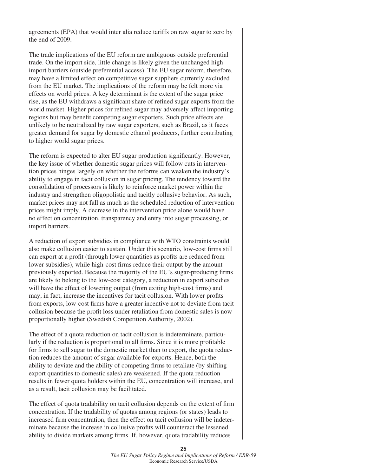agreements (EPA) that would inter alia reduce tariffs on raw sugar to zero by the end of 2009.

The trade implications of the EU reform are ambiguous outside preferential trade. On the import side, little change is likely given the unchanged high import barriers (outside preferential access). The EU sugar reform, therefore, may have a limited effect on competitive sugar suppliers currently excluded from the EU market. The implications of the reform may be felt more via effects on world prices. A key determinant is the extent of the sugar price rise, as the EU withdraws a significant share of refined sugar exports from the world market. Higher prices for refined sugar may adversely affect importing regions but may benefit competing sugar exporters. Such price effects are unlikely to be neutralized by raw sugar exporters, such as Brazil, as it faces greater demand for sugar by domestic ethanol producers, further contributing to higher world sugar prices.

The reform is expected to alter EU sugar production significantly. However, the key issue of whether domestic sugar prices will follow cuts in intervention prices hinges largely on whether the reforms can weaken the industry's ability to engage in tacit collusion in sugar pricing. The tendency toward the consolidation of processors is likely to reinforce market power within the industry and strengthen oligopolistic and tacitly collusive behavior. As such, market prices may not fall as much as the scheduled reduction of intervention prices might imply. A decrease in the intervention price alone would have no effect on concentration, transparency and entry into sugar processing, or import barriers.

A reduction of export subsidies in compliance with WTO constraints would also make collusion easier to sustain. Under this scenario, low-cost firms still can export at a profit (through lower quantities as profits are reduced from lower subsidies), while high-cost firms reduce their output by the amount previously exported. Because the majority of the EU's sugar-producing firms are likely to belong to the low-cost category, a reduction in export subsidies will have the effect of lowering output (from exiting high-cost firms) and may, in fact, increase the incentives for tacit collusion. With lower profits from exports, low-cost firms have a greater incentive not to deviate from tacit collusion because the profit loss under retaliation from domestic sales is now proportionally higher (Swedish Competition Authority, 2002).

The effect of a quota reduction on tacit collusion is indeterminate, particularly if the reduction is proportional to all firms. Since it is more profitable for firms to sell sugar to the domestic market than to export, the quota reduction reduces the amount of sugar available for exports. Hence, both the ability to deviate and the ability of competing firms to retaliate (by shifting export quantities to domestic sales) are weakened. If the quota reduction results in fewer quota holders within the EU, concentration will increase, and as a result, tacit collusion may be facilitated.

The effect of quota tradability on tacit collusion depends on the extent of firm concentration. If the tradability of quotas among regions (or states) leads to increased firm concentration, then the effect on tacit collusion will be indeterminate because the increase in collusive profits will counteract the lessened ability to divide markets among firms. If, however, quota tradability reduces

> **25** *The EU Sugar Policy Regime and Implications of Reform / ERR-59*  Economic Research Service/USDA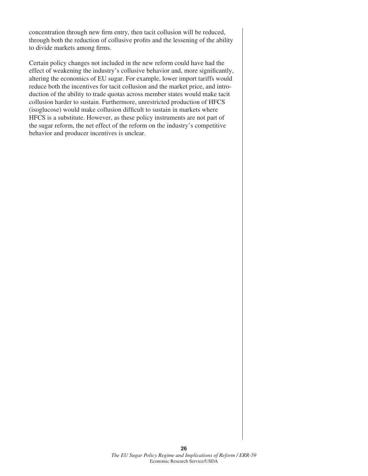concentration through new firm entry, then tacit collusion will be reduced, through both the reduction of collusive profits and the lessening of the ability to divide markets among firms.

Certain policy changes not included in the new reform could have had the effect of weakening the industry's collusive behavior and, more significantly, altering the economics of EU sugar. For example, lower import tariffs would reduce both the incentives for tacit collusion and the market price, and introduction of the ability to trade quotas across member states would make tacit collusion harder to sustain. Furthermore, unrestricted production of HFCS (isoglucose) would make collusion difficult to sustain in markets where HFCS is a substitute. However, as these policy instruments are not part of the sugar reform, the net effect of the reform on the industry's competitive behavior and producer incentives is unclear.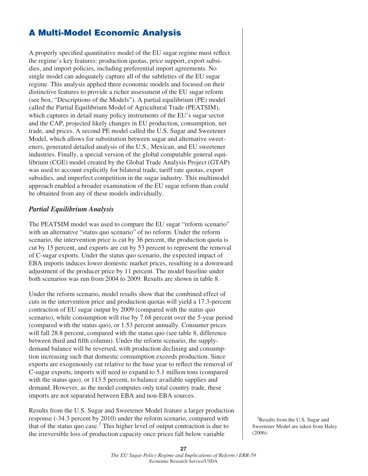## **A Multi-Model Economic Analysis**

A properly specified quantitative model of the EU sugar regime must reflect the regime's key features: production quotas, price support, export subsidies, and import policies, including preferential import agreements. No single model can adequately capture all of the subtleties of the EU sugar regime. This analysis applied three economic models and focused on their distinctive features to provide a richer assessment of the EU sugar reform (see box, "Descriptions of the Models"). A partial equilibrium (PE) model called the Partial Equilibrium Model of Agricultural Trade (PEATSIM), which captures in detail many policy instruments of the EU's sugar sector and the CAP, projected likely changes in EU production, consumption, net trade, and prices. A second PE model called the U.S. Sugar and Sweetener Model, which allows for substitution between sugar and alternative sweeteners, generated detailed analysis of the U.S., Mexican, and EU sweetener industries. Finally, a special version of the global computable general equilibrium (CGE) model created by the Global Trade Analysis Project (GTAP) was used to account explicitly for bilateral trade, tariff rate quotas, export subsidies, and imperfect competition in the sugar industry. This multimodel approach enabled a broader examination of the EU sugar reform than could be obtained from any of these models individually.

#### *Partial Equilibrium Analysis*

The PEATSIM model was used to compare the EU sugar "reform scenario" with an alternative "status quo scenario" of no reform. Under the reform scenario, the intervention price is cut by 36 percent, the production quota is cut by 15 percent, and exports are cut by 53 percent to represent the removal of C-sugar exports. Under the status quo scenario, the expected impact of EBA imports induces lower domestic market prices, resulting in a downward adjustment of the producer price by 11 percent. The model baseline under both scenarios was run from 2004 to 2009. Results are shown in table 8.

Under the reform scenario, model results show that the combined effect of cuts in the intervention price and production quotas will yield a 17.3-percent contraction of EU sugar output by 2009 (compared with the status quo scenario), while consumption will rise by 7.68 percent over the 5-year period (compared with the status quo), or 1.53 percent annually. Consumer prices will fall 28.8 percent, compared with the status quo (see table 8, difference between third and fifth column). Under the reform scenario, the supplydemand balance will be reversed, with production declining and consumption increasing such that domestic consumption exceeds production. Since exports are exogenously cut relative to the base year to reflect the removal of C-sugar exports, imports will need to expand to 5.1 million tons (compared with the status quo), or 113.5 percent, to balance available supplies and demand. However, as the model computes only total country trade, these imports are not separated between EBA and non-EBA sources.

Results from the U.S. Sugar and Sweetener Model feature a larger production response (-34.3 percent by 2010) under the reform scenario, compared with that of the status quo case.7 This higher level of output contraction is due to the irreversible loss of production capacity once prices fall below variable

 7Results from the U.S. Sugar and Sweetener Model are taken from Haley (2006).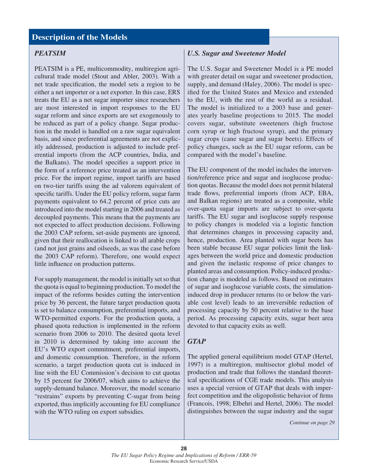#### **Description of the Models**

#### *PEATSIM*

PEATSIM is a PE, multicommodity, multiregion agricultural trade model (Stout and Abler, 2003). With a net trade specification, the model sets a region to be either a net importer or a net exporter. In this case, ERS treats the EU as a net sugar importer since researchers are most interested in import responses to the EU sugar reform and since exports are set exogenously to be reduced as part of a policy change. Sugar production in the model is handled on a raw sugar equivalent basis, and since preferential agreements are not explicitly addressed, production is adjusted to include preferential imports (from the ACP countries, India, and the Balkans). The model specifies a support price in the form of a reference price treated as an intervention price. For the import regime, import tariffs are based on two-tier tariffs using the ad valorem equivalent of specific tariffs. Under the EU policy reform, sugar farm payments equivalent to 64.2 percent of price cuts are introduced into the model starting in 2006 and treated as decoupled payments. This means that the payments are not expected to affect production decisions. Following the 2003 CAP reform, set-aside payments are ignored, given that their reallocation is linked to all arable crops (and not just grains and oilseeds, as was the case before the 2003 CAP reform). Therefore, one would expect little influence on production patterns.

For supply management, the model is initially set so that the quota is equal to beginning production. To model the impact of the reforms besides cutting the intervention price by 36 percent, the future target production quota is set to balance consumption, preferential imports, and WTO-permitted exports. For the production quota, a phased quota reduction is implemented in the reform scenario from 2006 to 2010. The desired quota level in 2010 is determined by taking into account the EU's WTO export commitment, preferential imports, and domestic consumption. Therefore, in the reform scenario, a target production quota cut is induced in line with the EU Commission's decision to cut quotas by 15 percent for 2006/07, which aims to achieve the supply-demand balance. Moreover, the model scenario "restrains" exports by preventing C-sugar from being exported, thus implicitly accounting for EU compliance with the WTO ruling on export subsidies.

#### *U.S. Sugar and Sweetener Model*

The U.S. Sugar and Sweetener Model is a PE model with greater detail on sugar and sweetener production, supply, and demand (Haley, 2006). The model is specified for the United States and Mexico and extended to the EU, with the rest of the world as a residual. The model is initialized to a 2003 base and generates yearly baseline projections to 2015. The model covers sugar, substitute sweeteners (high fructose corn syrup or high fructose syrup), and the primary sugar crops (cane sugar and sugar beets). Effects of policy changes, such as the EU sugar reform, can be compared with the model's baseline.

The EU component of the model includes the intervention/reference price and sugar and isoglucose production quotas. Because the model does not permit bilateral trade flows, preferential imports (from ACP, EBA, and Balkan regions) are treated as a composite, while over-quota sugar imports are subject to over-quota tariffs. The EU sugar and isoglucose supply response to policy changes is modeled via a logistic function that determines changes in processing capacity and, hence, production. Area planted with sugar beets has been stable because EU sugar policies limit the linkages between the world price and domestic production and given the inelastic response of price changes to planted areas and consumption. Policy-induced production change is modeled as follows. Based on estimates of sugar and isoglucose variable costs, the simulationinduced drop in producer returns (to or below the variable cost level) leads to an irreversible reduction of processing capacity by 50 percent relative to the base period. As processing capacity exits, sugar beet area devoted to that capacity exits as well.

#### *GTAP*

The applied general equilibrium model GTAP (Hertel, 1997) is a multiregion, multisector global model of production and trade that follows the standard theoretical specifications of CGE trade models. This analysis uses a special version of GTAP that deals with imperfect competition and the oligopolistic behavior of firms (Francois, 1998; Elbehri and Hertel, 2006). The model distinguishes between the sugar industry and the sugar

*Continue on page 29*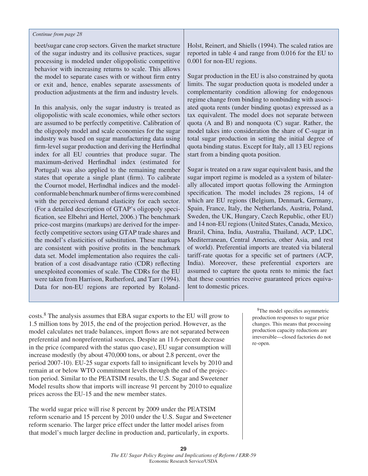#### *Continue from page 28*

beet/sugar cane crop sectors. Given the market structure of the sugar industry and its collusive practices, sugar processing is modeled under oligopolistic competitive behavior with increasing returns to scale. This allows the model to separate cases with or without firm entry or exit and, hence, enables separate assessments of production adjustments at the firm and industry levels.

In this analysis, only the sugar industry is treated as oligopolistic with scale economies, while other sectors are assumed to be perfectly competitive. Calibration of the oligopoly model and scale economies for the sugar industry was based on sugar manufacturing data using firm-level sugar production and deriving the Herfindhal index for all EU countries that produce sugar. The maximum-derived Herfindhal index (estimated for Portugal) was also applied to the remaining member states that operate a single plant (firm). To calibrate the Cournot model, Herfindhal indices and the modelconformable benchmark number of firms were combined with the perceived demand elasticity for each sector. (For a detailed description of GTAP's oligopoly specification, see Elbehri and Hertel, 2006.) The benchmark price-cost margins (markups) are derived for the imperfectly competitive sectors using GTAP trade shares and the model's elasticities of substitution. These markups are consistent with positive profits in the benchmark data set. Model implementation also requires the calibration of a cost disadvantage ratio (CDR) reflecting unexploited economies of scale. The CDRs for the EU were taken from Harrison, Rutherford, and Tarr (1994). Data for non-EU regions are reported by RolandHolst, Reinert, and Shiells (1994). The scaled ratios are reported in table 4 and range from 0.016 for the EU to 0.001 for non-EU regions.

Sugar production in the EU is also constrained by quota limits. The sugar production quota is modeled under a complementarity condition allowing for endogenous regime change from binding to nonbinding with associated quota rents (under binding quotas) expressed as a tax equivalent. The model does not separate between quota (A and B) and nonquota (C) sugar. Rather, the model takes into consideration the share of C-sugar in total sugar production in setting the initial degree of quota binding status. Except for Italy, all 13 EU regions start from a binding quota position.

Sugar is treated on a raw sugar equivalent basis, and the sugar import regime is modeled as a system of bilaterally allocated import quotas following the Armington specification. The model includes 28 regions, 14 of which are EU regions (Belgium, Denmark, Germany, Spain, France, Italy, the Netherlands, Austria, Poland, Sweden, the UK, Hungary, Czech Republic, other EU) and 14 non-EU regions (United States, Canada, Mexico, Brazil, China, India, Australia, Thailand, ACP, LDC, Mediterranean, Central America, other Asia, and rest of world). Preferential imports are treated via bilateral tariff-rate quotas for a specific set of partners (ACP, India). Moreover, these preferential exporters are assumed to capture the quota rents to mimic the fact that these countries receive guaranteed prices equivalent to domestic prices.

costs.8 The analysis assumes that EBA sugar exports to the EU will grow to 1.5 million tons by 2015, the end of the projection period. However, as the model calculates net trade balances, import flows are not separated between preferential and nonpreferential sources. Despite an 11.6-percent decrease in the price (compared with the status quo case), EU sugar consumption will increase modestly (by about 470,000 tons, or about 2.8 percent, over the period 2007-10). EU-25 sugar exports fall to insignificant levels by 2010 and remain at or below WTO commitment levels through the end of the projection period. Similar to the PEATSIM results, the U.S. Sugar and Sweetener Model results show that imports will increase 91 percent by 2010 to equalize prices across the EU-15 and the new member states.

The world sugar price will rise 8 percent by 2009 under the PEATSIM reform scenario and 15 percent by 2010 under the U.S. Sugar and Sweetener reform scenario. The larger price effect under the latter model arises from that model's much larger decline in production and, particularly, in exports.

<sup>8</sup>The model specifies asymmetric production responses to sugar price changes. This means that processing production capacity reductions are irreversible—closed factories do not re-open.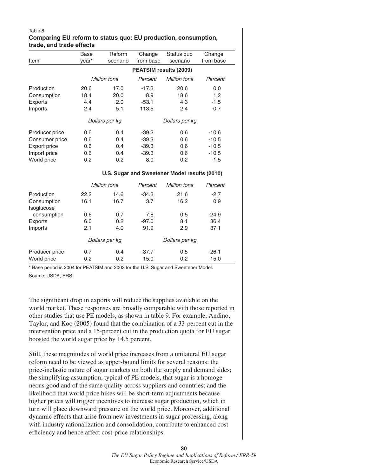#### Table 8 **Comparing EU reform to status quo: EU production, consumption, trade, and trade effects**

|                           | Base                                          | Reform              | Change                        | Status quo          | Change    |  |  |  |
|---------------------------|-----------------------------------------------|---------------------|-------------------------------|---------------------|-----------|--|--|--|
| Item                      | vear*                                         | scenario            | from base                     | scenario            | from base |  |  |  |
|                           |                                               |                     | <b>PEATSIM results (2009)</b> |                     |           |  |  |  |
|                           |                                               | <b>Million tons</b> | Percent                       | <b>Million tons</b> | Percent   |  |  |  |
| Production                | 20.6                                          | 17.0                | $-17.3$                       | 20.6                | 0.0       |  |  |  |
| Consumption               | 18.4                                          | 20.0                | 8.9                           | 18.6                | 1.2       |  |  |  |
| Exports                   | 4.4                                           | 2.0                 | $-53.1$                       | 4.3                 | $-1.5$    |  |  |  |
| Imports                   | 2.4                                           | 5.1                 | 113.5                         | 2.4                 | $-0.7$    |  |  |  |
|                           |                                               | Dollars per kg      |                               | Dollars per kg      |           |  |  |  |
| Producer price            | 0.6                                           | 0.4                 | $-39.2$                       | 0.6                 | $-10.6$   |  |  |  |
| Consumer price            | 0.6                                           | 0.4                 | $-39.3$                       | 0.6                 | $-10.5$   |  |  |  |
| Export price              | 0.6                                           | 0.4                 | $-39.3$                       | 0.6                 | $-10.5$   |  |  |  |
| Import price              | 0.6                                           | 0.4                 | $-39.3$                       | 0.6                 | $-10.5$   |  |  |  |
| World price               | 0.2                                           | 0.2                 | 8.0                           | 0.2                 | $-1.5$    |  |  |  |
|                           | U.S. Sugar and Sweetener Model results (2010) |                     |                               |                     |           |  |  |  |
|                           |                                               | <b>Million tons</b> | Percent                       | <b>Million tons</b> | Percent   |  |  |  |
| Production                | 22.2                                          | 14.6                | $-34.3$                       | 21.6                | $-2.7$    |  |  |  |
| Consumption<br>Isoglucose | 16.1                                          | 16.7                | 3.7                           | 16.2                | 0.9       |  |  |  |
| consumption               | 0.6                                           | 0.7                 | 7.8                           | 0.5                 | $-24.9$   |  |  |  |
| <b>Exports</b>            | 6.0                                           | 0.2                 | $-97.0$                       | 8.1                 | 36.4      |  |  |  |
| Imports                   | 2.1                                           | 4.0                 | 91.9                          | 2.9                 | 37.1      |  |  |  |
|                           | Dollars per kg                                |                     | Dollars per kg                |                     |           |  |  |  |
| Producer price            | 0.7                                           | 0.4                 | $-37.7$                       | 0.5                 | $-26.1$   |  |  |  |
| World price               | 0.2                                           | 0.2                 | 15.0                          | 0.2                 | $-15.0$   |  |  |  |

\* Base period is 2004 for PEATSIM and 2003 for the U.S. Sugar and Sweetener Model. Source: USDA, ERS.

The significant drop in exports will reduce the supplies available on the world market. These responses are broadly comparable with those reported in other studies that use PE models, as shown in table 9. For example, Andino, Taylor, and Koo (2005) found that the combination of a 33-percent cut in the intervention price and a 15-percent cut in the production quota for EU sugar boosted the world sugar price by 14.5 percent.

Still, these magnitudes of world price increases from a unilateral EU sugar reform need to be viewed as upper-bound limits for several reasons: the price-inelastic nature of sugar markets on both the supply and demand sides; the simplifying assumption, typical of PE models, that sugar is a homogeneous good and of the same quality across suppliers and countries; and the likelihood that world price hikes will be short-term adjustments because higher prices will trigger incentives to increase sugar production, which in turn will place downward pressure on the world price. Moreover, additional dynamic effects that arise from new investments in sugar processing, along with industry rationalization and consolidation, contribute to enhanced cost efficiency and hence affect cost-price relationships.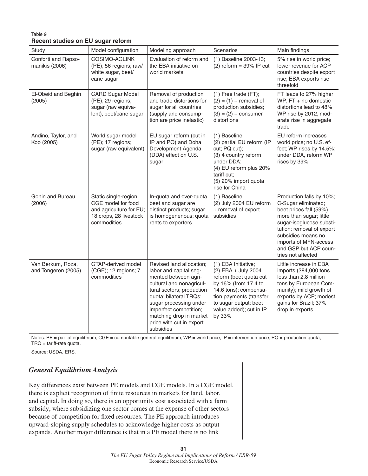#### Table 9 **Recent studies on EU sugar reform**

| Study                                    | Model configuration                                                                                            | Modeling approach                                                                                                                                                                                                                                                                     | <b>Scenarios</b>                                                                                                                                                                                               | Main findings                                                                                                                                                                                                                                               |
|------------------------------------------|----------------------------------------------------------------------------------------------------------------|---------------------------------------------------------------------------------------------------------------------------------------------------------------------------------------------------------------------------------------------------------------------------------------|----------------------------------------------------------------------------------------------------------------------------------------------------------------------------------------------------------------|-------------------------------------------------------------------------------------------------------------------------------------------------------------------------------------------------------------------------------------------------------------|
| Conforti and Rapso-<br>manikis (2006)    | COSIMO-AGLINK<br>(PE); 56 regions; raw/<br>white sugar, beet/<br>cane sugar                                    | Evaluation of reform and<br>the EBA initiative on<br>world markets                                                                                                                                                                                                                    | (1) Baseline 2003-13;<br>$(2)$ reform = 39% IP cut                                                                                                                                                             | 5% rise in world price;<br>lower revenue for ACP<br>countries despite export<br>rise; EBA exports rise<br>threefold                                                                                                                                         |
| El-Obeid and Beghin<br>(2005)            | <b>CARD Sugar Model</b><br>(PE); 29 regions;<br>sugar (raw equiva-<br>lent); beet/cane sugar                   | Removal of production<br>and trade distortions for<br>sugar for all countries<br>(supply and consump-<br>tion are price inelastic)                                                                                                                                                    | $(1)$ Free trade (FT);<br>$(2) = (1) +$ removal of<br>production subsidies;<br>$(3) = (2) + \text{consumer}$<br>distortions                                                                                    | FT leads to 27% higher<br>WP; FT + no domestic<br>distortions lead to 48%<br>WP rise by 2012; mod-<br>erate rise in aggregate<br>trade                                                                                                                      |
| Andino, Taylor, and<br>Koo (2005)        | World sugar model<br>(PE); 17 regions;<br>sugar (raw equivalent)                                               | EU sugar reform (cut in<br>IP and PQ) and Doha<br>Development Agenda<br>(DDA) effect on U.S.<br>sugar                                                                                                                                                                                 | (1) Baseline;<br>(2) partial EU reform (IP<br>cut; PQ cut);<br>(3) 4 country reform<br>under DDA:<br>(4) EU reform plus 20%<br>tariff cut;<br>(5) 20% import quota<br>rise for China                           | EU reform increases<br>world price; no U.S. ef-<br>fect; WP rises by 14.5%;<br>under DDA, reform WP<br>rises by 39%                                                                                                                                         |
| Gohin and Bureau<br>(2006)               | Static single-region<br>CGE model for food<br>and agriculture for EU;<br>18 crops, 28 livestock<br>commodities | In-quota and over-quota<br>beet and sugar are<br>distinct products; sugar<br>is homogenenous; quota<br>rents to exporters                                                                                                                                                             | (1) Baseline;<br>(2) July 2004 EU reform<br>+ removal of export<br>subsidies                                                                                                                                   | Production falls by 10%;<br>C-Sugar eliminated;<br>beet prices fall (59%)<br>more than sugar; little<br>sugar-isoglucose substi-<br>tution; removal of export<br>subsidies means no<br>imports of MFN-access<br>and GSP but ACP coun-<br>tries not affected |
| Van Berkum, Roza,<br>and Tongeren (2005) | GTAP-derived model<br>(CGE); 12 regions; 7<br>commodities                                                      | Revised land allocation;<br>labor and capital seg-<br>mented between agri-<br>cultural and nonagricul-<br>tural sectors; production<br>quota; bilateral TRQs;<br>sugar processing under<br>imperfect competition;<br>matching drop in market<br>price with cut in export<br>subsidies | (1) EBA Initiative;<br>(2) EBA + July 2004<br>reform (beet quota cut<br>by 16% (from 17.4 to<br>14.6 tons); compensa-<br>tion payments (transfer<br>to sugar output; beet<br>value added); cut in IP<br>by 33% | Little increase in EBA<br>imports (384,000 tons<br>less than 2.8 million<br>tons by European Com-<br>munity); mild growth of<br>exports by ACP; modest<br>gains for Brazil; 37%<br>drop in exports                                                          |

Notes: PE = partial equilibrium; CGE = computable general equilibrium; WP = world price; IP = intervention price; PQ = production quota; TRQ = tariff-rate quota.

Source: USDA, ERS.

### *General Equilibrium Analysis*

Key differences exist between PE models and CGE models. In a CGE model, there is explicit recognition of finite resources in markets for land, labor, and capital. In doing so, there is an opportunity cost associated with a farm subsidy, where subsidizing one sector comes at the expense of other sectors because of competition for fixed resources. The PE approach introduces upward-sloping supply schedules to acknowledge higher costs as output expands. Another major difference is that in a PE model there is no link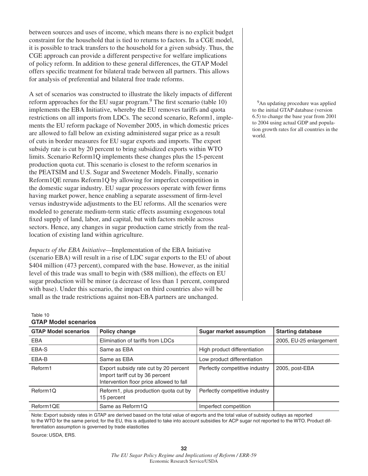between sources and uses of income, which means there is no explicit budget constraint for the household that is tied to returns to factors. In a CGE model, it is possible to track transfers to the household for a given subsidy. Thus, the CGE approach can provide a different perspective for welfare implications of policy reform. In addition to these general differences, the GTAP Model offers specific treatment for bilateral trade between all partners. This allows for analysis of preferential and bilateral free trade reforms.

A set of scenarios was constructed to illustrate the likely impacts of different reform approaches for the EU sugar program. $9$  The first scenario (table 10) implements the EBA Initiative, whereby the EU removes tariffs and quota restrictions on all imports from LDCs. The second scenario, Reform1, implements the EU reform package of November 2005, in which domestic prices are allowed to fall below an existing administered sugar price as a result of cuts in border measures for EU sugar exports and imports. The export subsidy rate is cut by 20 percent to bring subsidized exports within WTO limits. Scenario Reform1Q implements these changes plus the 15-percent production quota cut. This scenario is closest to the reform scenarios in the PEATSIM and U.S. Sugar and Sweetener Models. Finally, scenario Reform1QE reruns Reform1Q by allowing for imperfect competition in the domestic sugar industry. EU sugar processors operate with fewer firms having market power, hence enabling a separate assessment of firm-level versus industrywide adjustments to the EU reforms. All the scenarios were modeled to generate medium-term static effects assuming exogenous total fixed supply of land, labor, and capital, but with factors mobile across sectors. Hence, any changes in sugar production came strictly from the reallocation of existing land within agriculture.

*Impacts of the EBA Initiative—*Implementation of the EBA Initiative (scenario EBA) will result in a rise of LDC sugar exports to the EU of about \$404 million (473 percent), compared with the base. However, as the initial level of this trade was small to begin with (\$88 million), the effects on EU sugar production will be minor (a decrease of less than 1 percent, compared with base). Under this scenario, the impact on third countries also will be small as the trade restrictions against non-EBA partners are unchanged.

<sup>9</sup>An updating procedure was applied to the initial GTAP database (version 6.5) to change the base year from 2001 to 2004 using actual GDP and population growth rates for all countries in the world.

#### Table 10 **GTAP Model scenarios**

| <b>GTAP Model scenarios</b> | Policy change                                                                                                        | <b>Sugar market assumption</b> | <b>Starting database</b> |  |  |  |  |  |
|-----------------------------|----------------------------------------------------------------------------------------------------------------------|--------------------------------|--------------------------|--|--|--|--|--|
| <b>EBA</b>                  | Elimination of tariffs from LDCs                                                                                     |                                | 2005, EU-25 enlargement  |  |  |  |  |  |
| EBA-S                       | Same as EBA                                                                                                          | High product differentiation   |                          |  |  |  |  |  |
| EBA-B                       | Same as EBA                                                                                                          | Low product differentiation    |                          |  |  |  |  |  |
| Reform1                     | Export subsidy rate cut by 20 percent<br>Import tariff cut by 36 percent<br>Intervention floor price allowed to fall | Perfectly competitive industry | 2005, post-EBA           |  |  |  |  |  |
| Reform1Q                    | Reform1, plus production quota cut by<br>15 percent                                                                  | Perfectly competitive industry |                          |  |  |  |  |  |
| Reform1QE                   | Same as Reform1Q                                                                                                     | Imperfect competition          |                          |  |  |  |  |  |

Note: Export subsidy rates in GTAP are derived based on the total value of exports and the total value of subsidy outlays as reported to the WTO for the same period; for the EU, this is adjusted to take into account subsidies for ACP sugar not reported to the WTO. Product differentiation assumption is governed by trade elasticities

Source: USDA, ERS.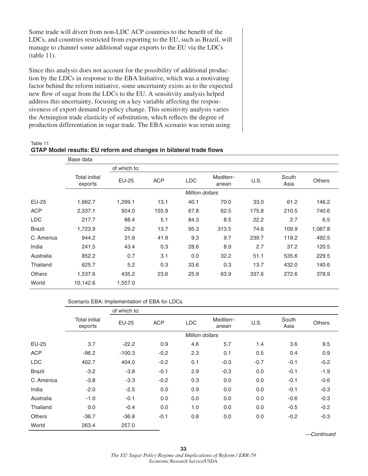Some trade will divert from non-LDC ACP countries to the benefit of the LDCs, and countries restricted from exporting to the EU, such as Brazil, will manage to channel some additional sugar exports to the EU via the LDCs (table 11).

Since this analysis does not account for the possibility of additional production by the LDCs in response to the EBA Initiative, which was a motivating factor behind the reform initiative, some uncertainty exists as to the expected new flow of sugar from the LDCs to the EU. A sensitivity analysis helped address this uncertainty, focusing on a key variable affecting the responsiveness of export demand to policy change. This sensitivity analysis varies the Armington trade elasticity of substitution, which reflects the degree of production differentiation in sugar trade. The EBA scenario was rerun using

| Table 11                                                           |  |
|--------------------------------------------------------------------|--|
| GTAP Model results: EU reform and changes in bilateral trade flows |  |

|               | Base data                |              |            |                 |                    |       |               |               |
|---------------|--------------------------|--------------|------------|-----------------|--------------------|-------|---------------|---------------|
|               |                          | of which to: |            |                 |                    |       |               |               |
|               | Total initial<br>exports | <b>EU-25</b> | <b>ACP</b> | <b>LDC</b>      | Mediterr-<br>anean | U.S.  | South<br>Asia | <b>Others</b> |
|               |                          |              |            | Million dollars |                    |       |               |               |
| EU-25         | 1,662.7                  | 1,299.1      | 13.1       | 40.1            | 70.0               | 33.0  | 61.2          | 146.2         |
| <b>ACP</b>    | 2,337.1                  | 924.0        | 155.9      | 67.8            | 62.5               | 175.8 | 210.5         | 740.6         |
| <b>LDC</b>    | 217.7                    | 88.4         | 5.1        | 84.3            | 8.5                | 22.2  | 2.7           | 6.5           |
| <b>Brazil</b> | 1,723.9                  | 29.2         | 13.7       | 95.3            | 313.5              | 74.6  | 109.9         | 1,087.8       |
| C. America    | 944.2                    | 31.9         | 41.9       | 9.3             | 9.7                | 239.7 | 119.2         | 492.5         |
| India         | 241.5                    | 43.4         | 0.3        | 28.6            | 8.9                | 2.7   | 37.2          | 120.5         |
| Australia     | 852.2                    | 0.7          | 3.1        | 0.0             | 32.2               | 51.1  | 535.6         | 229.5         |
| Thailand      | 625.7                    | 5.2          | 0.3        | 33.6            | 0.3                | 13.7  | 432.0         | 140.6         |
| <b>Others</b> | 1,537.6                  | 435.2        | 23.6       | 25.9            | 63.9               | 337.6 | 272.6         | 378.9         |
| World         | 10,142.6                 | 1,557.0      |            |                 |                    |       |               |               |

#### Scenario EBA: Implementation of EBA for LDCs

|               |                          | of which to: |            |                 |                    |        |               |               |
|---------------|--------------------------|--------------|------------|-----------------|--------------------|--------|---------------|---------------|
|               | Total initial<br>exports | <b>EU-25</b> | <b>ACP</b> | <b>LDC</b>      | Mediterr-<br>anean | U.S.   | South<br>Asia | <b>Others</b> |
|               |                          |              |            | Million dollars |                    |        |               |               |
| <b>EU-25</b>  | 3.7                      | $-22.2$      | 0.9        | 4.6             | 5.7                | 1.4    | 3.6           | 9.5           |
| <b>ACP</b>    | $-96.2$                  | $-100.3$     | $-0.2$     | 2.3             | 0.1                | 0.5    | 0.4           | 0.9           |
| <b>LDC</b>    | 402.7                    | 404.0        | $-0.2$     | 0.1             | $-0.3$             | $-0.7$ | $-0.1$        | $-0.2$        |
| <b>Brazil</b> | $-3.2$                   | $-3.8$       | $-0.1$     | 2.9             | $-0.3$             | 0.0    | $-0.1$        | $-1.9$        |
| C. America    | $-3.8$                   | $-3.3$       | $-0.2$     | 0.3             | 0.0                | 0.0    | $-0.1$        | $-0.6$        |
| India         | $-2.0$                   | $-2.5$       | 0.0        | 0.9             | 0.0                | 0.0    | $-0.1$        | $-0.3$        |
| Australia     | $-1.0$                   | $-0.1$       | 0.0        | 0.0             | 0.0                | 0.0    | $-0.6$        | $-0.3$        |
| Thailand      | 0.0                      | $-0.4$       | 0.0        | 1.0             | 0.0                | 0.0    | $-0.5$        | $-0.2$        |
| <b>Others</b> | $-36.7$                  | $-36.8$      | $-0.1$     | 0.8             | 0.0                | 0.0    | $-0.2$        | $-0.3$        |
| World         | 263.4                    | 257.0        |            |                 |                    |        |               |               |

*—Continued*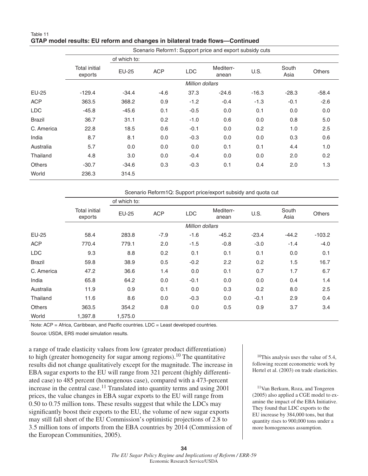#### Table 11 GTAP model results: EU reform and changes in bilateral trade flows—Continued

|               | Scenario Reform1: Support price and export subsidy cuts |              |            |                        |                    |         |               |               |  |  |
|---------------|---------------------------------------------------------|--------------|------------|------------------------|--------------------|---------|---------------|---------------|--|--|
|               | of which to:                                            |              |            |                        |                    |         |               |               |  |  |
|               | <b>Total initial</b><br>exports                         | <b>EU-25</b> | <b>ACP</b> | <b>LDC</b>             | Mediterr-<br>anean | U.S.    | South<br>Asia | <b>Others</b> |  |  |
|               |                                                         |              |            | <b>Million dollars</b> |                    |         |               |               |  |  |
| EU-25         | $-129.4$                                                | $-34.4$      | $-4.6$     | 37.3                   | $-24.6$            | $-16.3$ | $-28.3$       | $-58.4$       |  |  |
| <b>ACP</b>    | 363.5                                                   | 368.2        | 0.9        | $-1.2$                 | $-0.4$             | $-1.3$  | $-0.1$        | $-2.6$        |  |  |
| <b>LDC</b>    | $-45.8$                                                 | $-45.6$      | 0.1        | $-0.5$                 | 0.0                | 0.1     | 0.0           | 0.0           |  |  |
| <b>Brazil</b> | 36.7                                                    | 31.1         | 0.2        | $-1.0$                 | 0.6                | 0.0     | 0.8           | 5.0           |  |  |
| C. America    | 22.8                                                    | 18.5         | 0.6        | $-0.1$                 | 0.0                | 0.2     | 1.0           | 2.5           |  |  |
| India         | 8.7                                                     | 8.1          | 0.0        | $-0.3$                 | 0.0                | 0.0     | 0.3           | 0.6           |  |  |
| Australia     | 5.7                                                     | 0.0          | 0.0        | 0.0                    | 0.1                | 0.1     | 4.4           | 1.0           |  |  |
| Thailand      | 4.8                                                     | 3.0          | 0.0        | $-0.4$                 | 0.0                | 0.0     | 2.0           | 0.2           |  |  |
| <b>Others</b> | $-30.7$                                                 | $-34.6$      | 0.3        | $-0.3$                 | 0.1                | 0.4     | 2.0           | 1.3           |  |  |
| World         | 236.3                                                   | 314.5        |            |                        |                    |         |               |               |  |  |

|               | Scenario Reform1Q: Support price/export subsidy and quota cut |              |            |            |                    |         |               |               |  |  |  |
|---------------|---------------------------------------------------------------|--------------|------------|------------|--------------------|---------|---------------|---------------|--|--|--|
|               |                                                               | of which to: |            |            |                    |         |               |               |  |  |  |
|               | <b>Total initial</b><br>exports                               | <b>EU-25</b> | <b>ACP</b> | <b>LDC</b> | Mediterr-<br>anean | U.S.    | South<br>Asia | <b>Others</b> |  |  |  |
|               | <b>Million dollars</b>                                        |              |            |            |                    |         |               |               |  |  |  |
| EU-25         | 58.4                                                          | 283.8        | $-7.9$     | $-1.6$     | $-45.2$            | $-23.4$ | $-44.2$       | $-103.2$      |  |  |  |
| <b>ACP</b>    | 770.4                                                         | 779.1        | 2.0        | $-1.5$     | $-0.8$             | $-3.0$  | $-1.4$        | $-4.0$        |  |  |  |
| <b>LDC</b>    | 9.3                                                           | 8.8          | 0.2        | 0.1        | 0.1                | 0.1     | 0.0           | 0.1           |  |  |  |
| <b>Brazil</b> | 59.8                                                          | 38.9         | 0.5        | $-0.2$     | 2.2                | 0.2     | 1.5           | 16.7          |  |  |  |
| C. America    | 47.2                                                          | 36.6         | 1.4        | 0.0        | 0.1                | 0.7     | 1.7           | 6.7           |  |  |  |
| India         | 65.8                                                          | 64.2         | 0.0        | $-0.1$     | 0.0                | 0.0     | 0.4           | 1.4           |  |  |  |
| Australia     | 11.9                                                          | 0.9          | 0.1        | 0.0        | 0.3                | 0.2     | 8.0           | 2.5           |  |  |  |
| Thailand      | 11.6                                                          | 8.6          | 0.0        | $-0.3$     | 0.0                | $-0.1$  | 2.9           | 0.4           |  |  |  |
| <b>Others</b> | 363.5                                                         | 354.2        | 0.8        | 0.0        | 0.5                | 0.9     | 3.7           | 3.4           |  |  |  |
| World         | 1.397.8                                                       | 1,575.0      |            |            |                    |         |               |               |  |  |  |

Note:  $ACP =$  Africa, Caribbean, and Pacific countries.  $LDC =$  Least developed countries.

Source: USDA, ERS model simulation results.

a range of trade elasticity values from low (greater product differentiation) to high (greater homogeneity for sugar among regions).10 The quantitative results did not change qualitatively except for the magnitude. The increase in EBA sugar exports to the EU will range from 321 percent (highly differentiated case) to 485 percent (homogenous case), compared with a 473-percent increase in the central case.<sup>11</sup> Translated into quantity terms and using  $2001$ prices, the value changes in EBA sugar exports to the EU will range from 0.50 to 0.75 million tons. These results suggest that while the LDCs may significantly boost their exports to the EU, the volume of new sugar exports may still fall short of the EU Commission's optimistic projections of 2.8 to 3.5 million tons of imports from the EBA countries by 2014 (Commission of the European Communities, 2005).

 10This analysis uses the value of 5.4, following recent econometric work by Hertel et al. (2003) on trade elasticities.

 11Van Berkum, Roza, and Tongeren (2005) also applied a CGE model to examine the impact of the EBA Initiative. They found that LDC exports to the EU increase by 384,000 tons, but that quantity rises to 900,000 tons under a more homogeneous assumption.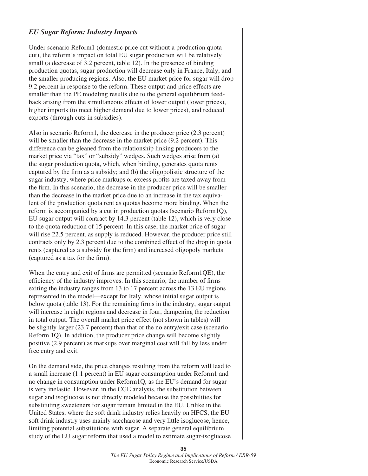#### *EU Sugar Reform: Industry Impacts*

Under scenario Reform1 (domestic price cut without a production quota cut), the reform's impact on total EU sugar production will be relatively small (a decrease of 3.2 percent, table 12). In the presence of binding production quotas, sugar production will decrease only in France, Italy, and the smaller producing regions. Also, the EU market price for sugar will drop 9.2 percent in response to the reform. These output and price effects are smaller than the PE modeling results due to the general equilibrium feedback arising from the simultaneous effects of lower output (lower prices), higher imports (to meet higher demand due to lower prices), and reduced exports (through cuts in subsidies).

Also in scenario Reform1, the decrease in the producer price (2.3 percent) will be smaller than the decrease in the market price  $(9.2 \text{ percent})$ . This difference can be gleaned from the relationship linking producers to the market price via "tax" or "subsidy" wedges. Such wedges arise from (a) the sugar production quota, which, when binding, generates quota rents captured by the firm as a subsidy; and (b) the oligopolistic structure of the sugar industry, where price markups or excess profits are taxed away from the firm. In this scenario, the decrease in the producer price will be smaller than the decrease in the market price due to an increase in the tax equivalent of the production quota rent as quotas become more binding. When the reform is accompanied by a cut in production quotas (scenario Reform1Q), EU sugar output will contract by 14.3 percent (table 12), which is very close to the quota reduction of 15 percent. In this case, the market price of sugar will rise 22.5 percent, as supply is reduced. However, the producer price still contracts only by 2.3 percent due to the combined effect of the drop in quota rents (captured as a subsidy for the firm) and increased oligopoly markets (captured as a tax for the firm).

When the entry and exit of firms are permitted (scenario  $Reform1QE$ ), the efficiency of the industry improves. In this scenario, the number of firms exiting the industry ranges from 13 to 17 percent across the 13 EU regions represented in the model—except for Italy, whose initial sugar output is below quota (table 13). For the remaining firms in the industry, sugar output will increase in eight regions and decrease in four, dampening the reduction in total output. The overall market price effect (not shown in tables) will be slightly larger (23.7 percent) than that of the no entry/exit case (scenario Reform 1Q). In addition, the producer price change will become slightly positive (2.9 percent) as markups over marginal cost will fall by less under free entry and exit.

On the demand side, the price changes resulting from the reform will lead to a small increase (1.1 percent) in EU sugar consumption under Reform1 and no change in consumption under Reform1Q, as the EU's demand for sugar is very inelastic. However, in the CGE analysis, the substitution between sugar and isoglucose is not directly modeled because the possibilities for substituting sweeteners for sugar remain limited in the EU. Unlike in the United States, where the soft drink industry relies heavily on HFCS, the EU soft drink industry uses mainly saccharose and very little isoglucose, hence, limiting potential substitutions with sugar. A separate general equilibrium study of the EU sugar reform that used a model to estimate sugar-isoglucose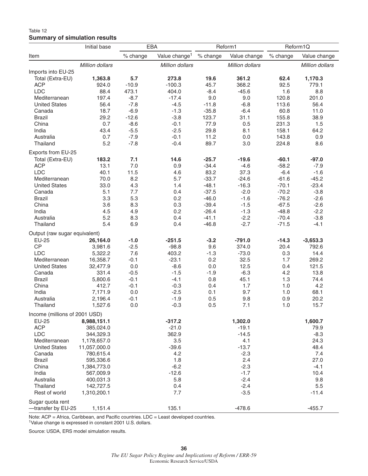#### Table 12 **Summary of simulation results**

| Value change <sup>1</sup><br>% change<br>Value change<br>% change<br>Value change<br>% change<br>Million dollars<br><b>Million dollars</b><br>Million dollars<br>Million dollars<br>Total (Extra-EU)<br>1,363.8<br>5.7<br>273.8<br>19.6<br>361.2<br>62.4<br>1,170.3<br>$-10.9$<br>45.7<br>92.5<br><b>ACP</b><br>924.0<br>$-100.3$<br>368.2<br>779.1<br><b>LDC</b><br>88.4<br>$-8.4$<br>8.8<br>473.1<br>404.0<br>$-45.6$<br>1.6<br>197.4<br>$-8.7$<br>$-17.4$<br>9.0<br>9.0<br>120.8<br>201.0<br>Mediterranean<br><b>United States</b><br>56.4<br>$-7.8$<br>$-4.5$<br>$-11.8$<br>$-6.8$<br>113.6<br>56.4<br>18.7<br>$-6.9$<br>$-1.3$<br>$-6.4$<br>60.8<br>11.0<br>Canada<br>$-35.8$<br>29.2<br>$-12.6$<br>$-3.8$<br>123.7<br>155.8<br>38.9<br><b>Brazil</b><br>31.1<br>0.7<br>$-8.6$<br>77.9<br>231.3<br>China<br>$-0.1$<br>0.5<br>1.5<br>India<br>43.4<br>$-5.5$<br>$-2.5$<br>29.8<br>8.1<br>158.1<br>64.2<br>$-7.9$<br>Australia<br>0.7<br>$-0.1$<br>11.2<br>0.0<br>143.8<br>0.9<br>5.2<br>$-7.8$<br>$-0.4$<br>89.7<br>Thailand<br>3.0<br>224.8<br>8.6<br>Exports from EU-25<br>$-60.1$<br>Total (Extra-EU)<br>183.2<br>7.1<br>14.6<br>$-25.7$<br>$-19.6$<br>$-97.0$<br>13.1<br>7.0<br>$-34.4$<br>$-58.2$<br><b>ACP</b><br>0.9<br>$-4.6$<br>$-7.9$<br><b>LDC</b><br>40.1<br>11.5<br>4.6<br>83.2<br>37.3<br>$-6.4$<br>$-1.6$<br>8.2<br>5.7<br>$-33.7$<br>$-45.2$<br>70.0<br>$-24.6$<br>$-61.6$<br>Mediterranean<br>4.3<br>$-48.1$<br>$-70.1$<br><b>United States</b><br>33.0<br>1.4<br>$-16.3$<br>$-23.4$<br>$-70.2$<br>5.1<br>7.7<br>0.4<br>$-37.5$<br>$-2.0$<br>$-3.8$<br>Canada<br>5.3<br>0.2<br>$-46.0$<br>$-76.2$<br>3.3<br>$-1.6$<br>$-2.6$<br><b>Brazil</b><br>3.6<br>8.3<br>0.3<br>$-39.4$<br>$-67.5$<br>$-2.6$<br>China<br>$-1.5$<br>0.2<br>$-1.3$<br>$-48.8$<br>$-2.2$<br>India<br>4.5<br>4.9<br>$-26.4$<br>5.2<br>0.4<br>$-41.1$<br>$-2.2$<br>$-70.4$<br>Australia<br>8.3<br>$-3.8$<br>$-2.7$<br>$-71.5$<br>Thailand<br>5.4<br>6.9<br>0.4<br>$-46.8$<br>$-4.1$<br>Output (raw sugar equivalent)<br><b>EU-25</b><br>26,164.0<br>$-1.0$<br>$-251.5$<br>$-3.2$<br>$-791.0$<br>$-14.3$<br>$-3,653.3$<br>CP<br>$-2.5$<br>$-98.8$<br>9.6<br>374.0<br>20.4<br>792.6<br>3,981.6<br><b>LDC</b><br>5,322.2<br>7.6<br>403.2<br>$-1.3$<br>$-73.0$<br>0.3<br>14.4<br>Mediterranean<br>$-0.1$<br>$-23.1$<br>0.2<br>32.5<br>269.2<br>16,358.7<br>1.7<br>$-8.6$<br>12.5<br>121.5<br><b>United States</b><br>32,477.9<br>0.0<br>0.0<br>0.4<br>$-1.5$<br>Canada<br>331.4<br>$-0.5$<br>$-1.9$<br>$-6.3$<br>4.2<br>13.8<br>5,800.6<br>$-0.1$<br>$-4.1$<br>0.8<br>45.1<br>1.3<br>74.4<br><b>Brazil</b><br>China<br>412.7<br>$-0.1$<br>$-0.3$<br>1.7<br>4.2<br>0.4<br>1.0<br>0.0<br>9.7<br>68.1<br>India<br>7,171.9<br>$-2.5$<br>0.1<br>1.0<br>Australia<br>$-0.1$<br>$-1.9$<br>0.5<br>9.8<br>0.9<br>20.2<br>2,196.4<br>0.5<br>15.7<br>Thailand<br>1,527.6<br>0.0<br>$-0.3$<br>7.1<br>1.0<br>Income (millions of 2001 USD)<br>EU-25<br>$-317.2$<br>1,302.0<br>1,600.7<br>8,988,151.1<br><b>ACP</b><br>$-21.0$<br>385,024.0<br>$-19.1$<br>79.9<br><b>LDC</b><br>362.9<br>$-8.3$<br>344,329.3<br>$-14.5$<br>Mediterranean<br>3.5<br>4.1<br>24.3<br>1,178,657.0<br>$-39.6$<br>$-13.7$<br>48.4<br><b>United States</b><br>11,057,000.0<br>7.4<br>Canada<br>780,615.4<br>4.2<br>$-2.3$<br>1.8<br><b>Brazil</b><br>2.4<br>27.0<br>595,336.6<br>$-6.2$<br>$-2.3$<br>$-4.1$<br>China<br>1,384,773.0<br>$-12.6$<br>$-1.7$<br>10.4<br>India<br>567,009.9<br>5.8<br>$-2.4$<br>9.8<br>Australia<br>400,031.3<br>$-2.4$<br>5.5<br>Thailand<br>142,727.5<br>0.4<br>Rest of world<br>7.7<br>$-3.5$<br>1,310,200.1<br>$-11.4$<br>135.1<br>$-478.6$<br>$-455.7$<br>-transfer by EU-25<br>1,151.4 |                    | Initial base | EBA |  | Reform1 | Reform1Q |  |  |
|----------------------------------------------------------------------------------------------------------------------------------------------------------------------------------------------------------------------------------------------------------------------------------------------------------------------------------------------------------------------------------------------------------------------------------------------------------------------------------------------------------------------------------------------------------------------------------------------------------------------------------------------------------------------------------------------------------------------------------------------------------------------------------------------------------------------------------------------------------------------------------------------------------------------------------------------------------------------------------------------------------------------------------------------------------------------------------------------------------------------------------------------------------------------------------------------------------------------------------------------------------------------------------------------------------------------------------------------------------------------------------------------------------------------------------------------------------------------------------------------------------------------------------------------------------------------------------------------------------------------------------------------------------------------------------------------------------------------------------------------------------------------------------------------------------------------------------------------------------------------------------------------------------------------------------------------------------------------------------------------------------------------------------------------------------------------------------------------------------------------------------------------------------------------------------------------------------------------------------------------------------------------------------------------------------------------------------------------------------------------------------------------------------------------------------------------------------------------------------------------------------------------------------------------------------------------------------------------------------------------------------------------------------------------------------------------------------------------------------------------------------------------------------------------------------------------------------------------------------------------------------------------------------------------------------------------------------------------------------------------------------------------------------------------------------------------------------------------------------------------------------------------------------------------------------------------------------------------------------------------------------------------------------------------------------------------------------------------------------------------------------------------------------------------------------------------------------------------------------------------------------------------------------------------------------------------------------------------------------------------------------------------------------------------|--------------------|--------------|-----|--|---------|----------|--|--|
|                                                                                                                                                                                                                                                                                                                                                                                                                                                                                                                                                                                                                                                                                                                                                                                                                                                                                                                                                                                                                                                                                                                                                                                                                                                                                                                                                                                                                                                                                                                                                                                                                                                                                                                                                                                                                                                                                                                                                                                                                                                                                                                                                                                                                                                                                                                                                                                                                                                                                                                                                                                                                                                                                                                                                                                                                                                                                                                                                                                                                                                                                                                                                                                                                                                                                                                                                                                                                                                                                                                                                                                                                                                                      | Item               |              |     |  |         |          |  |  |
|                                                                                                                                                                                                                                                                                                                                                                                                                                                                                                                                                                                                                                                                                                                                                                                                                                                                                                                                                                                                                                                                                                                                                                                                                                                                                                                                                                                                                                                                                                                                                                                                                                                                                                                                                                                                                                                                                                                                                                                                                                                                                                                                                                                                                                                                                                                                                                                                                                                                                                                                                                                                                                                                                                                                                                                                                                                                                                                                                                                                                                                                                                                                                                                                                                                                                                                                                                                                                                                                                                                                                                                                                                                                      |                    |              |     |  |         |          |  |  |
|                                                                                                                                                                                                                                                                                                                                                                                                                                                                                                                                                                                                                                                                                                                                                                                                                                                                                                                                                                                                                                                                                                                                                                                                                                                                                                                                                                                                                                                                                                                                                                                                                                                                                                                                                                                                                                                                                                                                                                                                                                                                                                                                                                                                                                                                                                                                                                                                                                                                                                                                                                                                                                                                                                                                                                                                                                                                                                                                                                                                                                                                                                                                                                                                                                                                                                                                                                                                                                                                                                                                                                                                                                                                      | Imports into EU-25 |              |     |  |         |          |  |  |
|                                                                                                                                                                                                                                                                                                                                                                                                                                                                                                                                                                                                                                                                                                                                                                                                                                                                                                                                                                                                                                                                                                                                                                                                                                                                                                                                                                                                                                                                                                                                                                                                                                                                                                                                                                                                                                                                                                                                                                                                                                                                                                                                                                                                                                                                                                                                                                                                                                                                                                                                                                                                                                                                                                                                                                                                                                                                                                                                                                                                                                                                                                                                                                                                                                                                                                                                                                                                                                                                                                                                                                                                                                                                      |                    |              |     |  |         |          |  |  |
|                                                                                                                                                                                                                                                                                                                                                                                                                                                                                                                                                                                                                                                                                                                                                                                                                                                                                                                                                                                                                                                                                                                                                                                                                                                                                                                                                                                                                                                                                                                                                                                                                                                                                                                                                                                                                                                                                                                                                                                                                                                                                                                                                                                                                                                                                                                                                                                                                                                                                                                                                                                                                                                                                                                                                                                                                                                                                                                                                                                                                                                                                                                                                                                                                                                                                                                                                                                                                                                                                                                                                                                                                                                                      |                    |              |     |  |         |          |  |  |
|                                                                                                                                                                                                                                                                                                                                                                                                                                                                                                                                                                                                                                                                                                                                                                                                                                                                                                                                                                                                                                                                                                                                                                                                                                                                                                                                                                                                                                                                                                                                                                                                                                                                                                                                                                                                                                                                                                                                                                                                                                                                                                                                                                                                                                                                                                                                                                                                                                                                                                                                                                                                                                                                                                                                                                                                                                                                                                                                                                                                                                                                                                                                                                                                                                                                                                                                                                                                                                                                                                                                                                                                                                                                      |                    |              |     |  |         |          |  |  |
|                                                                                                                                                                                                                                                                                                                                                                                                                                                                                                                                                                                                                                                                                                                                                                                                                                                                                                                                                                                                                                                                                                                                                                                                                                                                                                                                                                                                                                                                                                                                                                                                                                                                                                                                                                                                                                                                                                                                                                                                                                                                                                                                                                                                                                                                                                                                                                                                                                                                                                                                                                                                                                                                                                                                                                                                                                                                                                                                                                                                                                                                                                                                                                                                                                                                                                                                                                                                                                                                                                                                                                                                                                                                      |                    |              |     |  |         |          |  |  |
|                                                                                                                                                                                                                                                                                                                                                                                                                                                                                                                                                                                                                                                                                                                                                                                                                                                                                                                                                                                                                                                                                                                                                                                                                                                                                                                                                                                                                                                                                                                                                                                                                                                                                                                                                                                                                                                                                                                                                                                                                                                                                                                                                                                                                                                                                                                                                                                                                                                                                                                                                                                                                                                                                                                                                                                                                                                                                                                                                                                                                                                                                                                                                                                                                                                                                                                                                                                                                                                                                                                                                                                                                                                                      |                    |              |     |  |         |          |  |  |
|                                                                                                                                                                                                                                                                                                                                                                                                                                                                                                                                                                                                                                                                                                                                                                                                                                                                                                                                                                                                                                                                                                                                                                                                                                                                                                                                                                                                                                                                                                                                                                                                                                                                                                                                                                                                                                                                                                                                                                                                                                                                                                                                                                                                                                                                                                                                                                                                                                                                                                                                                                                                                                                                                                                                                                                                                                                                                                                                                                                                                                                                                                                                                                                                                                                                                                                                                                                                                                                                                                                                                                                                                                                                      |                    |              |     |  |         |          |  |  |
|                                                                                                                                                                                                                                                                                                                                                                                                                                                                                                                                                                                                                                                                                                                                                                                                                                                                                                                                                                                                                                                                                                                                                                                                                                                                                                                                                                                                                                                                                                                                                                                                                                                                                                                                                                                                                                                                                                                                                                                                                                                                                                                                                                                                                                                                                                                                                                                                                                                                                                                                                                                                                                                                                                                                                                                                                                                                                                                                                                                                                                                                                                                                                                                                                                                                                                                                                                                                                                                                                                                                                                                                                                                                      |                    |              |     |  |         |          |  |  |
|                                                                                                                                                                                                                                                                                                                                                                                                                                                                                                                                                                                                                                                                                                                                                                                                                                                                                                                                                                                                                                                                                                                                                                                                                                                                                                                                                                                                                                                                                                                                                                                                                                                                                                                                                                                                                                                                                                                                                                                                                                                                                                                                                                                                                                                                                                                                                                                                                                                                                                                                                                                                                                                                                                                                                                                                                                                                                                                                                                                                                                                                                                                                                                                                                                                                                                                                                                                                                                                                                                                                                                                                                                                                      |                    |              |     |  |         |          |  |  |
|                                                                                                                                                                                                                                                                                                                                                                                                                                                                                                                                                                                                                                                                                                                                                                                                                                                                                                                                                                                                                                                                                                                                                                                                                                                                                                                                                                                                                                                                                                                                                                                                                                                                                                                                                                                                                                                                                                                                                                                                                                                                                                                                                                                                                                                                                                                                                                                                                                                                                                                                                                                                                                                                                                                                                                                                                                                                                                                                                                                                                                                                                                                                                                                                                                                                                                                                                                                                                                                                                                                                                                                                                                                                      |                    |              |     |  |         |          |  |  |
|                                                                                                                                                                                                                                                                                                                                                                                                                                                                                                                                                                                                                                                                                                                                                                                                                                                                                                                                                                                                                                                                                                                                                                                                                                                                                                                                                                                                                                                                                                                                                                                                                                                                                                                                                                                                                                                                                                                                                                                                                                                                                                                                                                                                                                                                                                                                                                                                                                                                                                                                                                                                                                                                                                                                                                                                                                                                                                                                                                                                                                                                                                                                                                                                                                                                                                                                                                                                                                                                                                                                                                                                                                                                      |                    |              |     |  |         |          |  |  |
|                                                                                                                                                                                                                                                                                                                                                                                                                                                                                                                                                                                                                                                                                                                                                                                                                                                                                                                                                                                                                                                                                                                                                                                                                                                                                                                                                                                                                                                                                                                                                                                                                                                                                                                                                                                                                                                                                                                                                                                                                                                                                                                                                                                                                                                                                                                                                                                                                                                                                                                                                                                                                                                                                                                                                                                                                                                                                                                                                                                                                                                                                                                                                                                                                                                                                                                                                                                                                                                                                                                                                                                                                                                                      |                    |              |     |  |         |          |  |  |
|                                                                                                                                                                                                                                                                                                                                                                                                                                                                                                                                                                                                                                                                                                                                                                                                                                                                                                                                                                                                                                                                                                                                                                                                                                                                                                                                                                                                                                                                                                                                                                                                                                                                                                                                                                                                                                                                                                                                                                                                                                                                                                                                                                                                                                                                                                                                                                                                                                                                                                                                                                                                                                                                                                                                                                                                                                                                                                                                                                                                                                                                                                                                                                                                                                                                                                                                                                                                                                                                                                                                                                                                                                                                      |                    |              |     |  |         |          |  |  |
|                                                                                                                                                                                                                                                                                                                                                                                                                                                                                                                                                                                                                                                                                                                                                                                                                                                                                                                                                                                                                                                                                                                                                                                                                                                                                                                                                                                                                                                                                                                                                                                                                                                                                                                                                                                                                                                                                                                                                                                                                                                                                                                                                                                                                                                                                                                                                                                                                                                                                                                                                                                                                                                                                                                                                                                                                                                                                                                                                                                                                                                                                                                                                                                                                                                                                                                                                                                                                                                                                                                                                                                                                                                                      |                    |              |     |  |         |          |  |  |
|                                                                                                                                                                                                                                                                                                                                                                                                                                                                                                                                                                                                                                                                                                                                                                                                                                                                                                                                                                                                                                                                                                                                                                                                                                                                                                                                                                                                                                                                                                                                                                                                                                                                                                                                                                                                                                                                                                                                                                                                                                                                                                                                                                                                                                                                                                                                                                                                                                                                                                                                                                                                                                                                                                                                                                                                                                                                                                                                                                                                                                                                                                                                                                                                                                                                                                                                                                                                                                                                                                                                                                                                                                                                      |                    |              |     |  |         |          |  |  |
|                                                                                                                                                                                                                                                                                                                                                                                                                                                                                                                                                                                                                                                                                                                                                                                                                                                                                                                                                                                                                                                                                                                                                                                                                                                                                                                                                                                                                                                                                                                                                                                                                                                                                                                                                                                                                                                                                                                                                                                                                                                                                                                                                                                                                                                                                                                                                                                                                                                                                                                                                                                                                                                                                                                                                                                                                                                                                                                                                                                                                                                                                                                                                                                                                                                                                                                                                                                                                                                                                                                                                                                                                                                                      |                    |              |     |  |         |          |  |  |
|                                                                                                                                                                                                                                                                                                                                                                                                                                                                                                                                                                                                                                                                                                                                                                                                                                                                                                                                                                                                                                                                                                                                                                                                                                                                                                                                                                                                                                                                                                                                                                                                                                                                                                                                                                                                                                                                                                                                                                                                                                                                                                                                                                                                                                                                                                                                                                                                                                                                                                                                                                                                                                                                                                                                                                                                                                                                                                                                                                                                                                                                                                                                                                                                                                                                                                                                                                                                                                                                                                                                                                                                                                                                      |                    |              |     |  |         |          |  |  |
|                                                                                                                                                                                                                                                                                                                                                                                                                                                                                                                                                                                                                                                                                                                                                                                                                                                                                                                                                                                                                                                                                                                                                                                                                                                                                                                                                                                                                                                                                                                                                                                                                                                                                                                                                                                                                                                                                                                                                                                                                                                                                                                                                                                                                                                                                                                                                                                                                                                                                                                                                                                                                                                                                                                                                                                                                                                                                                                                                                                                                                                                                                                                                                                                                                                                                                                                                                                                                                                                                                                                                                                                                                                                      |                    |              |     |  |         |          |  |  |
|                                                                                                                                                                                                                                                                                                                                                                                                                                                                                                                                                                                                                                                                                                                                                                                                                                                                                                                                                                                                                                                                                                                                                                                                                                                                                                                                                                                                                                                                                                                                                                                                                                                                                                                                                                                                                                                                                                                                                                                                                                                                                                                                                                                                                                                                                                                                                                                                                                                                                                                                                                                                                                                                                                                                                                                                                                                                                                                                                                                                                                                                                                                                                                                                                                                                                                                                                                                                                                                                                                                                                                                                                                                                      |                    |              |     |  |         |          |  |  |
|                                                                                                                                                                                                                                                                                                                                                                                                                                                                                                                                                                                                                                                                                                                                                                                                                                                                                                                                                                                                                                                                                                                                                                                                                                                                                                                                                                                                                                                                                                                                                                                                                                                                                                                                                                                                                                                                                                                                                                                                                                                                                                                                                                                                                                                                                                                                                                                                                                                                                                                                                                                                                                                                                                                                                                                                                                                                                                                                                                                                                                                                                                                                                                                                                                                                                                                                                                                                                                                                                                                                                                                                                                                                      |                    |              |     |  |         |          |  |  |
|                                                                                                                                                                                                                                                                                                                                                                                                                                                                                                                                                                                                                                                                                                                                                                                                                                                                                                                                                                                                                                                                                                                                                                                                                                                                                                                                                                                                                                                                                                                                                                                                                                                                                                                                                                                                                                                                                                                                                                                                                                                                                                                                                                                                                                                                                                                                                                                                                                                                                                                                                                                                                                                                                                                                                                                                                                                                                                                                                                                                                                                                                                                                                                                                                                                                                                                                                                                                                                                                                                                                                                                                                                                                      |                    |              |     |  |         |          |  |  |
|                                                                                                                                                                                                                                                                                                                                                                                                                                                                                                                                                                                                                                                                                                                                                                                                                                                                                                                                                                                                                                                                                                                                                                                                                                                                                                                                                                                                                                                                                                                                                                                                                                                                                                                                                                                                                                                                                                                                                                                                                                                                                                                                                                                                                                                                                                                                                                                                                                                                                                                                                                                                                                                                                                                                                                                                                                                                                                                                                                                                                                                                                                                                                                                                                                                                                                                                                                                                                                                                                                                                                                                                                                                                      |                    |              |     |  |         |          |  |  |
|                                                                                                                                                                                                                                                                                                                                                                                                                                                                                                                                                                                                                                                                                                                                                                                                                                                                                                                                                                                                                                                                                                                                                                                                                                                                                                                                                                                                                                                                                                                                                                                                                                                                                                                                                                                                                                                                                                                                                                                                                                                                                                                                                                                                                                                                                                                                                                                                                                                                                                                                                                                                                                                                                                                                                                                                                                                                                                                                                                                                                                                                                                                                                                                                                                                                                                                                                                                                                                                                                                                                                                                                                                                                      |                    |              |     |  |         |          |  |  |
|                                                                                                                                                                                                                                                                                                                                                                                                                                                                                                                                                                                                                                                                                                                                                                                                                                                                                                                                                                                                                                                                                                                                                                                                                                                                                                                                                                                                                                                                                                                                                                                                                                                                                                                                                                                                                                                                                                                                                                                                                                                                                                                                                                                                                                                                                                                                                                                                                                                                                                                                                                                                                                                                                                                                                                                                                                                                                                                                                                                                                                                                                                                                                                                                                                                                                                                                                                                                                                                                                                                                                                                                                                                                      |                    |              |     |  |         |          |  |  |
|                                                                                                                                                                                                                                                                                                                                                                                                                                                                                                                                                                                                                                                                                                                                                                                                                                                                                                                                                                                                                                                                                                                                                                                                                                                                                                                                                                                                                                                                                                                                                                                                                                                                                                                                                                                                                                                                                                                                                                                                                                                                                                                                                                                                                                                                                                                                                                                                                                                                                                                                                                                                                                                                                                                                                                                                                                                                                                                                                                                                                                                                                                                                                                                                                                                                                                                                                                                                                                                                                                                                                                                                                                                                      |                    |              |     |  |         |          |  |  |
|                                                                                                                                                                                                                                                                                                                                                                                                                                                                                                                                                                                                                                                                                                                                                                                                                                                                                                                                                                                                                                                                                                                                                                                                                                                                                                                                                                                                                                                                                                                                                                                                                                                                                                                                                                                                                                                                                                                                                                                                                                                                                                                                                                                                                                                                                                                                                                                                                                                                                                                                                                                                                                                                                                                                                                                                                                                                                                                                                                                                                                                                                                                                                                                                                                                                                                                                                                                                                                                                                                                                                                                                                                                                      |                    |              |     |  |         |          |  |  |
|                                                                                                                                                                                                                                                                                                                                                                                                                                                                                                                                                                                                                                                                                                                                                                                                                                                                                                                                                                                                                                                                                                                                                                                                                                                                                                                                                                                                                                                                                                                                                                                                                                                                                                                                                                                                                                                                                                                                                                                                                                                                                                                                                                                                                                                                                                                                                                                                                                                                                                                                                                                                                                                                                                                                                                                                                                                                                                                                                                                                                                                                                                                                                                                                                                                                                                                                                                                                                                                                                                                                                                                                                                                                      |                    |              |     |  |         |          |  |  |
|                                                                                                                                                                                                                                                                                                                                                                                                                                                                                                                                                                                                                                                                                                                                                                                                                                                                                                                                                                                                                                                                                                                                                                                                                                                                                                                                                                                                                                                                                                                                                                                                                                                                                                                                                                                                                                                                                                                                                                                                                                                                                                                                                                                                                                                                                                                                                                                                                                                                                                                                                                                                                                                                                                                                                                                                                                                                                                                                                                                                                                                                                                                                                                                                                                                                                                                                                                                                                                                                                                                                                                                                                                                                      |                    |              |     |  |         |          |  |  |
|                                                                                                                                                                                                                                                                                                                                                                                                                                                                                                                                                                                                                                                                                                                                                                                                                                                                                                                                                                                                                                                                                                                                                                                                                                                                                                                                                                                                                                                                                                                                                                                                                                                                                                                                                                                                                                                                                                                                                                                                                                                                                                                                                                                                                                                                                                                                                                                                                                                                                                                                                                                                                                                                                                                                                                                                                                                                                                                                                                                                                                                                                                                                                                                                                                                                                                                                                                                                                                                                                                                                                                                                                                                                      |                    |              |     |  |         |          |  |  |
|                                                                                                                                                                                                                                                                                                                                                                                                                                                                                                                                                                                                                                                                                                                                                                                                                                                                                                                                                                                                                                                                                                                                                                                                                                                                                                                                                                                                                                                                                                                                                                                                                                                                                                                                                                                                                                                                                                                                                                                                                                                                                                                                                                                                                                                                                                                                                                                                                                                                                                                                                                                                                                                                                                                                                                                                                                                                                                                                                                                                                                                                                                                                                                                                                                                                                                                                                                                                                                                                                                                                                                                                                                                                      |                    |              |     |  |         |          |  |  |
|                                                                                                                                                                                                                                                                                                                                                                                                                                                                                                                                                                                                                                                                                                                                                                                                                                                                                                                                                                                                                                                                                                                                                                                                                                                                                                                                                                                                                                                                                                                                                                                                                                                                                                                                                                                                                                                                                                                                                                                                                                                                                                                                                                                                                                                                                                                                                                                                                                                                                                                                                                                                                                                                                                                                                                                                                                                                                                                                                                                                                                                                                                                                                                                                                                                                                                                                                                                                                                                                                                                                                                                                                                                                      |                    |              |     |  |         |          |  |  |
|                                                                                                                                                                                                                                                                                                                                                                                                                                                                                                                                                                                                                                                                                                                                                                                                                                                                                                                                                                                                                                                                                                                                                                                                                                                                                                                                                                                                                                                                                                                                                                                                                                                                                                                                                                                                                                                                                                                                                                                                                                                                                                                                                                                                                                                                                                                                                                                                                                                                                                                                                                                                                                                                                                                                                                                                                                                                                                                                                                                                                                                                                                                                                                                                                                                                                                                                                                                                                                                                                                                                                                                                                                                                      |                    |              |     |  |         |          |  |  |
|                                                                                                                                                                                                                                                                                                                                                                                                                                                                                                                                                                                                                                                                                                                                                                                                                                                                                                                                                                                                                                                                                                                                                                                                                                                                                                                                                                                                                                                                                                                                                                                                                                                                                                                                                                                                                                                                                                                                                                                                                                                                                                                                                                                                                                                                                                                                                                                                                                                                                                                                                                                                                                                                                                                                                                                                                                                                                                                                                                                                                                                                                                                                                                                                                                                                                                                                                                                                                                                                                                                                                                                                                                                                      |                    |              |     |  |         |          |  |  |
|                                                                                                                                                                                                                                                                                                                                                                                                                                                                                                                                                                                                                                                                                                                                                                                                                                                                                                                                                                                                                                                                                                                                                                                                                                                                                                                                                                                                                                                                                                                                                                                                                                                                                                                                                                                                                                                                                                                                                                                                                                                                                                                                                                                                                                                                                                                                                                                                                                                                                                                                                                                                                                                                                                                                                                                                                                                                                                                                                                                                                                                                                                                                                                                                                                                                                                                                                                                                                                                                                                                                                                                                                                                                      |                    |              |     |  |         |          |  |  |
|                                                                                                                                                                                                                                                                                                                                                                                                                                                                                                                                                                                                                                                                                                                                                                                                                                                                                                                                                                                                                                                                                                                                                                                                                                                                                                                                                                                                                                                                                                                                                                                                                                                                                                                                                                                                                                                                                                                                                                                                                                                                                                                                                                                                                                                                                                                                                                                                                                                                                                                                                                                                                                                                                                                                                                                                                                                                                                                                                                                                                                                                                                                                                                                                                                                                                                                                                                                                                                                                                                                                                                                                                                                                      |                    |              |     |  |         |          |  |  |
|                                                                                                                                                                                                                                                                                                                                                                                                                                                                                                                                                                                                                                                                                                                                                                                                                                                                                                                                                                                                                                                                                                                                                                                                                                                                                                                                                                                                                                                                                                                                                                                                                                                                                                                                                                                                                                                                                                                                                                                                                                                                                                                                                                                                                                                                                                                                                                                                                                                                                                                                                                                                                                                                                                                                                                                                                                                                                                                                                                                                                                                                                                                                                                                                                                                                                                                                                                                                                                                                                                                                                                                                                                                                      |                    |              |     |  |         |          |  |  |
|                                                                                                                                                                                                                                                                                                                                                                                                                                                                                                                                                                                                                                                                                                                                                                                                                                                                                                                                                                                                                                                                                                                                                                                                                                                                                                                                                                                                                                                                                                                                                                                                                                                                                                                                                                                                                                                                                                                                                                                                                                                                                                                                                                                                                                                                                                                                                                                                                                                                                                                                                                                                                                                                                                                                                                                                                                                                                                                                                                                                                                                                                                                                                                                                                                                                                                                                                                                                                                                                                                                                                                                                                                                                      |                    |              |     |  |         |          |  |  |
|                                                                                                                                                                                                                                                                                                                                                                                                                                                                                                                                                                                                                                                                                                                                                                                                                                                                                                                                                                                                                                                                                                                                                                                                                                                                                                                                                                                                                                                                                                                                                                                                                                                                                                                                                                                                                                                                                                                                                                                                                                                                                                                                                                                                                                                                                                                                                                                                                                                                                                                                                                                                                                                                                                                                                                                                                                                                                                                                                                                                                                                                                                                                                                                                                                                                                                                                                                                                                                                                                                                                                                                                                                                                      |                    |              |     |  |         |          |  |  |
|                                                                                                                                                                                                                                                                                                                                                                                                                                                                                                                                                                                                                                                                                                                                                                                                                                                                                                                                                                                                                                                                                                                                                                                                                                                                                                                                                                                                                                                                                                                                                                                                                                                                                                                                                                                                                                                                                                                                                                                                                                                                                                                                                                                                                                                                                                                                                                                                                                                                                                                                                                                                                                                                                                                                                                                                                                                                                                                                                                                                                                                                                                                                                                                                                                                                                                                                                                                                                                                                                                                                                                                                                                                                      |                    |              |     |  |         |          |  |  |
|                                                                                                                                                                                                                                                                                                                                                                                                                                                                                                                                                                                                                                                                                                                                                                                                                                                                                                                                                                                                                                                                                                                                                                                                                                                                                                                                                                                                                                                                                                                                                                                                                                                                                                                                                                                                                                                                                                                                                                                                                                                                                                                                                                                                                                                                                                                                                                                                                                                                                                                                                                                                                                                                                                                                                                                                                                                                                                                                                                                                                                                                                                                                                                                                                                                                                                                                                                                                                                                                                                                                                                                                                                                                      |                    |              |     |  |         |          |  |  |
|                                                                                                                                                                                                                                                                                                                                                                                                                                                                                                                                                                                                                                                                                                                                                                                                                                                                                                                                                                                                                                                                                                                                                                                                                                                                                                                                                                                                                                                                                                                                                                                                                                                                                                                                                                                                                                                                                                                                                                                                                                                                                                                                                                                                                                                                                                                                                                                                                                                                                                                                                                                                                                                                                                                                                                                                                                                                                                                                                                                                                                                                                                                                                                                                                                                                                                                                                                                                                                                                                                                                                                                                                                                                      |                    |              |     |  |         |          |  |  |
|                                                                                                                                                                                                                                                                                                                                                                                                                                                                                                                                                                                                                                                                                                                                                                                                                                                                                                                                                                                                                                                                                                                                                                                                                                                                                                                                                                                                                                                                                                                                                                                                                                                                                                                                                                                                                                                                                                                                                                                                                                                                                                                                                                                                                                                                                                                                                                                                                                                                                                                                                                                                                                                                                                                                                                                                                                                                                                                                                                                                                                                                                                                                                                                                                                                                                                                                                                                                                                                                                                                                                                                                                                                                      |                    |              |     |  |         |          |  |  |
|                                                                                                                                                                                                                                                                                                                                                                                                                                                                                                                                                                                                                                                                                                                                                                                                                                                                                                                                                                                                                                                                                                                                                                                                                                                                                                                                                                                                                                                                                                                                                                                                                                                                                                                                                                                                                                                                                                                                                                                                                                                                                                                                                                                                                                                                                                                                                                                                                                                                                                                                                                                                                                                                                                                                                                                                                                                                                                                                                                                                                                                                                                                                                                                                                                                                                                                                                                                                                                                                                                                                                                                                                                                                      |                    |              |     |  |         |          |  |  |
|                                                                                                                                                                                                                                                                                                                                                                                                                                                                                                                                                                                                                                                                                                                                                                                                                                                                                                                                                                                                                                                                                                                                                                                                                                                                                                                                                                                                                                                                                                                                                                                                                                                                                                                                                                                                                                                                                                                                                                                                                                                                                                                                                                                                                                                                                                                                                                                                                                                                                                                                                                                                                                                                                                                                                                                                                                                                                                                                                                                                                                                                                                                                                                                                                                                                                                                                                                                                                                                                                                                                                                                                                                                                      |                    |              |     |  |         |          |  |  |
|                                                                                                                                                                                                                                                                                                                                                                                                                                                                                                                                                                                                                                                                                                                                                                                                                                                                                                                                                                                                                                                                                                                                                                                                                                                                                                                                                                                                                                                                                                                                                                                                                                                                                                                                                                                                                                                                                                                                                                                                                                                                                                                                                                                                                                                                                                                                                                                                                                                                                                                                                                                                                                                                                                                                                                                                                                                                                                                                                                                                                                                                                                                                                                                                                                                                                                                                                                                                                                                                                                                                                                                                                                                                      |                    |              |     |  |         |          |  |  |
|                                                                                                                                                                                                                                                                                                                                                                                                                                                                                                                                                                                                                                                                                                                                                                                                                                                                                                                                                                                                                                                                                                                                                                                                                                                                                                                                                                                                                                                                                                                                                                                                                                                                                                                                                                                                                                                                                                                                                                                                                                                                                                                                                                                                                                                                                                                                                                                                                                                                                                                                                                                                                                                                                                                                                                                                                                                                                                                                                                                                                                                                                                                                                                                                                                                                                                                                                                                                                                                                                                                                                                                                                                                                      |                    |              |     |  |         |          |  |  |
|                                                                                                                                                                                                                                                                                                                                                                                                                                                                                                                                                                                                                                                                                                                                                                                                                                                                                                                                                                                                                                                                                                                                                                                                                                                                                                                                                                                                                                                                                                                                                                                                                                                                                                                                                                                                                                                                                                                                                                                                                                                                                                                                                                                                                                                                                                                                                                                                                                                                                                                                                                                                                                                                                                                                                                                                                                                                                                                                                                                                                                                                                                                                                                                                                                                                                                                                                                                                                                                                                                                                                                                                                                                                      |                    |              |     |  |         |          |  |  |
|                                                                                                                                                                                                                                                                                                                                                                                                                                                                                                                                                                                                                                                                                                                                                                                                                                                                                                                                                                                                                                                                                                                                                                                                                                                                                                                                                                                                                                                                                                                                                                                                                                                                                                                                                                                                                                                                                                                                                                                                                                                                                                                                                                                                                                                                                                                                                                                                                                                                                                                                                                                                                                                                                                                                                                                                                                                                                                                                                                                                                                                                                                                                                                                                                                                                                                                                                                                                                                                                                                                                                                                                                                                                      |                    |              |     |  |         |          |  |  |
|                                                                                                                                                                                                                                                                                                                                                                                                                                                                                                                                                                                                                                                                                                                                                                                                                                                                                                                                                                                                                                                                                                                                                                                                                                                                                                                                                                                                                                                                                                                                                                                                                                                                                                                                                                                                                                                                                                                                                                                                                                                                                                                                                                                                                                                                                                                                                                                                                                                                                                                                                                                                                                                                                                                                                                                                                                                                                                                                                                                                                                                                                                                                                                                                                                                                                                                                                                                                                                                                                                                                                                                                                                                                      |                    |              |     |  |         |          |  |  |
|                                                                                                                                                                                                                                                                                                                                                                                                                                                                                                                                                                                                                                                                                                                                                                                                                                                                                                                                                                                                                                                                                                                                                                                                                                                                                                                                                                                                                                                                                                                                                                                                                                                                                                                                                                                                                                                                                                                                                                                                                                                                                                                                                                                                                                                                                                                                                                                                                                                                                                                                                                                                                                                                                                                                                                                                                                                                                                                                                                                                                                                                                                                                                                                                                                                                                                                                                                                                                                                                                                                                                                                                                                                                      | Sugar quota rent   |              |     |  |         |          |  |  |
|                                                                                                                                                                                                                                                                                                                                                                                                                                                                                                                                                                                                                                                                                                                                                                                                                                                                                                                                                                                                                                                                                                                                                                                                                                                                                                                                                                                                                                                                                                                                                                                                                                                                                                                                                                                                                                                                                                                                                                                                                                                                                                                                                                                                                                                                                                                                                                                                                                                                                                                                                                                                                                                                                                                                                                                                                                                                                                                                                                                                                                                                                                                                                                                                                                                                                                                                                                                                                                                                                                                                                                                                                                                                      |                    |              |     |  |         |          |  |  |

Note:  $ACP =$  Africa, Caribbean, and Pacific countries. LDC = Least developed countries. 1Value change is expressed in constant 2001 U.S. dollars.

Source: USDA, ERS model simulation results.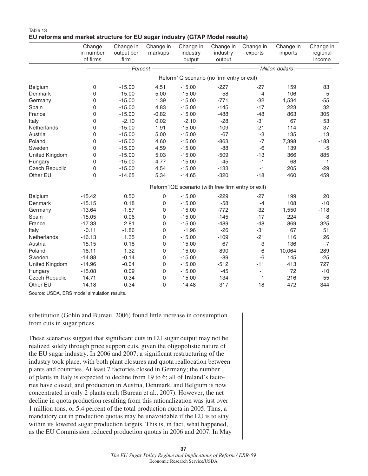|                       | Change<br>in number                               | Change in<br>output per | Change in<br>markups | . .<br>Change in<br>industry              | Change in<br>industry | Change in<br>exports | Change in<br>imports | Change in<br>regional |  |  |
|-----------------------|---------------------------------------------------|-------------------------|----------------------|-------------------------------------------|-----------------------|----------------------|----------------------|-----------------------|--|--|
|                       | of firms                                          | firm                    |                      | output                                    | output                |                      |                      | income                |  |  |
|                       |                                                   |                         | Percent-             |                                           |                       |                      | Million dollars -    |                       |  |  |
|                       |                                                   |                         |                      | Reform1Q scenario (no firm entry or exit) |                       |                      |                      |                       |  |  |
| Belgium               | 0                                                 | $-15.00$                | 4.51                 | $-15.00$                                  | $-227$                | $-27$                | 159                  | 83                    |  |  |
| Denmark               | 0                                                 | $-15.00$                | 5.00                 | $-15.00$                                  | $-58$                 | $-4$                 | 106                  | 5                     |  |  |
| Germany               | 0                                                 | $-15.00$                | 1.39                 | $-15.00$                                  | $-771$                | $-32$                | 1,534                | $-55$                 |  |  |
| Spain                 | 0                                                 | $-15.00$                | 4.83                 | $-15.00$                                  | $-145$                | $-17$                | 223                  | 32                    |  |  |
| France                | 0                                                 | $-15.00$                | $-0.82$              | $-15.00$                                  | $-488$                | $-48$                | 863                  | 305                   |  |  |
| Italy                 | 0                                                 | $-2.10$                 | 0.02                 | $-2.10$                                   | $-28$                 | $-31$                | 67                   | 53                    |  |  |
| Netherlands           | 0                                                 | $-15.00$                | 1.91                 | $-15.00$                                  | $-109$                | $-21$                | 114                  | 37                    |  |  |
| Austria               | 0                                                 | $-15.00$                | 5.00                 | $-15.00$                                  | $-67$                 | -3                   | 135                  | 13                    |  |  |
| Poland                | 0                                                 | $-15.00$                | 4.60                 | $-15.00$                                  | $-863$                | $-7$                 | 7,398                | $-183$                |  |  |
| Sweden                | 0                                                 | $-15.00$                | 4.59                 | $-15.00$                                  | $-88$                 | $-6$                 | 139                  | $-5$                  |  |  |
| United Kingdom        | 0                                                 | $-15.00$                | 5.03                 | $-15.00$                                  | $-509$                | $-13$                | 366                  | 885                   |  |  |
| Hungary               | 0                                                 | $-15.00$                | 4.77                 | $-15.00$                                  | $-45$                 | $-1$                 | 68                   | $\mathbf{1}$          |  |  |
| <b>Czech Republic</b> | 0                                                 | $-15.00$                | 4.54                 | $-15.00$                                  | $-133$                | $-1$                 | 205                  | $-29$                 |  |  |
| Other EU              | 0                                                 | $-14.65$                | 5.34                 | $-14.65$                                  | $-320$                | $-18$                | 460                  | 459                   |  |  |
|                       | Reform1QE scenario (with free firm entry or exit) |                         |                      |                                           |                       |                      |                      |                       |  |  |
| Belgium               | $-15.42$                                          | 0.50                    | $\mathbf 0$          | $-15.00$                                  | $-229$                | $-27$                | 199                  | 20                    |  |  |
| Denmark               | $-15.15$                                          | 0.18                    | 0                    | $-15.00$                                  | $-58$                 | $-4$                 | 108                  | $-10$                 |  |  |
| Germany               | $-13.64$                                          | $-1.57$                 | $\Omega$             | $-15.00$                                  | $-772$                | $-32$                | 1,550                | $-118$                |  |  |
| Spain                 | $-15.05$                                          | 0.06                    | 0                    | $-15.00$                                  | $-145$                | $-17$                | 224                  | -8                    |  |  |
| France                | $-17.33$                                          | 2.81                    | $\Omega$             | $-15.00$                                  | $-489$                | $-48$                | 869                  | 325                   |  |  |
| Italy                 | $-0.11$                                           | $-1.86$                 | $\Omega$             | $-1.96$                                   | $-26$                 | $-31$                | 67                   | 51                    |  |  |
| Netherlands           | $-16.13$                                          | 1.35                    | $\mathbf 0$          | $-15.00$                                  | $-109$                | $-21$                | 116                  | 26                    |  |  |
| Austria               | $-15.15$                                          | 0.18                    | 0                    | $-15.00$                                  | $-67$                 | -3                   | 136                  | $-7$                  |  |  |
| Poland                | $-16.11$                                          | 1.32                    | $\mathbf 0$          | $-15.00$                                  | $-890$                | -6                   | 10,064               | $-289$                |  |  |
| Sweden                | $-14.88$                                          | $-0.14$                 | $\mathbf 0$          | $-15.00$                                  | $-89$                 | $-6$                 | 145                  | $-25$                 |  |  |
| <b>United Kingdom</b> | $-14.96$                                          | $-0.04$                 | 0                    | $-15.00$                                  | $-512$                | $-11$                | 413                  | 727                   |  |  |
| Hungary               | $-15.08$                                          | 0.09                    | 0                    | $-15.00$                                  | $-45$                 | $-1$                 | 72                   | $-10$                 |  |  |
| <b>Czech Republic</b> | $-14.71$                                          | $-0.34$                 | 0                    | $-15.00$                                  | $-134$                | $-1$                 | 216                  | $-55$                 |  |  |
| Other EU              | $-14.18$                                          | $-0.34$                 | $\Omega$             | $-14.48$                                  | $-317$                | $-18$                | 472                  | 344                   |  |  |

#### Table 13 **EU reforms and market structure for EU sugar industry (GTAP Model results)**

Source: USDA, ERS model simulation results.

substitution (Gohin and Bureau, 2006) found little increase in consumption from cuts in sugar prices.

These scenarios suggest that significant cuts in EU sugar output may not be realized solely through price support cuts, given the oligopolistic nature of the EU sugar industry. In 2006 and 2007, a significant restructuring of the industry took place, with both plant closures and quota reallocation between plants and countries. At least 7 factories closed in Germany; the number of plants in Italy is expected to decline from 19 to 6; all of Ireland's factories have closed; and production in Austria, Denmark, and Belgium is now concentrated in only 2 plants each (Bureau et al., 2007). However, the net decline in quota production resulting from this rationalization was just over 1 million tons, or 5.4 percent of the total production quota in 2005. Thus, a mandatory cut in production quotas may be unavoidable if the EU is to stay within its lowered sugar production targets. This is, in fact, what happened, as the EU Commission reduced production quotas in 2006 and 2007. In May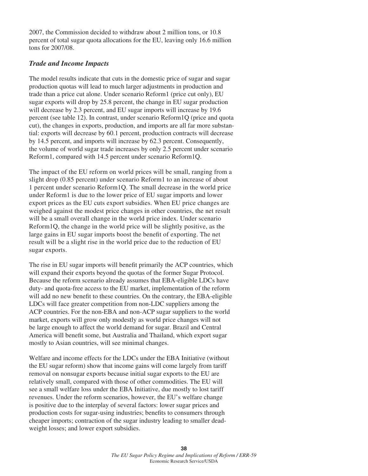2007, the Commission decided to withdraw about 2 million tons, or 10.8 percent of total sugar quota allocations for the EU, leaving only 16.6 million tons for 2007/08.

#### *Trade and Income Impacts*

The model results indicate that cuts in the domestic price of sugar and sugar production quotas will lead to much larger adjustments in production and trade than a price cut alone. Under scenario Reform1 (price cut only), EU sugar exports will drop by 25.8 percent, the change in EU sugar production will decrease by 2.3 percent, and EU sugar imports will increase by 19.6 percent (see table 12). In contrast, under scenario Reform1Q (price and quota cut), the changes in exports, production, and imports are all far more substantial: exports will decrease by 60.1 percent, production contracts will decrease by 14.5 percent, and imports will increase by 62.3 percent. Consequently, the volume of world sugar trade increases by only 2.5 percent under scenario Reform1, compared with 14.5 percent under scenario Reform1Q.

The impact of the EU reform on world prices will be small, ranging from a slight drop (0.85 percent) under scenario Reform1 to an increase of about 1 percent under scenario Reform1Q. The small decrease in the world price under Reform1 is due to the lower price of EU sugar imports and lower export prices as the EU cuts export subsidies. When EU price changes are weighed against the modest price changes in other countries, the net result will be a small overall change in the world price index. Under scenario Reform1Q, the change in the world price will be slightly positive, as the large gains in EU sugar imports boost the benefit of exporting. The net result will be a slight rise in the world price due to the reduction of EU sugar exports.

The rise in EU sugar imports will benefit primarily the ACP countries, which will expand their exports beyond the quotas of the former Sugar Protocol. Because the reform scenario already assumes that EBA-eligible LDCs have duty- and quota-free access to the EU market, implementation of the reform will add no new benefit to these countries. On the contrary, the EBA-eligible LDCs will face greater competition from non-LDC suppliers among the ACP countries. For the non-EBA and non-ACP sugar suppliers to the world market, exports will grow only modestly as world price changes will not be large enough to affect the world demand for sugar. Brazil and Central America will benefit some, but Australia and Thailand, which export sugar mostly to Asian countries, will see minimal changes.

Welfare and income effects for the LDCs under the EBA Initiative (without the EU sugar reform) show that income gains will come largely from tariff removal on nonsugar exports because initial sugar exports to the EU are relatively small, compared with those of other commodities. The EU will see a small welfare loss under the EBA Initiative, due mostly to lost tariff revenues. Under the reform scenarios, however, the EU's welfare change is positive due to the interplay of several factors: lower sugar prices and production costs for sugar-using industries; benefits to consumers through cheaper imports; contraction of the sugar industry leading to smaller deadweight losses; and lower export subsidies.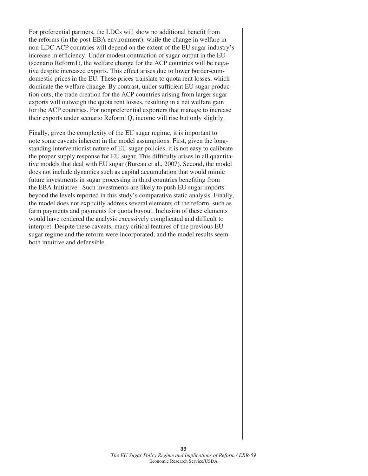For preferential partners, the LDCs will show no additional benefit from the reforms (in the post-EBA environment), while the change in welfare in non-LDC ACP countries will depend on the extent of the EU sugar industry's increase in efficiency. Under modest contraction of sugar output in the EU (scenario Reform1), the welfare change for the ACP countries will be negative despite increased exports. This effect arises due to lower border-cumdomestic prices in the EU. These prices translate to quota rent losses, which dominate the welfare change. By contrast, under sufficient EU sugar production cuts, the trade creation for the ACP countries arising from larger sugar exports will outweigh the quota rent losses, resulting in a net welfare gain for the ACP countries. For nonpreferential exporters that manage to increase their exports under scenario Reform1Q, income will rise but only slightly.

Finally, given the complexity of the EU sugar regime, it is important to note some caveats inherent in the model assumptions. First, given the longstanding interventionist nature of EU sugar policies, it is not easy to calibrate the proper supply response for EU sugar. This difficulty arises in all quantitative models that deal with EU sugar (Bureau et al., 2007). Second, the model does not include dynamics such as capital accumulation that would mimic future investments in sugar processing in third countries benefiting from the EBA Initiative. Such investments are likely to push EU sugar imports beyond the levels reported in this study's comparative static analysis. Finally, the model does not explicitly address several elements of the reform, such as farm payments and payments for quota buyout. Inclusion of these elements would have rendered the analysis excessively complicated and difficult to interpret. Despite these caveats, many critical features of the previous EU sugar regime and the reform were incorporated, and the model results seem both intuitive and defensible.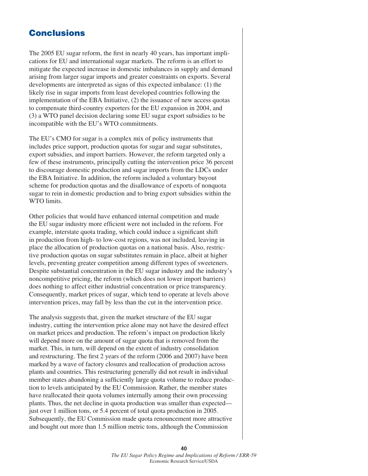## **Conclusions**

The 2005 EU sugar reform, the first in nearly 40 years, has important implications for EU and international sugar markets. The reform is an effort to mitigate the expected increase in domestic imbalances in supply and demand arising from larger sugar imports and greater constraints on exports. Several developments are interpreted as signs of this expected imbalance: (1) the likely rise in sugar imports from least developed countries following the implementation of the EBA Initiative, (2) the issuance of new access quotas to compensate third-country exporters for the EU expansion in 2004, and (3) a WTO panel decision declaring some EU sugar export subsidies to be incompatible with the EU's WTO commitments.

The EU's CMO for sugar is a complex mix of policy instruments that includes price support, production quotas for sugar and sugar substitutes, export subsidies, and import barriers. However, the reform targeted only a few of these instruments, principally cutting the intervention price 36 percent to discourage domestic production and sugar imports from the LDCs under the EBA Initiative. In addition, the reform included a voluntary buyout scheme for production quotas and the disallowance of exports of nonquota sugar to rein in domestic production and to bring export subsidies within the WTO limits.

Other policies that would have enhanced internal competition and made the EU sugar industry more efficient were not included in the reform. For example, interstate quota trading, which could induce a significant shift in production from high- to low-cost regions, was not included, leaving in place the allocation of production quotas on a national basis. Also, restrictive production quotas on sugar substitutes remain in place, albeit at higher levels, preventing greater competition among different types of sweeteners. Despite substantial concentration in the EU sugar industry and the industry's noncompetitive pricing, the reform (which does not lower import barriers) does nothing to affect either industrial concentration or price transparency. Consequently, market prices of sugar, which tend to operate at levels above intervention prices, may fall by less than the cut in the intervention price.

The analysis suggests that, given the market structure of the EU sugar industry, cutting the intervention price alone may not have the desired effect on market prices and production. The reform's impact on production likely will depend more on the amount of sugar quota that is removed from the market. This, in turn, will depend on the extent of industry consolidation and restructuring. The first 2 years of the reform (2006 and 2007) have been marked by a wave of factory closures and reallocation of production across plants and countries. This restructuring generally did not result in individual member states abandoning a sufficiently large quota volume to reduce production to levels anticipated by the EU Commission. Rather, the member states have reallocated their quota volumes internally among their own processing plants. Thus, the net decline in quota production was smaller than expected just over 1 million tons, or 5.4 percent of total quota production in 2005. Subsequently, the EU Commission made quota renouncement more attractive and bought out more than 1.5 million metric tons, although the Commission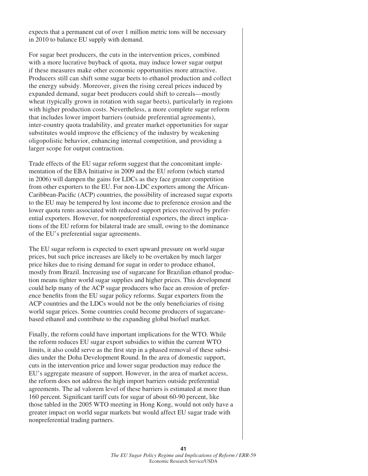expects that a permanent cut of over 1 million metric tons will be necessary in 2010 to balance EU supply with demand.

For sugar beet producers, the cuts in the intervention prices, combined with a more lucrative buyback of quota, may induce lower sugar output if these measures make other economic opportunities more attractive. Producers still can shift some sugar beets to ethanol production and collect the energy subsidy. Moreover, given the rising cereal prices induced by expanded demand, sugar beet producers could shift to cereals—mostly wheat (typically grown in rotation with sugar beets), particularly in regions with higher production costs. Nevertheless, a more complete sugar reform that includes lower import barriers (outside preferential agreements), inter-country quota tradability, and greater market opportunities for sugar substitutes would improve the efficiency of the industry by weakening oligopolistic behavior, enhancing internal competition, and providing a larger scope for output contraction.

Trade effects of the EU sugar reform suggest that the concomitant implementation of the EBA Initiative in 2009 and the EU reform (which started in 2006) will dampen the gains for LDCs as they face greater competition from other exporters to the EU. For non-LDC exporters among the African-Caribbean-Pacific (ACP) countries, the possibility of increased sugar exports to the EU may be tempered by lost income due to preference erosion and the lower quota rents associated with reduced support prices received by preferential exporters. However, for nonpreferential exporters, the direct implications of the EU reform for bilateral trade are small, owing to the dominance of the EU's preferential sugar agreements.

The EU sugar reform is expected to exert upward pressure on world sugar prices, but such price increases are likely to be overtaken by much larger price hikes due to rising demand for sugar in order to produce ethanol, mostly from Brazil. Increasing use of sugarcane for Brazilian ethanol production means tighter world sugar supplies and higher prices. This development could help many of the ACP sugar producers who face an erosion of preference benefits from the EU sugar policy reforms. Sugar exporters from the ACP countries and the LDCs would not be the only beneficiaries of rising world sugar prices. Some countries could become producers of sugarcanebased ethanol and contribute to the expanding global biofuel market.

Finally, the reform could have important implications for the WTO. While the reform reduces EU sugar export subsidies to within the current WTO limits, it also could serve as the first step in a phased removal of these subsidies under the Doha Development Round. In the area of domestic support, cuts in the intervention price and lower sugar production may reduce the EU's aggregate measure of support. However, in the area of market access, the reform does not address the high import barriers outside preferential agreements. The ad valorem level of these barriers is estimated at more than 160 percent. Significant tariff cuts for sugar of about 60-90 percent, like those tabled in the 2005 WTO meeting in Hong Kong, would not only have a greater impact on world sugar markets but would affect EU sugar trade with nonpreferential trading partners.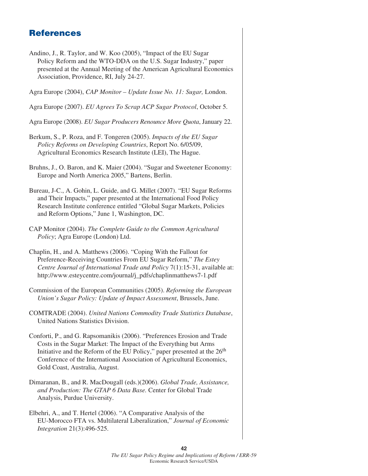## **References**

- Andino, J., R. Taylor, and W. Koo (2005), "Impact of the EU Sugar Policy Reform and the WTO-DDA on the U.S. Sugar Industry," paper presented at the Annual Meeting of the American Agricultural Economics Association, Providence, RI, July 24-27.
- Agra Europe (2004), *CAP Monitor Update Issue No. 11: Sugar,* London.
- Agra Europe (2007). *EU Agrees To Scrap ACP Sugar Protocol*, October 5.
- Agra Europe (2008). *EU Sugar Producers Renounce More Quota*, January 22.
- Berkum, S., P. Roza, and F. Tongeren (2005). *Impacts of the EU Sugar Policy Reforms on Developing Countries*, Report No. 6/05/09, Agricultural Economics Research Institute (LEI), The Hague.
- Bruhns, J., O. Baron, and K. Maier (2004). "Sugar and Sweetener Economy: Europe and North America 2005," Bartens, Berlin.
- Bureau, J-C., A. Gohin, L. Guide, and G. Millet (2007). "EU Sugar Reforms and Their Impacts," paper presented at the International Food Policy Research Institute conference entitled "Global Sugar Markets, Policies and Reform Options," June 1, Washington, DC.
- CAP Monitor (2004). *The Complete Guide to the Common Agricultural Policy*; Agra Europe (London) Ltd.
- Chaplin, H., and A. Matthews (2006). "Coping With the Fallout for Preference-Receiving Countries From EU Sugar Reform," *The Estey Centre Journal of International Trade and Policy* 7(1):15-31, available at: http://www.esteycentre.com/journal/j\_pdfs/chaplinmatthews7-1.pdf
- Commission of the European Communities (2005). *Reforming the European Union's Sugar Policy: Update of Impact Assessment*, Brussels, June.
- COMTRADE (2004). *United Nations Commodity Trade Statistics Database*, United Nations Statistics Division.
- Conforti, P., and G. Rapsomanikis (2006). "Preferences Erosion and Trade Costs in the Sugar Market: The Impact of the Everything but Arms Initiative and the Reform of the EU Policy," paper presented at the  $26<sup>th</sup>$ Conference of the International Association of Agricultural Economics, Gold Coast, Australia, August.
- Dimaranan, B., and R. MacDougall (eds.)(2006). *Global Trade, Assistance, and Production: The GTAP 6 Data Base.* Center for Global Trade Analysis, Purdue University.
- Elbehri, A., and T. Hertel (2006). "A Comparative Analysis of the EU-Morocco FTA vs. Multilateral Liberalization," *Journal of Economic Integration* 21(3):496-525.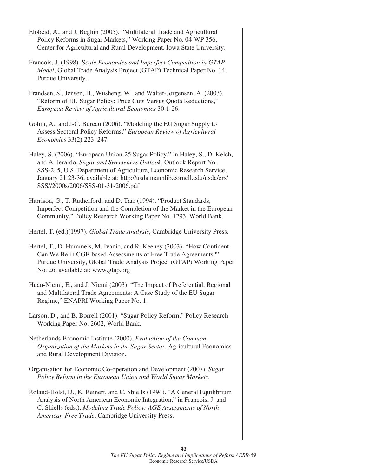- Elobeid, A., and J. Beghin (2005). "Multilateral Trade and Agricultural Policy Reforms in Sugar Markets," Working Paper No. 04-WP 356, Center for Agricultural and Rural Development, Iowa State University.
- Francois, J. (1998). S*cale Economies and Imperfect Competition in GTAP Model*, Global Trade Analysis Project (GTAP) Technical Paper No. 14, Purdue University.
- Frandsen, S., Jensen, H., Wusheng, W., and Walter-Jorgensen, A. (2003). "Reform of EU Sugar Policy: Price Cuts Versus Quota Reductions," *European Review of Agricultural Economics* 30:1-26.
- Gohin, A., and J-C. Bureau (2006). "Modeling the EU Sugar Supply to Assess Sectoral Policy Reforms," *European Review of Agricultural Economics* 33(2):223–247.
- Haley, S. (2006). "European Union-25 Sugar Policy," in Haley, S., D. Kelch, and A. Jerardo, *Sugar and Sweeteners Outlook*, Outlook Report No. SSS-245, U.S. Department of Agriculture, Economic Research Service, January 21:23-36, available at: http://usda.mannlib.cornell.edu/usda/ers/ SSS//2000s/2006/SSS-01-31-2006.pdf
- Harrison, G., T. Rutherford, and D. Tarr (1994). "Product Standards, Imperfect Competition and the Completion of the Market in the European Community," Policy Research Working Paper No. 1293, World Bank.

Hertel, T. (ed.)(1997). *Global Trade Analysis*, Cambridge University Press.

- Hertel, T., D. Hummels, M. Ivanic, and R. Keeney (2003). "How Confident Can We Be in CGE-based Assessments of Free Trade Agreements?" Purdue University, Global Trade Analysis Project (GTAP) Working Paper No. 26, available at: www.gtap.org
- Huan-Niemi, E., and J. Niemi (2003). "The Impact of Preferential, Regional and Multilateral Trade Agreements: A Case Study of the EU Sugar Regime," ENAPRI Working Paper No. 1.
- Larson, D., and B. Borrell (2001). "Sugar Policy Reform," Policy Research Working Paper No. 2602, World Bank.
- Netherlands Economic Institute (2000). *Evaluation of the Common Organization of the Markets in the Sugar Sector*, Agricultural Economics and Rural Development Division.
- Organisation for Economic Co-operation and Development (2007). *Sugar Policy Reform in the European Union and World Sugar Markets*.
- Roland-Holst, D., K. Reinert, and C. Shiells (1994). "A General Equilibrium Analysis of North American Economic Integration," in Francois, J. and C. Shiells (eds.), *Modeling Trade Policy: AGE Assessments of North American Free Trade*, Cambridge University Press.